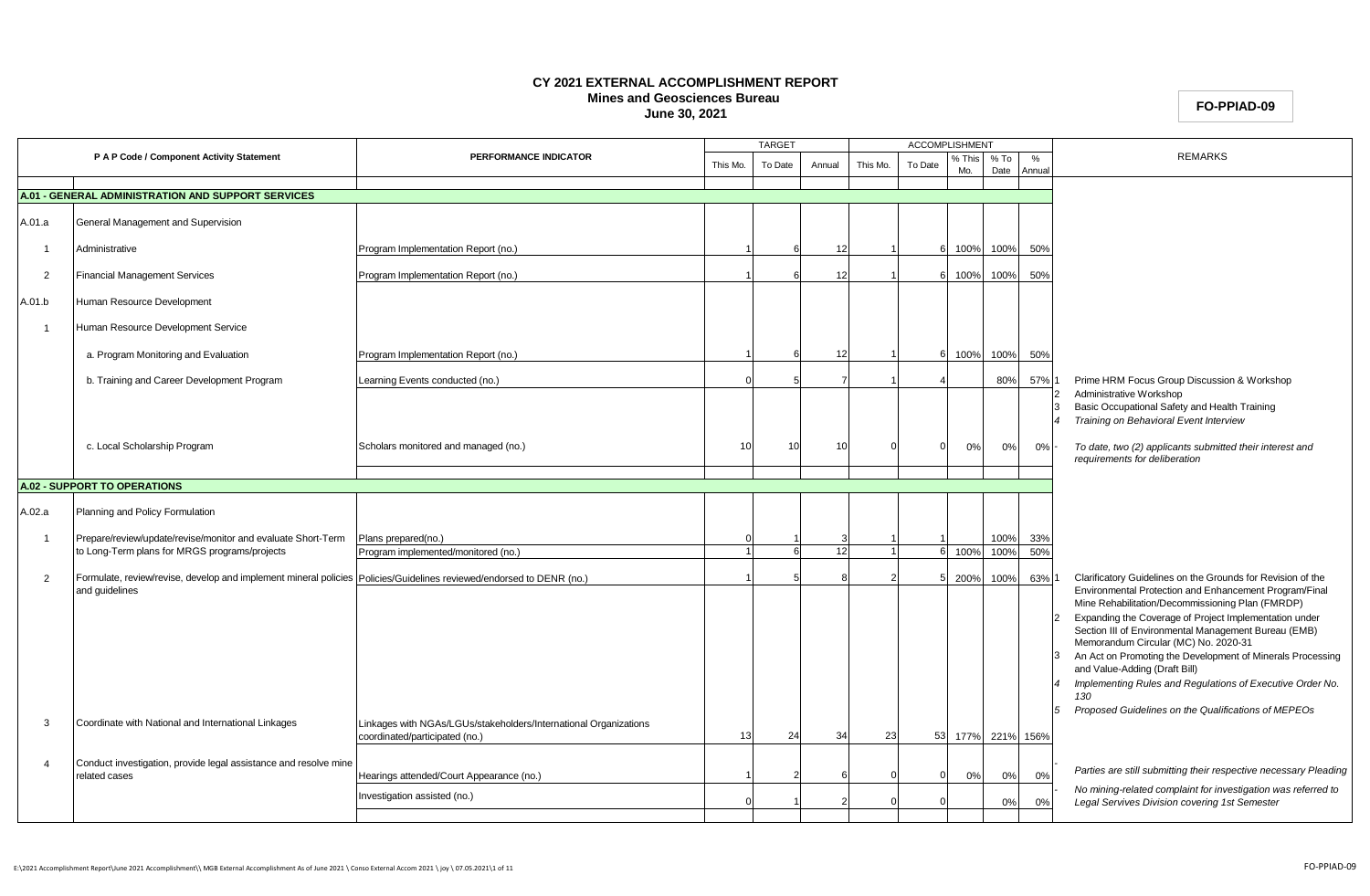### **CY 2021 EXTERNAL ACCOMPLISHMENT REPORT Mines and Geosciences Bureau June 30, 2021**

**FO-PPIAD-09**

|                |                                                                                                                                        |                                                                                                    |          | <b>TARGET</b> |        |          | <b>ACCOMPLISHMENT</b> |               |                |             |                                                                                                                                                                           |
|----------------|----------------------------------------------------------------------------------------------------------------------------------------|----------------------------------------------------------------------------------------------------|----------|---------------|--------|----------|-----------------------|---------------|----------------|-------------|---------------------------------------------------------------------------------------------------------------------------------------------------------------------------|
|                | P A P Code / Component Activity Statement                                                                                              | PERFORMANCE INDICATOR                                                                              | This Mo. | To Date       | Annual | This Mo. | To Date               | % This<br>Mo. | $%$ To<br>Date | %<br>Annual | <b>REMARKS</b>                                                                                                                                                            |
|                | A.01 - GENERAL ADMINISTRATION AND SUPPORT SERVICES                                                                                     |                                                                                                    |          |               |        |          |                       |               |                |             |                                                                                                                                                                           |
|                |                                                                                                                                        |                                                                                                    |          |               |        |          |                       |               |                |             |                                                                                                                                                                           |
| A.01.a         | General Management and Supervision                                                                                                     |                                                                                                    |          |               |        |          |                       |               |                |             |                                                                                                                                                                           |
| -1             | Administrative                                                                                                                         | Program Implementation Report (no.)                                                                |          |               | 12     |          |                       | 100%          | 100%           | 50%         |                                                                                                                                                                           |
| $\overline{2}$ | <b>Financial Management Services</b>                                                                                                   | Program Implementation Report (no.)                                                                |          |               | 12     |          |                       | 100%          | 100%           | 50%         |                                                                                                                                                                           |
| A.01.b         | Human Resource Development                                                                                                             |                                                                                                    |          |               |        |          |                       |               |                |             |                                                                                                                                                                           |
| -1             | Human Resource Development Service                                                                                                     |                                                                                                    |          |               |        |          |                       |               |                |             |                                                                                                                                                                           |
|                | a. Program Monitoring and Evaluation                                                                                                   | Program Implementation Report (no.)                                                                |          |               | -12    |          |                       | 100%          | 100%           | 50%         |                                                                                                                                                                           |
|                | b. Training and Career Development Program                                                                                             | Learning Events conducted (no.)                                                                    |          |               |        |          |                       |               | 80%            | 57%         | Prime HRM Focus Group Discussion & Workshop                                                                                                                               |
|                |                                                                                                                                        |                                                                                                    |          |               |        |          |                       |               |                |             | Administrative Workshop<br>Basic Occupational Safety and Health Training<br>Training on Behavioral Event Interview<br>$\overline{4}$                                      |
|                | c. Local Scholarship Program                                                                                                           | Scholars monitored and managed (no.)                                                               | 10       | 10            | 10     |          |                       | 0%            | 0%             | 0%          | To date, two (2) applicants submitted their interest and<br>requirements for deliberation                                                                                 |
|                | <b>A.02 - SUPPORT TO OPERATIONS</b>                                                                                                    |                                                                                                    |          |               |        |          |                       |               |                |             |                                                                                                                                                                           |
|                |                                                                                                                                        |                                                                                                    |          |               |        |          |                       |               |                |             |                                                                                                                                                                           |
| A.02.a         | Planning and Policy Formulation                                                                                                        |                                                                                                    |          |               |        |          |                       |               |                |             |                                                                                                                                                                           |
|                | Prepare/review/update/revise/monitor and evaluate Short-Term<br>to Long-Term plans for MRGS programs/projects                          | Plans prepared(no.)                                                                                |          |               |        |          |                       |               | 100%<br>100%   | 33%<br>50%  |                                                                                                                                                                           |
|                |                                                                                                                                        | Program implemented/monitored (no.)                                                                |          | $\epsilon$    | 12     |          | 6                     | 100%          |                |             |                                                                                                                                                                           |
| $\overline{2}$ | Formulate, review/revise, develop and implement mineral policies Policies/Guidelines reviewed/endorsed to DENR (no.)<br>and guidelines |                                                                                                    |          |               |        |          |                       | 200%          | 100%           | 63%         | Clarificatory Guidelines on the Grounds for Revision of the<br>Environmental Protection and Enhancement Program/Final<br>Mine Rehabilitation/Decommissioning Plan (FMRDP) |
|                |                                                                                                                                        |                                                                                                    |          |               |        |          |                       |               |                |             | Expanding the Coverage of Project Implementation under<br>$\overline{2}$<br>Section III of Environmental Management Bureau (EMB)<br>Memorandum Circular (MC) No. 2020-31  |
|                |                                                                                                                                        |                                                                                                    |          |               |        |          |                       |               |                |             | An Act on Promoting the Development of Minerals Processing<br>3<br>and Value-Adding (Draft Bill)                                                                          |
|                |                                                                                                                                        |                                                                                                    |          |               |        |          |                       |               |                |             | Implementing Rules and Regulations of Executive Order No.<br>130                                                                                                          |
| -3             | Coordinate with National and International Linkages                                                                                    | Linkages with NGAs/LGUs/stakeholders/International Organizations<br>coordinated/participated (no.) | 13       | 24            | 34     | 23       | 53                    | 177%          |                | 221% 156%   | Proposed Guidelines on the Qualifications of MEPEOs<br>$5^{\circ}$                                                                                                        |
| $\overline{4}$ | Conduct investigation, provide legal assistance and resolve mine<br>related cases                                                      | Hearings attended/Court Appearance (no.)                                                           |          |               |        |          |                       | 0%            | 0%             | 0%          | Parties are still submitting their respective necessary Pleading                                                                                                          |
|                |                                                                                                                                        | Investigation assisted (no.)                                                                       |          |               |        |          |                       |               | 0%             | 0%          | No mining-related complaint for investigation was referred to<br>Legal Servives Division covering 1st Semester                                                            |
|                |                                                                                                                                        |                                                                                                    |          |               |        |          |                       |               |                |             |                                                                                                                                                                           |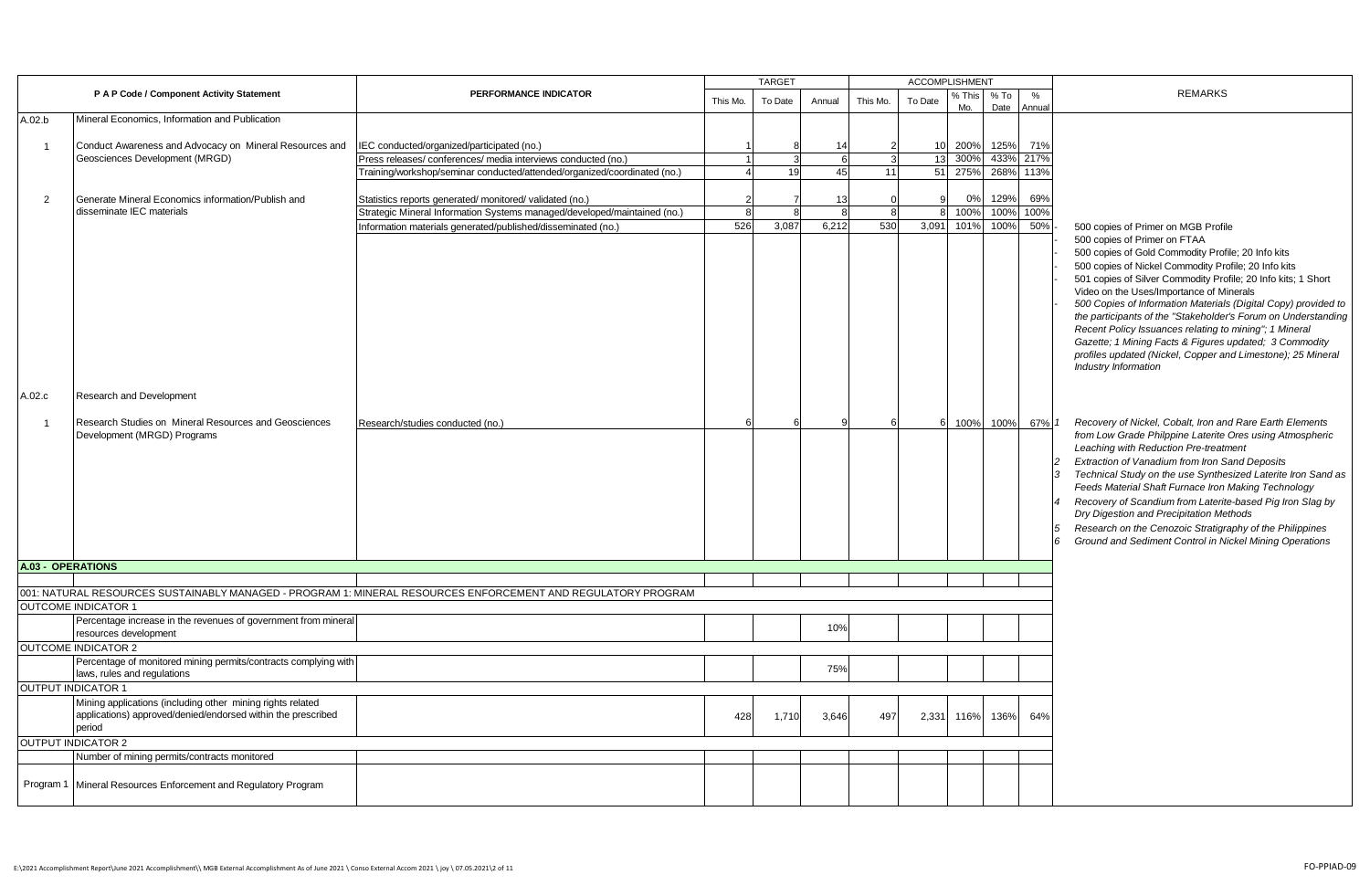|                          |                                                                                                                                      |                                                                                                              | <b>TARGET</b> |               | <b>ACCOMPLISHMENT</b> |              |         |               |              |             |                                                                                                                                                                                                                                                                                                                                                                                                                                                                                                                                                                                                                                                                                                                                                                                                                                                                                                                                                                                                                                                                                                                                                                                                          |
|--------------------------|--------------------------------------------------------------------------------------------------------------------------------------|--------------------------------------------------------------------------------------------------------------|---------------|---------------|-----------------------|--------------|---------|---------------|--------------|-------------|----------------------------------------------------------------------------------------------------------------------------------------------------------------------------------------------------------------------------------------------------------------------------------------------------------------------------------------------------------------------------------------------------------------------------------------------------------------------------------------------------------------------------------------------------------------------------------------------------------------------------------------------------------------------------------------------------------------------------------------------------------------------------------------------------------------------------------------------------------------------------------------------------------------------------------------------------------------------------------------------------------------------------------------------------------------------------------------------------------------------------------------------------------------------------------------------------------|
|                          | P A P Code / Component Activity Statement                                                                                            | PERFORMANCE INDICATOR                                                                                        | This Mo.      | To Date       | Annual                | This Mo.     | To Date | % This<br>Mo. | % To<br>Date | %<br>Annual | <b>REMARKS</b>                                                                                                                                                                                                                                                                                                                                                                                                                                                                                                                                                                                                                                                                                                                                                                                                                                                                                                                                                                                                                                                                                                                                                                                           |
| A.02.b                   | Mineral Economics. Information and Publication                                                                                       |                                                                                                              |               |               |                       |              |         |               |              |             |                                                                                                                                                                                                                                                                                                                                                                                                                                                                                                                                                                                                                                                                                                                                                                                                                                                                                                                                                                                                                                                                                                                                                                                                          |
| -1                       | Conduct Awareness and Advocacy on Mineral Resources and                                                                              | IEC conducted/organized/participated (no.)                                                                   |               |               | 14                    |              | 10      | 200%          | 125%         | 71%         |                                                                                                                                                                                                                                                                                                                                                                                                                                                                                                                                                                                                                                                                                                                                                                                                                                                                                                                                                                                                                                                                                                                                                                                                          |
|                          | Geosciences Development (MRGD)                                                                                                       | Press releases/conferences/media interviews conducted (no.)                                                  |               | $\mathcal{R}$ | 6                     | $\mathbf{R}$ | 13      | 300%          | 433%         | 217%        |                                                                                                                                                                                                                                                                                                                                                                                                                                                                                                                                                                                                                                                                                                                                                                                                                                                                                                                                                                                                                                                                                                                                                                                                          |
|                          |                                                                                                                                      | Training/workshop/seminar conducted/attended/organized/coordinated (no.)                                     |               | 19            | 45                    | 11           | 51      | 275%          | 268%         | 113%        |                                                                                                                                                                                                                                                                                                                                                                                                                                                                                                                                                                                                                                                                                                                                                                                                                                                                                                                                                                                                                                                                                                                                                                                                          |
|                          |                                                                                                                                      |                                                                                                              |               |               |                       |              |         |               |              |             |                                                                                                                                                                                                                                                                                                                                                                                                                                                                                                                                                                                                                                                                                                                                                                                                                                                                                                                                                                                                                                                                                                                                                                                                          |
| 2                        | Generate Mineral Economics information/Publish and                                                                                   | Statistics reports generated/monitored/validated (no.)                                                       |               |               | 13                    |              |         | 0%            | 129%         | 69%         |                                                                                                                                                                                                                                                                                                                                                                                                                                                                                                                                                                                                                                                                                                                                                                                                                                                                                                                                                                                                                                                                                                                                                                                                          |
|                          | disseminate IEC materials                                                                                                            | Strategic Mineral Information Systems managed/developed/maintained (no.)                                     |               | R             | 8                     | $\mathsf{R}$ | 8       | 100%          | 100%         | 100%        |                                                                                                                                                                                                                                                                                                                                                                                                                                                                                                                                                                                                                                                                                                                                                                                                                                                                                                                                                                                                                                                                                                                                                                                                          |
|                          |                                                                                                                                      | Information materials generated/published/disseminated (no.)                                                 | 526           | 3.087         | 6.212                 | 530          | 3.091   | 101%          | 100%         | 50%         | 500 copies of Primer on MGB Profile                                                                                                                                                                                                                                                                                                                                                                                                                                                                                                                                                                                                                                                                                                                                                                                                                                                                                                                                                                                                                                                                                                                                                                      |
| A.02.c<br>-1             | Research and Development<br>Research Studies on Mineral Resources and Geosciences<br>Development (MRGD) Programs                     | Research/studies conducted (no.)                                                                             |               |               |                       |              | 6       | 100%          | 100%         | 67%         | 500 copies of Primer on FTAA<br>500 copies of Gold Commodity Profile; 20 Info kits<br>500 copies of Nickel Commodity Profile; 20 Info kits<br>501 copies of Silver Commodity Profile; 20 Info kits; 1 Short<br>Video on the Uses/Importance of Minerals<br>500 Copies of Information Materials (Digital Copy) provided to<br>the participants of the "Stakeholder's Forum on Understanding<br>Recent Policy Issuances relating to mining"; 1 Mineral<br>Gazette; 1 Mining Facts & Figures updated; 3 Commodity<br>profiles updated (Nickel, Copper and Limestone); 25 Mineral<br><b>Industry Information</b><br>Recovery of Nickel, Cobalt, Iron and Rare Earth Elements<br>from Low Grade Philppine Laterite Ores using Atmospheric<br>Leaching with Reduction Pre-treatment<br>Extraction of Vanadium from Iron Sand Deposits<br>Technical Study on the use Synthesized Laterite Iron Sand as<br>Feeds Material Shaft Furnace Iron Making Technology<br>Recovery of Scandium from Laterite-based Pig Iron Slag by<br>Dry Digestion and Precipitation Methods<br>Research on the Cenozoic Stratigraphy of the Philippines<br>Ground and Sediment Control in Nickel Mining Operations<br>$6\overline{6}$ |
| <b>A.03 - OPERATIONS</b> |                                                                                                                                      |                                                                                                              |               |               |                       |              |         |               |              |             |                                                                                                                                                                                                                                                                                                                                                                                                                                                                                                                                                                                                                                                                                                                                                                                                                                                                                                                                                                                                                                                                                                                                                                                                          |
|                          |                                                                                                                                      |                                                                                                              |               |               |                       |              |         |               |              |             |                                                                                                                                                                                                                                                                                                                                                                                                                                                                                                                                                                                                                                                                                                                                                                                                                                                                                                                                                                                                                                                                                                                                                                                                          |
|                          |                                                                                                                                      | 001: NATURAL RESOURCES SUSTAINABLY MANAGED - PROGRAM 1: MINERAL RESOURCES ENFORCEMENT AND REGULATORY PROGRAM |               |               |                       |              |         |               |              |             |                                                                                                                                                                                                                                                                                                                                                                                                                                                                                                                                                                                                                                                                                                                                                                                                                                                                                                                                                                                                                                                                                                                                                                                                          |
|                          | <b>OUTCOME INDICATOR 1</b>                                                                                                           |                                                                                                              |               |               |                       |              |         |               |              |             |                                                                                                                                                                                                                                                                                                                                                                                                                                                                                                                                                                                                                                                                                                                                                                                                                                                                                                                                                                                                                                                                                                                                                                                                          |
|                          | Percentage increase in the revenues of government from mineral<br>resources development                                              |                                                                                                              |               |               | 10%                   |              |         |               |              |             |                                                                                                                                                                                                                                                                                                                                                                                                                                                                                                                                                                                                                                                                                                                                                                                                                                                                                                                                                                                                                                                                                                                                                                                                          |
|                          | <b>OUTCOME INDICATOR 2</b>                                                                                                           |                                                                                                              |               |               |                       |              |         |               |              |             |                                                                                                                                                                                                                                                                                                                                                                                                                                                                                                                                                                                                                                                                                                                                                                                                                                                                                                                                                                                                                                                                                                                                                                                                          |
|                          | Percentage of monitored mining permits/contracts complying with                                                                      |                                                                                                              |               |               |                       |              |         |               |              |             |                                                                                                                                                                                                                                                                                                                                                                                                                                                                                                                                                                                                                                                                                                                                                                                                                                                                                                                                                                                                                                                                                                                                                                                                          |
|                          | laws, rules and regulations                                                                                                          |                                                                                                              |               |               | 75%                   |              |         |               |              |             |                                                                                                                                                                                                                                                                                                                                                                                                                                                                                                                                                                                                                                                                                                                                                                                                                                                                                                                                                                                                                                                                                                                                                                                                          |
|                          | <b>OUTPUT INDICATOR 1</b>                                                                                                            |                                                                                                              |               |               |                       |              |         |               |              |             |                                                                                                                                                                                                                                                                                                                                                                                                                                                                                                                                                                                                                                                                                                                                                                                                                                                                                                                                                                                                                                                                                                                                                                                                          |
|                          | Mining applications (including other mining rights related<br>applications) approved/denied/endorsed within the prescribed<br>period |                                                                                                              | 428           | 1,710         | 3,646                 | 497          | 2,331   | 116%          | 136%         | 64%         |                                                                                                                                                                                                                                                                                                                                                                                                                                                                                                                                                                                                                                                                                                                                                                                                                                                                                                                                                                                                                                                                                                                                                                                                          |
|                          | <b>OUTPUT INDICATOR 2</b>                                                                                                            |                                                                                                              |               |               |                       |              |         |               |              |             |                                                                                                                                                                                                                                                                                                                                                                                                                                                                                                                                                                                                                                                                                                                                                                                                                                                                                                                                                                                                                                                                                                                                                                                                          |
|                          | Number of mining permits/contracts monitored                                                                                         |                                                                                                              |               |               |                       |              |         |               |              |             |                                                                                                                                                                                                                                                                                                                                                                                                                                                                                                                                                                                                                                                                                                                                                                                                                                                                                                                                                                                                                                                                                                                                                                                                          |
|                          | Program 1 Mineral Resources Enforcement and Regulatory Program                                                                       |                                                                                                              |               |               |                       |              |         |               |              |             |                                                                                                                                                                                                                                                                                                                                                                                                                                                                                                                                                                                                                                                                                                                                                                                                                                                                                                                                                                                                                                                                                                                                                                                                          |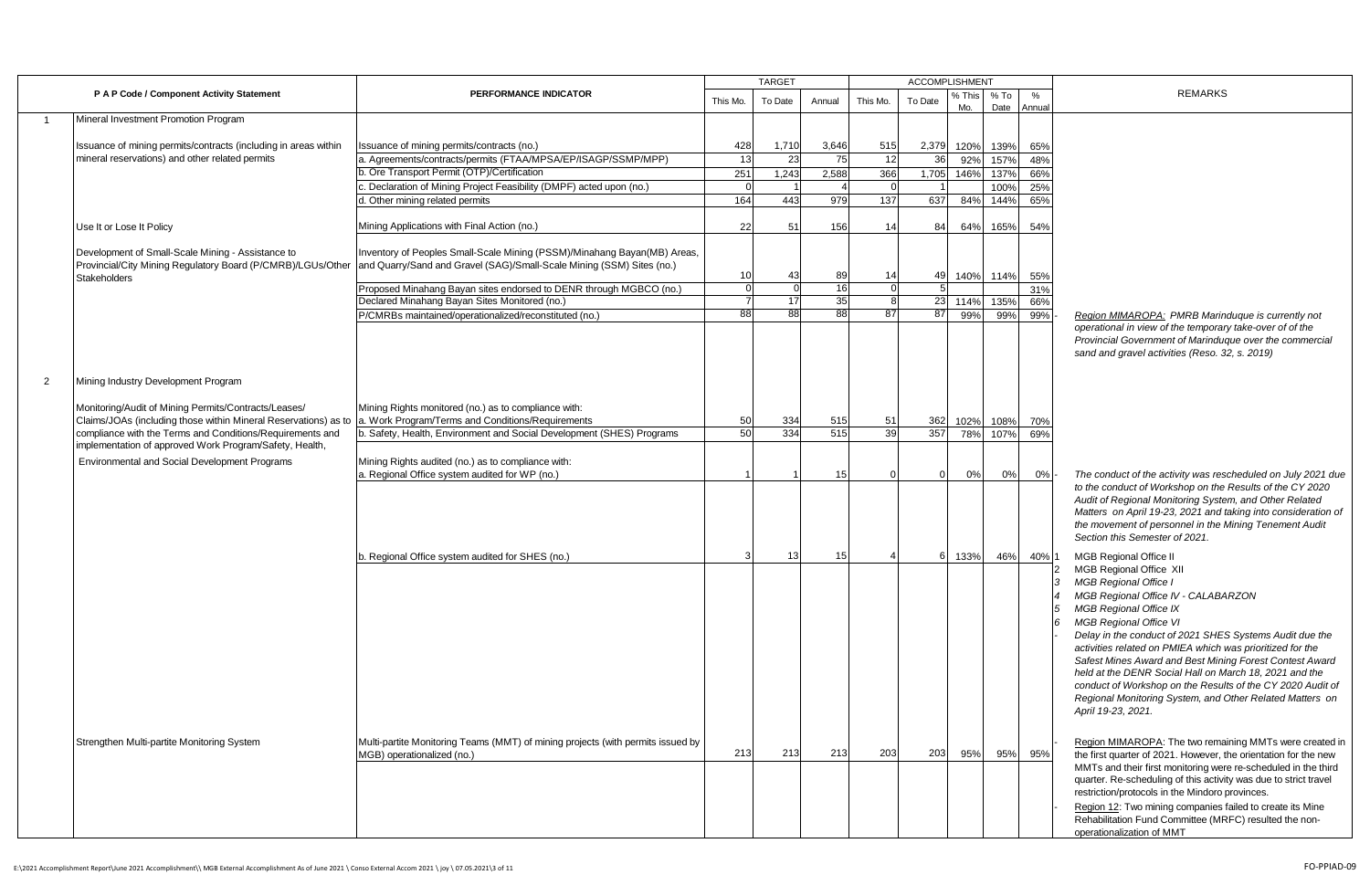|                |                                                                                                                                         |                                                                                                                                                   | <b>ACCOMPLISHMENT</b><br><b>TARGET</b> |         |        |                 |          |               |                |                |                                                                                                                                                                                                                                                                                                                                                                                                                                                                                                                                                                          |
|----------------|-----------------------------------------------------------------------------------------------------------------------------------------|---------------------------------------------------------------------------------------------------------------------------------------------------|----------------------------------------|---------|--------|-----------------|----------|---------------|----------------|----------------|--------------------------------------------------------------------------------------------------------------------------------------------------------------------------------------------------------------------------------------------------------------------------------------------------------------------------------------------------------------------------------------------------------------------------------------------------------------------------------------------------------------------------------------------------------------------------|
|                | P A P Code / Component Activity Statement                                                                                               | PERFORMANCE INDICATOR                                                                                                                             | This Mo.                               | To Date | Annual | This Mo.        | To Date  | % This<br>Mo. | $%$ To<br>Date | $\%$<br>Annual | <b>REMARKS</b>                                                                                                                                                                                                                                                                                                                                                                                                                                                                                                                                                           |
|                | Mineral Investment Promotion Program                                                                                                    |                                                                                                                                                   |                                        |         |        |                 |          |               |                |                |                                                                                                                                                                                                                                                                                                                                                                                                                                                                                                                                                                          |
|                |                                                                                                                                         |                                                                                                                                                   |                                        |         |        |                 |          |               |                |                |                                                                                                                                                                                                                                                                                                                                                                                                                                                                                                                                                                          |
|                | Issuance of mining permits/contracts (including in areas within                                                                         | Issuance of mining permits/contracts (no.)                                                                                                        | 428                                    | 1,710   | 3,646  | 515             | 2,379    | 120%          | 139%           | 65%            |                                                                                                                                                                                                                                                                                                                                                                                                                                                                                                                                                                          |
|                | mineral reservations) and other related permits                                                                                         | a. Agreements/contracts/permits (FTAA/MPSA/EP/ISAGP/SSMP/MPP)                                                                                     | 13                                     | 23      | 75     | 12              | 36       | 92%           | 157%           | 48%            |                                                                                                                                                                                                                                                                                                                                                                                                                                                                                                                                                                          |
|                |                                                                                                                                         | b. Ore Transport Permit (OTP)/Certification                                                                                                       | 251                                    | 1,243   | 2,588  | 366             | 1,705    | 146%          | 137%           | 66%            |                                                                                                                                                                                                                                                                                                                                                                                                                                                                                                                                                                          |
|                |                                                                                                                                         | Declaration of Mining Project Feasibility (DMPF) acted upon (no.)                                                                                 |                                        |         |        |                 |          |               | 100%           | 25%            |                                                                                                                                                                                                                                                                                                                                                                                                                                                                                                                                                                          |
|                |                                                                                                                                         | I. Other mining related permits                                                                                                                   | 164                                    | 443     | 979    | 137             | 637      | 84%           | 144%           | 65%            |                                                                                                                                                                                                                                                                                                                                                                                                                                                                                                                                                                          |
|                | Use It or Lose It Policy                                                                                                                | Mining Applications with Final Action (no.)                                                                                                       | 22                                     | 51      | 156    | 14              | 84       | 64%           | 165%           | 54%            |                                                                                                                                                                                                                                                                                                                                                                                                                                                                                                                                                                          |
|                | Development of Small-Scale Mining - Assistance to<br>Provincial/City Mining Regulatory Board (P/CMRB)/LGUs/Other<br><b>Stakeholders</b> | Inventory of Peoples Small-Scale Mining (PSSM)/Minahang Bayan(MB) Areas,<br>and Quarry/Sand and Gravel (SAG)/Small-Scale Mining (SSM) Sites (no.) | 10                                     | 43      | 89     | 14              | 49       | 140%          | 114%           | 55%            |                                                                                                                                                                                                                                                                                                                                                                                                                                                                                                                                                                          |
|                |                                                                                                                                         | Proposed Minahang Bayan sites endorsed to DENR through MGBCO (no.)                                                                                |                                        |         | 16     |                 |          |               |                | 31%            |                                                                                                                                                                                                                                                                                                                                                                                                                                                                                                                                                                          |
|                |                                                                                                                                         | Declared Minahang Bayan Sites Monitored (no.)                                                                                                     |                                        | 17      | 35     |                 | 23       | 114%          | 135%           | 66%            |                                                                                                                                                                                                                                                                                                                                                                                                                                                                                                                                                                          |
|                |                                                                                                                                         | P/CMRBs maintained/operationalized/reconstituted (no.)                                                                                            | 88                                     | 88      | 88     | 87              | 87       | 99%           | 99%            | 99%            | Region MIMAROPA: PMRB Marinduque is currently not                                                                                                                                                                                                                                                                                                                                                                                                                                                                                                                        |
|                |                                                                                                                                         |                                                                                                                                                   |                                        |         |        |                 |          |               |                |                | operational in view of the temporary take-over of of the<br>Provincial Government of Marinduque over the commercial<br>sand and gravel activities (Reso. 32, s. 2019)                                                                                                                                                                                                                                                                                                                                                                                                    |
| $\overline{2}$ | Mining Industry Development Program                                                                                                     |                                                                                                                                                   |                                        |         |        |                 |          |               |                |                |                                                                                                                                                                                                                                                                                                                                                                                                                                                                                                                                                                          |
|                | Monitoring/Audit of Mining Permits/Contracts/Leases/                                                                                    | Mining Rights monitored (no.) as to compliance with:                                                                                              |                                        |         |        |                 |          |               |                |                |                                                                                                                                                                                                                                                                                                                                                                                                                                                                                                                                                                          |
|                | Claims/JOAs (including those within Mineral Reservations) as to                                                                         | a. Work Program/Terms and Conditions/Requirements                                                                                                 | 50                                     | 334     | 515    | 51              | 362      | 102%          | 108%           | 70%            |                                                                                                                                                                                                                                                                                                                                                                                                                                                                                                                                                                          |
|                | compliance with the Terms and Conditions/Requirements and<br>implementation of approved Work Program/Safety, Health,                    | b. Safety, Health, Environment and Social Development (SHES) Programs                                                                             | 50                                     | 334     | 515    | $\overline{39}$ | 357      | 78%           | 107%           | 69%            |                                                                                                                                                                                                                                                                                                                                                                                                                                                                                                                                                                          |
|                |                                                                                                                                         |                                                                                                                                                   |                                        |         |        |                 |          |               |                |                |                                                                                                                                                                                                                                                                                                                                                                                                                                                                                                                                                                          |
|                | Environmental and Social Development Programs                                                                                           | Mining Rights audited (no.) as to compliance with:                                                                                                |                                        |         |        |                 |          |               |                |                |                                                                                                                                                                                                                                                                                                                                                                                                                                                                                                                                                                          |
|                |                                                                                                                                         | a. Regional Office system audited for WP (no.)                                                                                                    |                                        |         | 15     |                 | $\Omega$ | 0%            | 0%             | $0\%$          | The conduct of the activity was rescheduled on July 2021 due<br>to the conduct of Workshop on the Results of the CY 2020                                                                                                                                                                                                                                                                                                                                                                                                                                                 |
|                |                                                                                                                                         |                                                                                                                                                   |                                        |         |        |                 |          |               |                |                | Audit of Regional Monitoring System, and Other Related<br>Matters on April 19-23, 2021 and taking into consideration of<br>the movement of personnel in the Mining Tenement Audit<br>Section this Semester of 2021.                                                                                                                                                                                                                                                                                                                                                      |
|                |                                                                                                                                         | b. Regional Office system audited for SHES (no.)                                                                                                  | 3                                      | 13      | 15     |                 | 6        | 133%          | 46%            | 40% 1          | <b>MGB Regional Office II</b>                                                                                                                                                                                                                                                                                                                                                                                                                                                                                                                                            |
|                |                                                                                                                                         |                                                                                                                                                   |                                        |         |        |                 |          |               |                |                | MGB Regional Office XII<br><b>MGB Regional Office I</b><br>MGB Regional Office IV - CALABARZON<br><b>MGB Regional Office IX</b><br>5<br><b>MGB Regional Office VI</b><br>۱6<br>Delay in the conduct of 2021 SHES Systems Audit due the<br>activities related on PMIEA which was prioritized for the<br>Safest Mines Award and Best Mining Forest Contest Award<br>held at the DENR Social Hall on March 18, 2021 and the<br>conduct of Workshop on the Results of the CY 2020 Audit of<br>Regional Monitoring System, and Other Related Matters on<br>April 19-23, 2021. |
|                | Strengthen Multi-partite Monitoring System                                                                                              | Multi-partite Monitoring Teams (MMT) of mining projects (with permits issued by                                                                   |                                        |         |        |                 |          |               |                |                | Region MIMAROPA: The two remaining MMTs were created in                                                                                                                                                                                                                                                                                                                                                                                                                                                                                                                  |
|                |                                                                                                                                         | MGB) operationalized (no.)                                                                                                                        | 213                                    | 213     | 213    | 203             | 203      | 95%           | 95%            | 95%            | the first quarter of 2021. However, the orientation for the new<br>MMTs and their first monitoring were re-scheduled in the third<br>quarter. Re-scheduling of this activity was due to strict travel<br>restriction/protocols in the Mindoro provinces.<br>Region 12: Two mining companies failed to create its Mine<br>Rehabilitation Fund Committee (MRFC) resulted the non-<br>operationalization of MMT                                                                                                                                                             |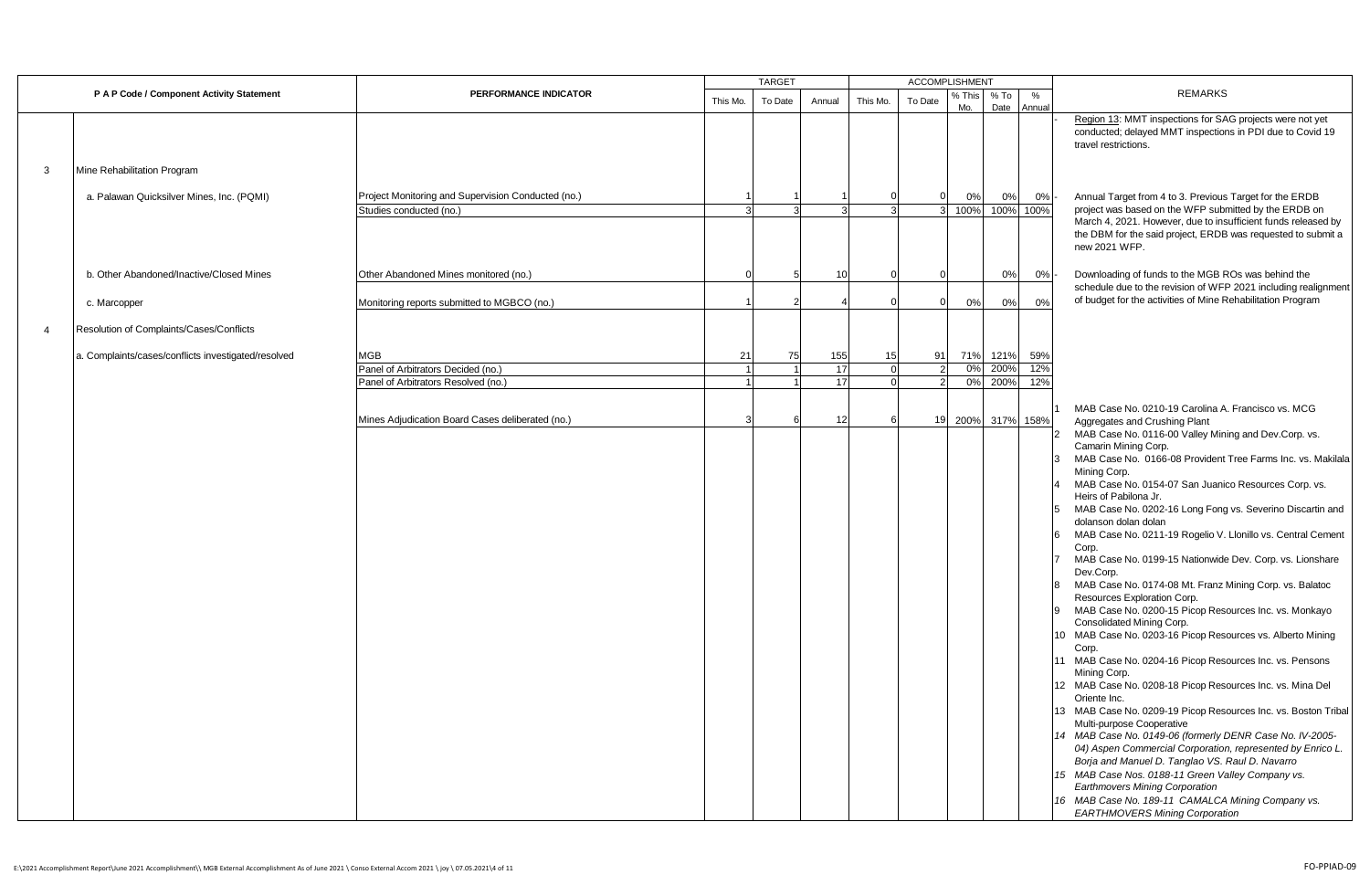|                |                                                     |                                                    |          | <b>TARGET</b> |        |          | <b>ACCOMPLISHMENT</b> |               |              |                |                                                                                                                                                                                                                                                                                                                                                                                                                                                                                                                                                                                                                                                                                                                                                                                                                                                                                                                                                                                                                                                             |
|----------------|-----------------------------------------------------|----------------------------------------------------|----------|---------------|--------|----------|-----------------------|---------------|--------------|----------------|-------------------------------------------------------------------------------------------------------------------------------------------------------------------------------------------------------------------------------------------------------------------------------------------------------------------------------------------------------------------------------------------------------------------------------------------------------------------------------------------------------------------------------------------------------------------------------------------------------------------------------------------------------------------------------------------------------------------------------------------------------------------------------------------------------------------------------------------------------------------------------------------------------------------------------------------------------------------------------------------------------------------------------------------------------------|
|                | P A P Code / Component Activity Statement           | PERFORMANCE INDICATOR                              | This Mo. | To Date       | Annual | This Mo. | To Date               | % This<br>Mo. | % To<br>Date | $\%$<br>Annual | <b>REMARKS</b>                                                                                                                                                                                                                                                                                                                                                                                                                                                                                                                                                                                                                                                                                                                                                                                                                                                                                                                                                                                                                                              |
|                |                                                     |                                                    |          |               |        |          |                       |               |              |                | Region 13: MMT inspections for SAG projects were not yet<br>conducted; delayed MMT inspections in PDI due to Covid 19<br>travel restrictions.                                                                                                                                                                                                                                                                                                                                                                                                                                                                                                                                                                                                                                                                                                                                                                                                                                                                                                               |
| 3              | Mine Rehabilitation Program                         |                                                    |          |               |        |          |                       |               |              |                |                                                                                                                                                                                                                                                                                                                                                                                                                                                                                                                                                                                                                                                                                                                                                                                                                                                                                                                                                                                                                                                             |
|                | a. Palawan Quicksilver Mines, Inc. (PQMI)           | Project Monitoring and Supervision Conducted (no.) |          |               |        |          | 0                     | 0%            | 0%           | 0%             | Annual Target from 4 to 3. Previous Target for the ERDB                                                                                                                                                                                                                                                                                                                                                                                                                                                                                                                                                                                                                                                                                                                                                                                                                                                                                                                                                                                                     |
|                |                                                     | Studies conducted (no.)                            |          |               |        |          | $\mathbf{R}$          | 100%          | 100%         | 100%           | project was based on the WFP submitted by the ERDB on                                                                                                                                                                                                                                                                                                                                                                                                                                                                                                                                                                                                                                                                                                                                                                                                                                                                                                                                                                                                       |
|                |                                                     |                                                    |          |               |        |          |                       |               |              |                | March 4, 2021. However, due to insufficient funds released by<br>the DBM for the said project, ERDB was requested to submit a<br>new 2021 WFP.                                                                                                                                                                                                                                                                                                                                                                                                                                                                                                                                                                                                                                                                                                                                                                                                                                                                                                              |
|                | b. Other Abandoned/Inactive/Closed Mines            | Other Abandoned Mines monitored (no.)              |          |               | 10     |          |                       |               | 0%           | 0%             | Downloading of funds to the MGB ROs was behind the<br>schedule due to the revision of WFP 2021 including realignment                                                                                                                                                                                                                                                                                                                                                                                                                                                                                                                                                                                                                                                                                                                                                                                                                                                                                                                                        |
|                | c. Marcopper                                        | Monitoring reports submitted to MGBCO (no.)        |          |               |        |          | $\Omega$              | 0%            | 0%           | 0%             | of budget for the activities of Mine Rehabilitation Program                                                                                                                                                                                                                                                                                                                                                                                                                                                                                                                                                                                                                                                                                                                                                                                                                                                                                                                                                                                                 |
| $\overline{4}$ | Resolution of Complaints/Cases/Conflicts            |                                                    |          |               |        |          |                       |               |              |                |                                                                                                                                                                                                                                                                                                                                                                                                                                                                                                                                                                                                                                                                                                                                                                                                                                                                                                                                                                                                                                                             |
|                | a. Complaints/cases/conflicts investigated/resolved | MGB                                                | 21       | 75            | 155    | 15       | 91                    |               | 71% 121%     | 59%            |                                                                                                                                                                                                                                                                                                                                                                                                                                                                                                                                                                                                                                                                                                                                                                                                                                                                                                                                                                                                                                                             |
|                |                                                     | Panel of Arbitrators Decided (no.)                 |          |               | 17     |          |                       | 0%            | 200%         | 12%            |                                                                                                                                                                                                                                                                                                                                                                                                                                                                                                                                                                                                                                                                                                                                                                                                                                                                                                                                                                                                                                                             |
|                |                                                     | Panel of Arbitrators Resolved (no.)                |          |               | 17     |          | $\overline{2}$        | 0%            | 200%         | 12%            |                                                                                                                                                                                                                                                                                                                                                                                                                                                                                                                                                                                                                                                                                                                                                                                                                                                                                                                                                                                                                                                             |
|                |                                                     | Mines Adjudication Board Cases deliberated (no.)   |          |               | 12     |          | 19                    | 200%          | 317%         | 158%           | MAB Case No. 0210-19 Carolina A. Francisco vs. MCG<br>Aggregates and Crushing Plant<br>MAB Case No. 0116-00 Valley Mining and Dev.Corp. vs.<br>Camarin Mining Corp.<br>MAB Case No. 0166-08 Provident Tree Farms Inc. vs. Makilala<br>Mining Corp.<br>MAB Case No. 0154-07 San Juanico Resources Corp. vs.<br>Heirs of Pabilona Jr.<br>MAB Case No. 0202-16 Long Fong vs. Severino Discartin and<br>dolanson dolan dolan<br>MAB Case No. 0211-19 Rogelio V. Llonillo vs. Central Cement<br>Corp.<br>MAB Case No. 0199-15 Nationwide Dev. Corp. vs. Lionshare<br>Dev.Corp.<br>MAB Case No. 0174-08 Mt. Franz Mining Corp. vs. Balatoc<br>Resources Exploration Corp.<br>MAB Case No. 0200-15 Picop Resources Inc. vs. Monkayo<br>Consolidated Mining Corp.<br>10 MAB Case No. 0203-16 Picop Resources vs. Alberto Mining<br>Corp.<br>11 MAB Case No. 0204-16 Picop Resources Inc. vs. Pensons<br>Mining Corp.<br>12 MAB Case No. 0208-18 Picop Resources Inc. vs. Mina Del<br>Oriente Inc.<br>13 MAB Case No. 0209-19 Picop Resources Inc. vs. Boston Tribal |
|                |                                                     |                                                    |          |               |        |          |                       |               |              |                | Multi-purpose Cooperative<br>14 MAB Case No. 0149-06 (formerly DENR Case No. IV-2005-<br>04) Aspen Commercial Corporation, represented by Enrico L.<br>Borja and Manuel D. Tanglao VS. Raul D. Navarro<br>15 MAB Case Nos. 0188-11 Green Valley Company vs.<br><b>Earthmovers Mining Corporation</b><br>16 MAB Case No. 189-11 CAMALCA Mining Company vs.<br><b>EARTHMOVERS Mining Corporation</b>                                                                                                                                                                                                                                                                                                                                                                                                                                                                                                                                                                                                                                                          |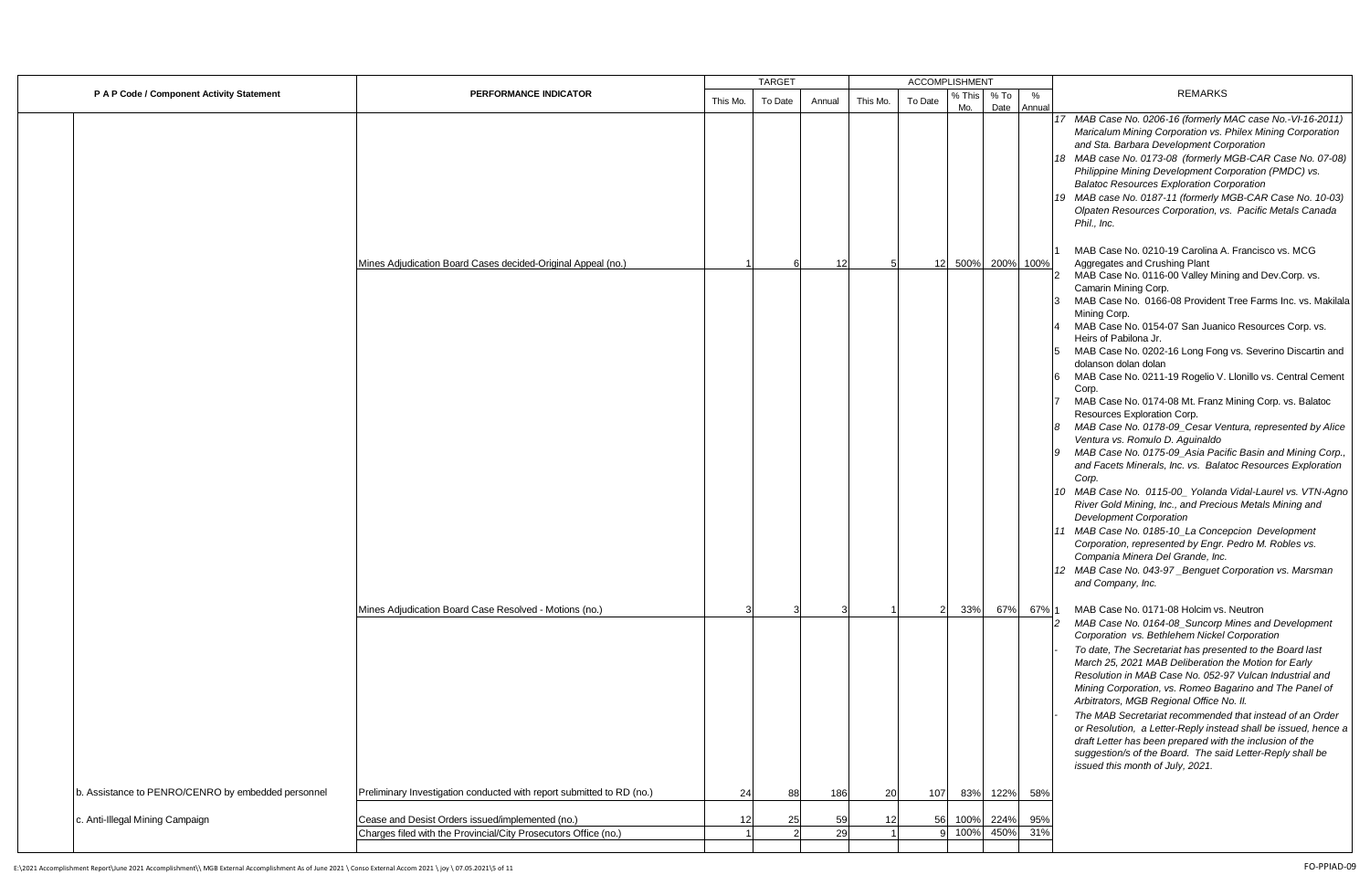|                                                    |                                                                       | <b>TARGET</b> |         | <b>ACCOMPLISHMENT</b> |          |                |               |              |                   |                                                                                                                                                                                                                                                                                                                                                                                                                                                                                                                                                                                                                                                                                                                                                                                                                                                                                                                                                                                                                                                                                                                                       |
|----------------------------------------------------|-----------------------------------------------------------------------|---------------|---------|-----------------------|----------|----------------|---------------|--------------|-------------------|---------------------------------------------------------------------------------------------------------------------------------------------------------------------------------------------------------------------------------------------------------------------------------------------------------------------------------------------------------------------------------------------------------------------------------------------------------------------------------------------------------------------------------------------------------------------------------------------------------------------------------------------------------------------------------------------------------------------------------------------------------------------------------------------------------------------------------------------------------------------------------------------------------------------------------------------------------------------------------------------------------------------------------------------------------------------------------------------------------------------------------------|
| P A P Code / Component Activity Statement          | PERFORMANCE INDICATOR                                                 | This Mo.      | To Date | Annual                | This Mo. | To Date        | % This<br>Mo. | % To<br>Date | %<br>Annual       | <b>REMARKS</b>                                                                                                                                                                                                                                                                                                                                                                                                                                                                                                                                                                                                                                                                                                                                                                                                                                                                                                                                                                                                                                                                                                                        |
|                                                    |                                                                       |               |         |                       |          |                |               |              |                   | 17 MAB Case No. 0206-16 (formerly MAC case No.-VI-16-2011)<br>Maricalum Mining Corporation vs. Philex Mining Corporation<br>and Sta. Barbara Development Corporation<br>18 MAB case No. 0173-08 (formerly MGB-CAR Case No. 07-08)<br>Philippine Mining Development Corporation (PMDC) vs.<br><b>Balatoc Resources Exploration Corporation</b><br>19 MAB case No. 0187-11 (formerly MGB-CAR Case No. 10-03)<br>Olpaten Resources Corporation, vs. Pacific Metals Canada<br>Phil., Inc.                                                                                                                                                                                                                                                                                                                                                                                                                                                                                                                                                                                                                                                 |
|                                                    | Mines Adjudication Board Cases decided-Original Appeal (no.)          |               |         | 12                    |          |                |               |              | 12 500% 200% 100% | MAB Case No. 0210-19 Carolina A. Francisco vs. MCG<br>Aggregates and Crushing Plant                                                                                                                                                                                                                                                                                                                                                                                                                                                                                                                                                                                                                                                                                                                                                                                                                                                                                                                                                                                                                                                   |
|                                                    |                                                                       |               |         |                       |          |                |               |              |                   | MAB Case No. 0116-00 Valley Mining and Dev.Corp. vs.<br>Camarin Mining Corp.<br>MAB Case No. 0166-08 Provident Tree Farms Inc. vs. Makilala<br>Mining Corp.<br>MAB Case No. 0154-07 San Juanico Resources Corp. vs.<br>Heirs of Pabilona Jr.<br>MAB Case No. 0202-16 Long Fong vs. Severino Discartin and<br>dolanson dolan dolan<br>MAB Case No. 0211-19 Rogelio V. Llonillo vs. Central Cement<br>Corp.<br>MAB Case No. 0174-08 Mt. Franz Mining Corp. vs. Balatoc<br>Resources Exploration Corp.<br>MAB Case No. 0178-09_Cesar Ventura, represented by Alice<br>Ventura vs. Romulo D. Aquinaldo<br>9 MAB Case No. 0175-09_Asia Pacific Basin and Mining Corp.,<br>and Facets Minerals, Inc. vs. Balatoc Resources Exploration<br>Corp.<br>10 MAB Case No. 0115-00_ Yolanda Vidal-Laurel vs. VTN-Agno<br>River Gold Mining, Inc., and Precious Metals Mining and<br><b>Development Corporation</b><br>11 MAB Case No. 0185-10_La Concepcion Development<br>Corporation, represented by Engr. Pedro M. Robles vs.<br>Compania Minera Del Grande, Inc.<br>12 MAB Case No. 043-97_Benguet Corporation vs. Marsman<br>and Company, Inc. |
|                                                    | Mines Adjudication Board Case Resolved - Motions (no.)                |               |         |                       |          | $\overline{2}$ | 33%           | 67%          | 67% 1             | MAB Case No. 0171-08 Holcim vs. Neutron<br>MAB Case No. 0164-08_Suncorp Mines and Development<br>Corporation vs. Bethlehem Nickel Corporation<br>To date, The Secretariat has presented to the Board last<br>March 25, 2021 MAB Deliberation the Motion for Early<br>Resolution in MAB Case No. 052-97 Vulcan Industrial and<br>Mining Corporation, vs. Romeo Bagarino and The Panel of<br>Arbitrators, MGB Regional Office No. II.<br>The MAB Secretariat recommended that instead of an Order<br>or Resolution, a Letter-Reply instead shall be issued, hence a<br>draft Letter has been prepared with the inclusion of the<br>suggestion/s of the Board. The said Letter-Reply shall be<br>issued this month of July, 2021.                                                                                                                                                                                                                                                                                                                                                                                                        |
| b. Assistance to PENRO/CENRO by embedded personnel | Preliminary Investigation conducted with report submitted to RD (no.) | 24            | 88      | 186                   | 20       | 107            |               | 83% 122%     | 58%               |                                                                                                                                                                                                                                                                                                                                                                                                                                                                                                                                                                                                                                                                                                                                                                                                                                                                                                                                                                                                                                                                                                                                       |
| c. Anti-Illegal Mining Campaign                    | Cease and Desist Orders issued/implemented (no.)                      | 12            | 25      | 59                    |          | 56             |               | 100% 224%    | 95%               |                                                                                                                                                                                                                                                                                                                                                                                                                                                                                                                                                                                                                                                                                                                                                                                                                                                                                                                                                                                                                                                                                                                                       |
|                                                    | Charges filed with the Provincial/City Prosecutors Office (no.)       |               |         | 29                    |          | 9              |               | 100% 450%    | 31%               |                                                                                                                                                                                                                                                                                                                                                                                                                                                                                                                                                                                                                                                                                                                                                                                                                                                                                                                                                                                                                                                                                                                                       |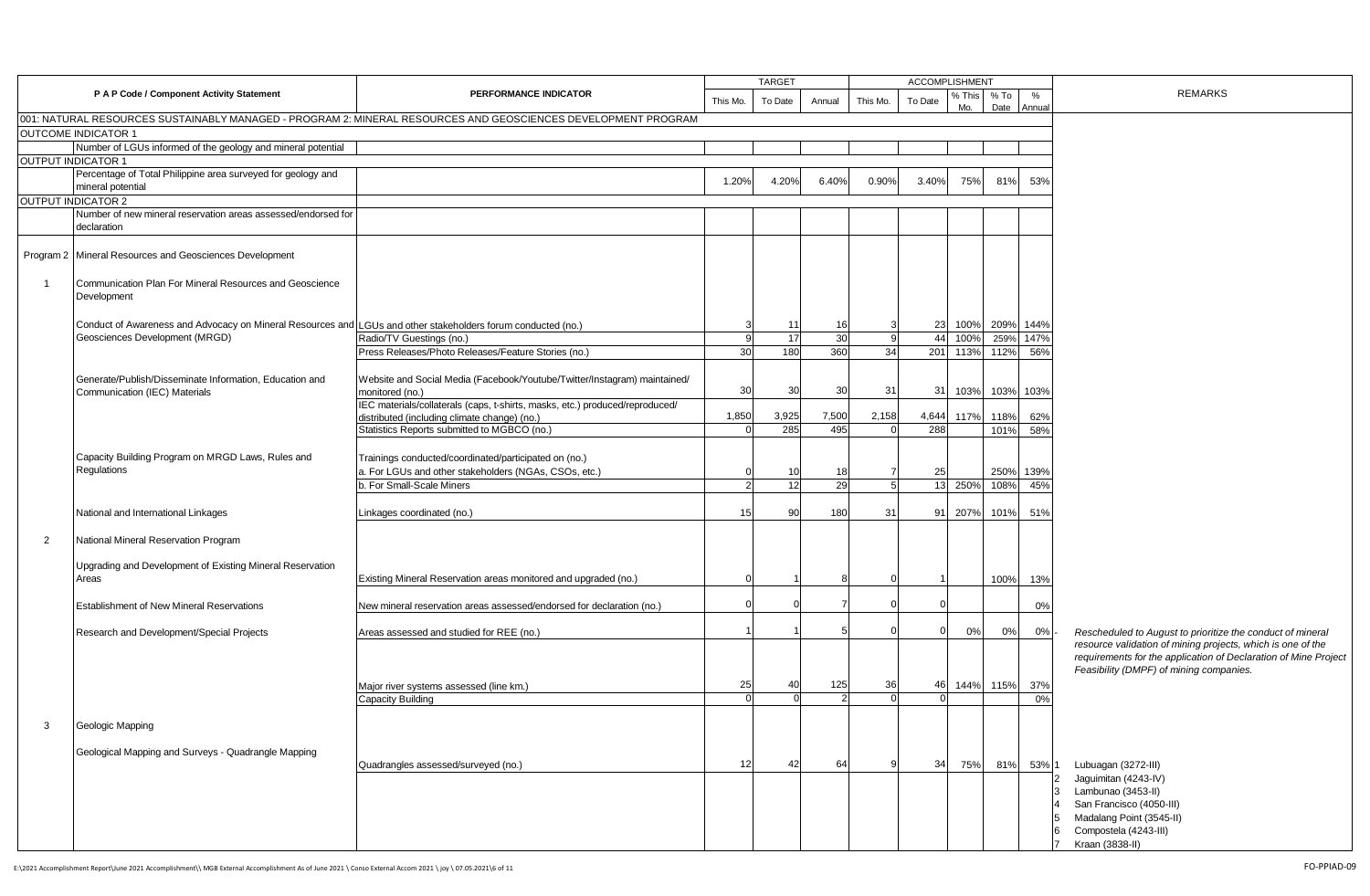|                           |                                                                                                              |                                                                                                               |          | <b>TARGET</b> |        |          | <b>ACCOMPLISHMENT</b> |               |                |             |                                                                                                                                                                                              |
|---------------------------|--------------------------------------------------------------------------------------------------------------|---------------------------------------------------------------------------------------------------------------|----------|---------------|--------|----------|-----------------------|---------------|----------------|-------------|----------------------------------------------------------------------------------------------------------------------------------------------------------------------------------------------|
|                           | P A P Code / Component Activity Statement                                                                    | PERFORMANCE INDICATOR                                                                                         | This Mo. | To Date       | Annual | This Mo. | To Date               | % This<br>Mo. | $%$ To<br>Date | %<br>Annual | <b>REMARKS</b>                                                                                                                                                                               |
|                           |                                                                                                              | 001: NATURAL RESOURCES SUSTAINABLY MANAGED - PROGRAM 2: MINERAL RESOURCES AND GEOSCIENCES DEVELOPMENT PROGRAM |          |               |        |          |                       |               |                |             |                                                                                                                                                                                              |
|                           | <b>OUTCOME INDICATOR 1</b>                                                                                   |                                                                                                               |          |               |        |          |                       |               |                |             |                                                                                                                                                                                              |
|                           | Number of LGUs informed of the geology and mineral potential                                                 |                                                                                                               |          |               |        |          |                       |               |                |             |                                                                                                                                                                                              |
| <b>OUTPUT INDICATOR 1</b> |                                                                                                              |                                                                                                               |          |               |        |          |                       |               |                |             |                                                                                                                                                                                              |
|                           | Percentage of Total Philippine area surveyed for geology and<br>mineral potential                            |                                                                                                               | 1.20%    | 4.20%         | 6.40%  | 0.90%    | 3.40%                 | 75%           | 81%            | 53%         |                                                                                                                                                                                              |
| <b>OUTPUT INDICATOR 2</b> |                                                                                                              |                                                                                                               |          |               |        |          |                       |               |                |             |                                                                                                                                                                                              |
|                           | Number of new mineral reservation areas assessed/endorsed for                                                |                                                                                                               |          |               |        |          |                       |               |                |             |                                                                                                                                                                                              |
|                           | declaration                                                                                                  |                                                                                                               |          |               |        |          |                       |               |                |             |                                                                                                                                                                                              |
|                           | Program 2 Mineral Resources and Geosciences Development                                                      |                                                                                                               |          |               |        |          |                       |               |                |             |                                                                                                                                                                                              |
|                           | Communication Plan For Mineral Resources and Geoscience<br>Development                                       |                                                                                                               |          |               |        |          |                       |               |                |             |                                                                                                                                                                                              |
|                           | Conduct of Awareness and Advocacy on Mineral Resources and LGUs and other stakeholders forum conducted (no.) |                                                                                                               |          | $\cdot$       | 16     |          | 23                    |               | 100% 209% 144% |             |                                                                                                                                                                                              |
|                           | Geosciences Development (MRGD)                                                                               | Radio/TV Guestings (no.)                                                                                      |          | 17            | 30     |          | 44                    | 100%          | 259%           | 147%        |                                                                                                                                                                                              |
|                           |                                                                                                              | Press Releases/Photo Releases/Feature Stories (no.)                                                           | 30       | 180           | 360    | 34       |                       | 201 113% 112% |                | 56%         |                                                                                                                                                                                              |
|                           |                                                                                                              |                                                                                                               |          |               |        |          |                       |               |                |             |                                                                                                                                                                                              |
|                           | Generate/Publish/Disseminate Information, Education and<br>Communication (IEC) Materials                     | Website and Social Media (Facebook/Youtube/Twitter/Instagram) maintained/<br>monitored (no.)                  | 30       | 30            | 30     | 31       | 31                    | 103%          | 103% 103%      |             |                                                                                                                                                                                              |
|                           |                                                                                                              | IEC materials/collaterals (caps, t-shirts, masks, etc.) produced/reproduced/                                  |          |               |        |          |                       |               |                |             |                                                                                                                                                                                              |
|                           |                                                                                                              | distributed (including climate change) (no.)                                                                  | 1,850    | 3,925         | 7,500  | 2,158    | 4,644                 | 117%          | 118%           | 62%         |                                                                                                                                                                                              |
|                           |                                                                                                              | Statistics Reports submitted to MGBCO (no.)                                                                   |          | 285           | 495    |          | 288                   |               | 101%           | 58%         |                                                                                                                                                                                              |
|                           |                                                                                                              |                                                                                                               |          |               |        |          |                       |               |                |             |                                                                                                                                                                                              |
|                           | Capacity Building Program on MRGD Laws, Rules and                                                            | Trainings conducted/coordinated/participated on (no.)                                                         |          |               |        |          |                       |               |                |             |                                                                                                                                                                                              |
|                           | Regulations                                                                                                  | a. For LGUs and other stakeholders (NGAs, CSOs, etc.)                                                         |          | 10            | 18     |          | 25                    |               | 250%           | 139%        |                                                                                                                                                                                              |
|                           |                                                                                                              | b. For Small-Scale Miners                                                                                     |          | 12            | 29     |          |                       | 13 250%       | 108%           | 45%         |                                                                                                                                                                                              |
|                           | National and International Linkages                                                                          | Linkages coordinated (no.)                                                                                    | 15       | 90            | 180    | 31       | 91                    | 207%          | 101%           | 51%         |                                                                                                                                                                                              |
| $\overline{2}$            | National Mineral Reservation Program                                                                         |                                                                                                               |          |               |        |          |                       |               |                |             |                                                                                                                                                                                              |
|                           | Upgrading and Development of Existing Mineral Reservation<br>Areas                                           | Existing Mineral Reservation areas monitored and upgraded (no.)                                               |          |               |        |          |                       |               | 100%           | 13%         |                                                                                                                                                                                              |
|                           |                                                                                                              |                                                                                                               |          |               |        |          |                       |               |                |             |                                                                                                                                                                                              |
|                           | Establishment of New Mineral Reservations                                                                    | New mineral reservation areas assessed/endorsed for declaration (no.)                                         |          |               |        |          |                       |               |                | 0%          |                                                                                                                                                                                              |
|                           |                                                                                                              |                                                                                                               |          |               |        |          |                       | 0%            | 0%             | 0%          |                                                                                                                                                                                              |
|                           | Research and Development/Special Projects                                                                    | Areas assessed and studied for REE (no.)                                                                      |          |               |        |          |                       |               |                |             | Rescheduled to August to prioritize the conduct of mineral<br>resource validation of mining projects, which is one of the<br>requirements for the application of Declaration of Mine Project |
|                           |                                                                                                              |                                                                                                               |          |               |        |          |                       |               |                |             | Feasibility (DMPF) of mining companies.                                                                                                                                                      |
|                           |                                                                                                              | Major river systems assessed (line km.)                                                                       | 25       | 40            | 125    | 36       | 46                    | 144% 115%     |                | 37%         |                                                                                                                                                                                              |
|                           |                                                                                                              | <b>Capacity Building</b>                                                                                      |          |               |        |          |                       |               |                | 0%          |                                                                                                                                                                                              |
| 3                         | Geologic Mapping                                                                                             |                                                                                                               |          |               |        |          |                       |               |                |             |                                                                                                                                                                                              |
|                           |                                                                                                              |                                                                                                               |          |               |        |          |                       |               |                |             |                                                                                                                                                                                              |
|                           | Geological Mapping and Surveys - Quadrangle Mapping                                                          |                                                                                                               |          |               |        |          |                       |               |                |             |                                                                                                                                                                                              |
|                           |                                                                                                              | Quadrangles assessed/surveyed (no.)                                                                           | 12       | 42            | 64     |          | 34                    | 75%           | 81%            | 53% 1       | Lubuagan (3272-III)                                                                                                                                                                          |
|                           |                                                                                                              |                                                                                                               |          |               |        |          |                       |               |                |             | Jaguimitan (4243-IV)                                                                                                                                                                         |
|                           |                                                                                                              |                                                                                                               |          |               |        |          |                       |               |                | 13          | Lambunao (3453-II)                                                                                                                                                                           |
|                           |                                                                                                              |                                                                                                               |          |               |        |          |                       |               |                |             | San Francisco (4050-III)                                                                                                                                                                     |
|                           |                                                                                                              |                                                                                                               |          |               |        |          |                       |               |                |             | Madalang Point (3545-II)                                                                                                                                                                     |
|                           |                                                                                                              |                                                                                                               |          |               |        |          |                       |               |                |             | Compostela (4243-III)<br>Kraan (3838-II)                                                                                                                                                     |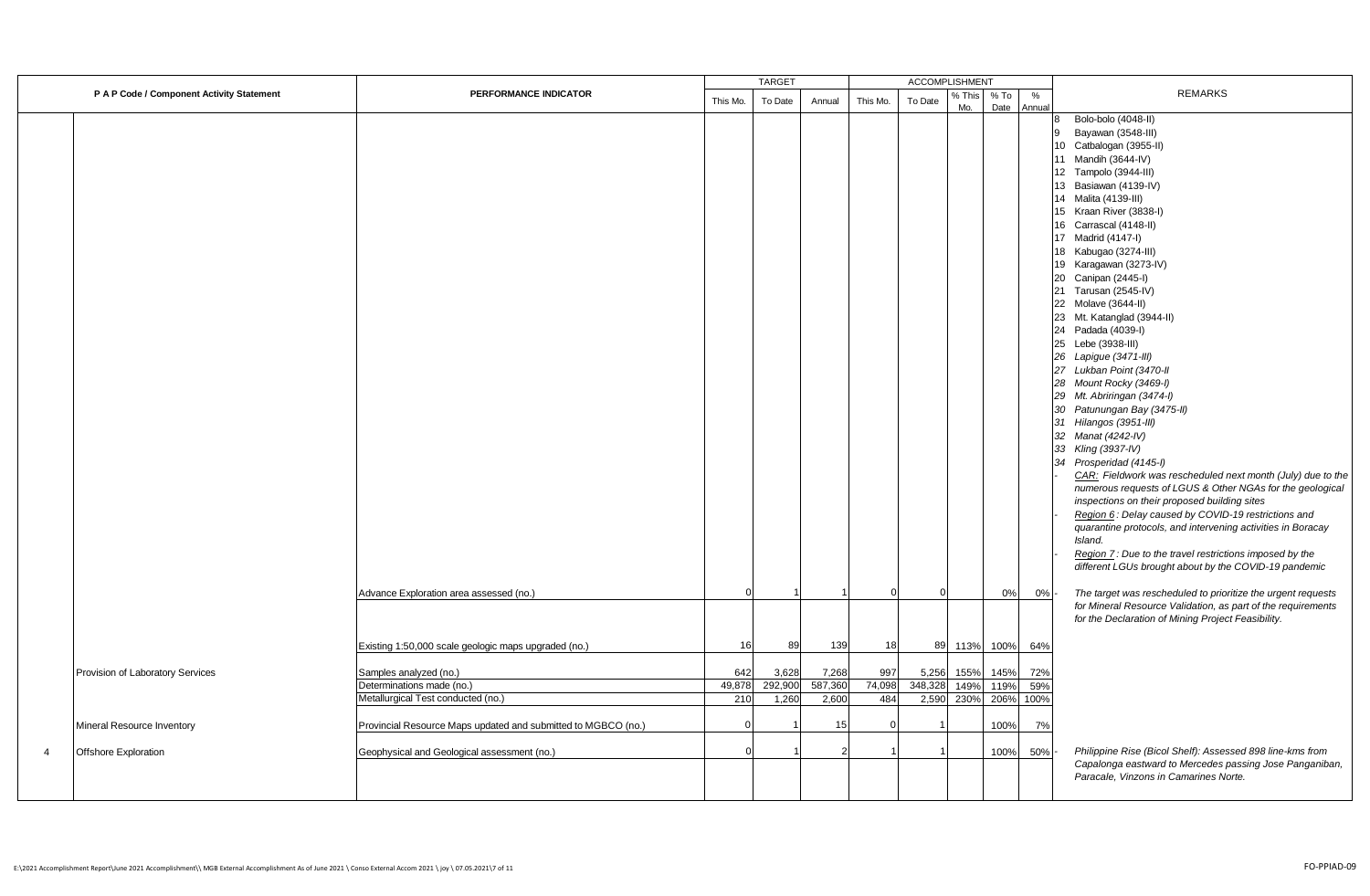|                                           |                                                                 |               | <b>TARGET</b>    |                  |               | ACCOMPLISHMENT   |               |                |             |                                                                                                                                                                                                                                                                                                                                                                                                                                                                                                                                                                                                                                                                                                                                                                                                                                                                                                                                                                                                                                                                                                                                                                                                              |
|-------------------------------------------|-----------------------------------------------------------------|---------------|------------------|------------------|---------------|------------------|---------------|----------------|-------------|--------------------------------------------------------------------------------------------------------------------------------------------------------------------------------------------------------------------------------------------------------------------------------------------------------------------------------------------------------------------------------------------------------------------------------------------------------------------------------------------------------------------------------------------------------------------------------------------------------------------------------------------------------------------------------------------------------------------------------------------------------------------------------------------------------------------------------------------------------------------------------------------------------------------------------------------------------------------------------------------------------------------------------------------------------------------------------------------------------------------------------------------------------------------------------------------------------------|
| P A P Code / Component Activity Statement | <b>PERFORMANCE INDICATOR</b>                                    | This Mo.      | To Date          | Annual           | This Mo.      | To Date          | % This<br>Mo. | $%$ To<br>Date | %<br>Annual | <b>REMARKS</b>                                                                                                                                                                                                                                                                                                                                                                                                                                                                                                                                                                                                                                                                                                                                                                                                                                                                                                                                                                                                                                                                                                                                                                                               |
|                                           | Advance Exploration area assessed (no.)                         |               |                  |                  |               |                  |               | 0%             | 0%          | Bolo-bolo (4048-II)<br>8<br>Bayawan (3548-III)<br>9<br>10 Catbalogan (3955-II)<br>11 Mandih (3644-IV)<br>12 Tampolo (3944-III)<br>13 Basiawan (4139-IV)<br>14 Malita (4139-III)<br>15 Kraan River (3838-I)<br>16 Carrascal (4148-II)<br>17 Madrid (4147-I)<br>18 Kabugao (3274-III)<br>19 Karagawan (3273-IV)<br>20 Canipan (2445-I)<br>21 Tarusan (2545-IV)<br>22 Molave (3644-II)<br>23 Mt. Katanglad (3944-II)<br>24 Padada (4039-I)<br>25 Lebe (3938-III)<br>26 Lapigue (3471-III)<br>27 Lukban Point (3470-II<br>28 Mount Rocky (3469-I)<br>29 Mt. Abriringan (3474-I)<br>30 Patunungan Bay (3475-II)<br>31 Hilangos (3951-III)<br>32 Manat (4242-IV)<br>33 Kling (3937-IV)<br>34 Prosperidad (4145-I)<br>CAR: Fieldwork was rescheduled next month (July) due to the<br>numerous requests of LGUS & Other NGAs for the geological<br>inspections on their proposed building sites<br>Region 6: Delay caused by COVID-19 restrictions and<br>quarantine protocols, and intervening activities in Boracay<br>Island.<br>Region 7: Due to the travel restrictions imposed by the<br>different LGUs brought about by the COVID-19 pandemic<br>The target was rescheduled to prioritize the urgent requests |
|                                           |                                                                 | 16            |                  |                  |               |                  |               |                |             | for Mineral Resource Validation, as part of the requirements<br>for the Declaration of Mining Project Feasibility.                                                                                                                                                                                                                                                                                                                                                                                                                                                                                                                                                                                                                                                                                                                                                                                                                                                                                                                                                                                                                                                                                           |
|                                           | Existing 1:50,000 scale geologic maps upgraded (no.)            |               | 89               | 139              | 18            | 89               |               | 113% 100%      | 64%         |                                                                                                                                                                                                                                                                                                                                                                                                                                                                                                                                                                                                                                                                                                                                                                                                                                                                                                                                                                                                                                                                                                                                                                                                              |
| Provision of Laboratory Services          | Samples analyzed (no.)                                          | 642           | 3,628<br>292,900 | 7,268            | 997           | 5,256<br>348,328 | 155%          | 145%           | 72%<br>59%  |                                                                                                                                                                                                                                                                                                                                                                                                                                                                                                                                                                                                                                                                                                                                                                                                                                                                                                                                                                                                                                                                                                                                                                                                              |
|                                           | Determinations made (no.)<br>Metallurgical Test conducted (no.) | 49,878<br>210 | 1,260            | 587,360<br>2,600 | 74,098<br>484 | 2,590            | 149%<br>230%  | 119%<br>206%   | 100%        |                                                                                                                                                                                                                                                                                                                                                                                                                                                                                                                                                                                                                                                                                                                                                                                                                                                                                                                                                                                                                                                                                                                                                                                                              |
|                                           |                                                                 |               |                  |                  |               |                  |               |                |             |                                                                                                                                                                                                                                                                                                                                                                                                                                                                                                                                                                                                                                                                                                                                                                                                                                                                                                                                                                                                                                                                                                                                                                                                              |
| Mineral Resource Inventory                | Provincial Resource Maps updated and submitted to MGBCO (no.)   | $\Omega$      |                  | 15               | $\Omega$      |                  |               | 100%           | 7%          |                                                                                                                                                                                                                                                                                                                                                                                                                                                                                                                                                                                                                                                                                                                                                                                                                                                                                                                                                                                                                                                                                                                                                                                                              |
| Offshore Exploration<br>$\overline{4}$    | Geophysical and Geological assessment (no.)                     |               |                  |                  |               |                  |               | 100%           | 50%         | Philippine Rise (Bicol Shelf): Assessed 898 line-kms from<br>Capalonga eastward to Mercedes passing Jose Panganiban,<br>Paracale, Vinzons in Camarines Norte.                                                                                                                                                                                                                                                                                                                                                                                                                                                                                                                                                                                                                                                                                                                                                                                                                                                                                                                                                                                                                                                |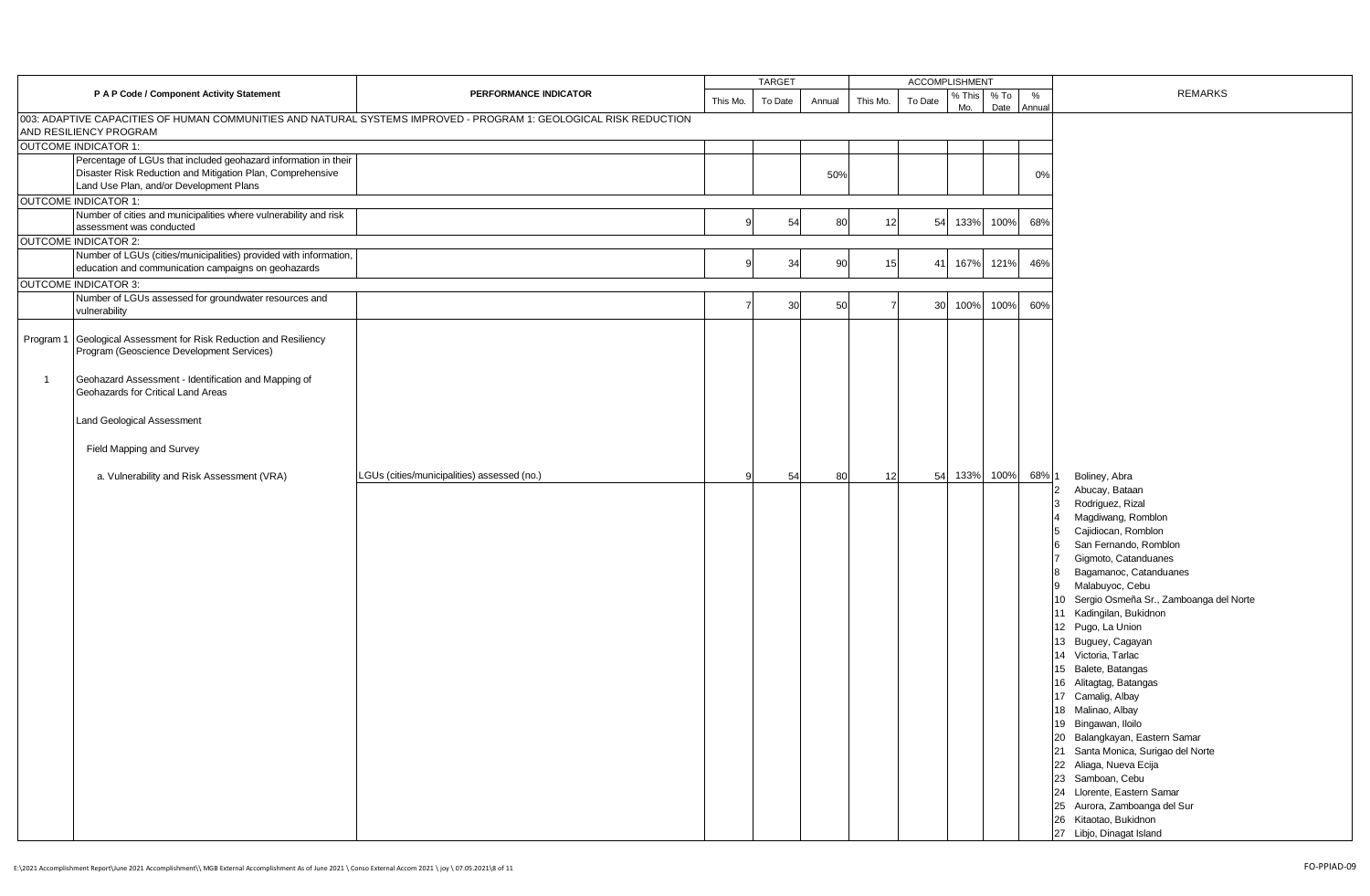|                                                                                                                                                                          |                                             |          | <b>TARGET</b> |        |          | <b>ACCOMPLISHMENT</b> |               |              |                   |                                                                                                                                                                                                                                                                                                                                                                                                                                                                                                                                                                                                                                                                                     |
|--------------------------------------------------------------------------------------------------------------------------------------------------------------------------|---------------------------------------------|----------|---------------|--------|----------|-----------------------|---------------|--------------|-------------------|-------------------------------------------------------------------------------------------------------------------------------------------------------------------------------------------------------------------------------------------------------------------------------------------------------------------------------------------------------------------------------------------------------------------------------------------------------------------------------------------------------------------------------------------------------------------------------------------------------------------------------------------------------------------------------------|
| P A P Code / Component Activity Statement                                                                                                                                | PERFORMANCE INDICATOR                       | This Mo. | To Date       | Annual | This Mo. | To Date               | % This<br>Mo. | % To<br>Date | %<br>Annual       | <b>REMARKS</b>                                                                                                                                                                                                                                                                                                                                                                                                                                                                                                                                                                                                                                                                      |
| 003: ADAPTIVE CAPACITIES OF HUMAN COMMUNITIES AND NATURAL SYSTEMS IMPROVED - PROGRAM 1: GEOLOGICAL RISK REDUCTION<br>AND RESILIENCY PROGRAM                              |                                             |          |               |        |          |                       |               |              |                   |                                                                                                                                                                                                                                                                                                                                                                                                                                                                                                                                                                                                                                                                                     |
| <b>OUTCOME INDICATOR 1:</b>                                                                                                                                              |                                             |          |               |        |          |                       |               |              |                   |                                                                                                                                                                                                                                                                                                                                                                                                                                                                                                                                                                                                                                                                                     |
| Percentage of LGUs that included geohazard information in their<br>Disaster Risk Reduction and Mitigation Plan, Comprehensive<br>Land Use Plan, and/or Development Plans |                                             |          |               | 50%    |          |                       |               |              | 0%                |                                                                                                                                                                                                                                                                                                                                                                                                                                                                                                                                                                                                                                                                                     |
| <b>OUTCOME INDICATOR 1:</b>                                                                                                                                              |                                             |          |               |        |          |                       |               |              |                   |                                                                                                                                                                                                                                                                                                                                                                                                                                                                                                                                                                                                                                                                                     |
| Number of cities and municipalities where vulnerability and risk<br>assessment was conducted                                                                             |                                             |          | 54            | 80     | 12       | 54                    | 133%          | 100%         | 68%               |                                                                                                                                                                                                                                                                                                                                                                                                                                                                                                                                                                                                                                                                                     |
| <b>OUTCOME INDICATOR 2:</b>                                                                                                                                              |                                             |          |               |        |          |                       |               |              |                   |                                                                                                                                                                                                                                                                                                                                                                                                                                                                                                                                                                                                                                                                                     |
| Number of LGUs (cities/municipalities) provided with information,<br>education and communication campaigns on geohazards                                                 |                                             |          | 34            | 90     | 15       | 41                    | 167%          | 121%         | 46%               |                                                                                                                                                                                                                                                                                                                                                                                                                                                                                                                                                                                                                                                                                     |
| <b>OUTCOME INDICATOR 3:</b>                                                                                                                                              |                                             |          |               |        |          |                       |               |              |                   |                                                                                                                                                                                                                                                                                                                                                                                                                                                                                                                                                                                                                                                                                     |
| Number of LGUs assessed for groundwater resources and                                                                                                                    |                                             |          |               |        |          |                       |               |              |                   |                                                                                                                                                                                                                                                                                                                                                                                                                                                                                                                                                                                                                                                                                     |
| vulnerability                                                                                                                                                            |                                             |          | 30            | 50     |          | 30                    | 100%          | 100%         | 60%               |                                                                                                                                                                                                                                                                                                                                                                                                                                                                                                                                                                                                                                                                                     |
| Program 1<br>Geological Assessment for Risk Reduction and Resiliency<br>Program (Geoscience Development Services)                                                        |                                             |          |               |        |          |                       |               |              |                   |                                                                                                                                                                                                                                                                                                                                                                                                                                                                                                                                                                                                                                                                                     |
| $\overline{1}$<br>Geohazard Assessment - Identification and Mapping of<br>Geohazards for Critical Land Areas                                                             |                                             |          |               |        |          |                       |               |              |                   |                                                                                                                                                                                                                                                                                                                                                                                                                                                                                                                                                                                                                                                                                     |
| Land Geological Assessment                                                                                                                                               |                                             |          |               |        |          |                       |               |              |                   |                                                                                                                                                                                                                                                                                                                                                                                                                                                                                                                                                                                                                                                                                     |
| Field Mapping and Survey                                                                                                                                                 |                                             |          |               |        |          |                       |               |              |                   |                                                                                                                                                                                                                                                                                                                                                                                                                                                                                                                                                                                                                                                                                     |
| a. Vulnerability and Risk Assessment (VRA)                                                                                                                               | LGUs (cities/municipalities) assessed (no.) |          | 54            | 80     | 12       | 54                    | 133%          | 100%         | 68% 1             | Boliney, Abra                                                                                                                                                                                                                                                                                                                                                                                                                                                                                                                                                                                                                                                                       |
|                                                                                                                                                                          |                                             |          |               |        |          |                       |               |              | l3<br>5<br>6<br>8 | Abucay, Bataan<br>Rodriguez, Rizal<br>Magdiwang, Romblon<br>Cajidiocan, Romblon<br>San Fernando, Romblon<br>Gigmoto, Catanduanes<br>Bagamanoc, Catanduanes<br>9 Malabuyoc, Cebu<br>10 Sergio Osmeña Sr., Zamboanga del Norte<br>11 Kadingilan, Bukidnon<br>12 Pugo, La Union<br>13 Buguey, Cagayan<br>14 Victoria, Tarlac<br>15 Balete, Batangas<br>16 Alitagtag, Batangas<br>17 Camalig, Albay<br>18 Malinao, Albay<br>19 Bingawan, Iloilo<br>20 Balangkayan, Eastern Samar<br>21 Santa Monica, Surigao del Norte<br>22 Aliaga, Nueva Ecija<br>23 Samboan, Cebu<br>24 Llorente, Eastern Samar<br>25 Aurora, Zamboanga del Sur<br>26 Kitaotao, Bukidnon<br>27 Libjo, Dinagat Island |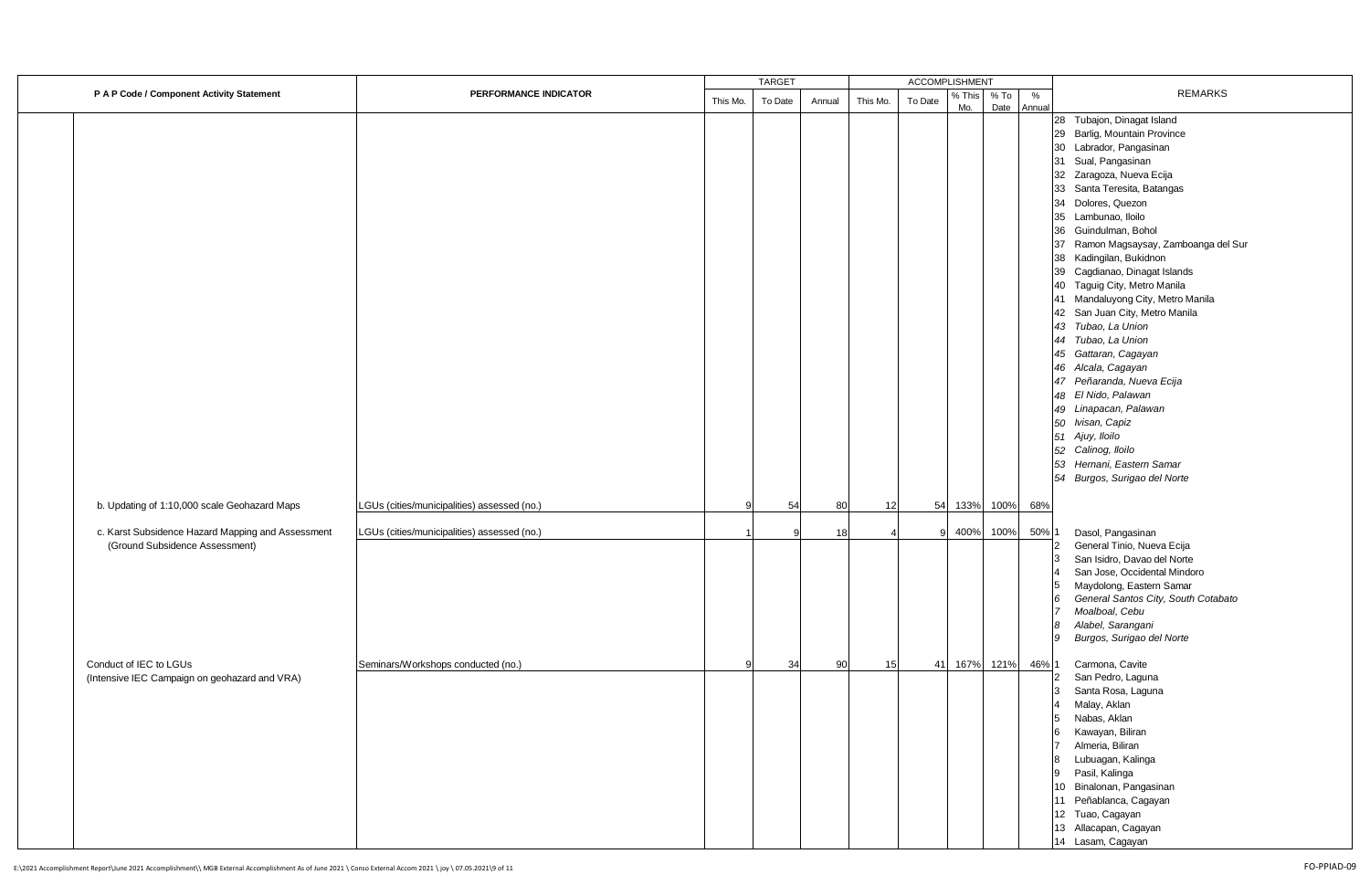|                                                                                     | <b>TARGET</b><br><b>ACCOMPLISHMENT</b>      |          |         |        |          |         |        |           |                                                                                                                                                                                                                                                                                                                                                                                                                                  |  |
|-------------------------------------------------------------------------------------|---------------------------------------------|----------|---------|--------|----------|---------|--------|-----------|----------------------------------------------------------------------------------------------------------------------------------------------------------------------------------------------------------------------------------------------------------------------------------------------------------------------------------------------------------------------------------------------------------------------------------|--|
| P A P Code / Component Activity Statement                                           | PERFORMANCE INDICATOR                       | This Mo. | To Date | Annual | This Mo. | To Date | % This | $%$ To    | <b>REMARKS</b><br>$\%$                                                                                                                                                                                                                                                                                                                                                                                                           |  |
|                                                                                     |                                             |          |         |        |          |         | Mo.    | Date      | Annual<br>28 Tubajon, Dinagat Island<br>29 Barlig, Mountain Province<br>30 Labrador, Pangasinan<br>31 Sual, Pangasinan<br>32 Zaragoza, Nueva Ecija<br>33 Santa Teresita, Batangas<br>34 Dolores, Quezon<br>35 Lambunao, Iloilo<br>36 Guindulman, Bohol<br>37 Ramon Magsaysay, Zamboanga del Sur<br>38 Kadingilan, Bukidnon<br>39 Cagdianao, Dinagat Islands<br>40 Taguig City, Metro Manila<br>41 Mandaluyong City, Metro Manila |  |
| b. Updating of 1:10,000 scale Geohazard Maps                                        | LGUs (cities/municipalities) assessed (no.) | q        | 54      | 80     | 12       | 54      |        | 133% 100% | 42 San Juan City, Metro Manila<br>43 Tubao, La Union<br>44 Tubao, La Union<br>45 Gattaran, Cagayan<br>46 Alcala, Cagayan<br>47 Peñaranda, Nueva Ecija<br>48 El Nido, Palawan<br>49 Linapacan, Palawan<br>50 Ivisan, Capiz<br>51 Ajuy, lloilo<br>52 Calinog, Iloilo<br>53 Hernani, Eastern Samar<br>54 Burgos, Surigao del Norte<br>68%                                                                                           |  |
| c. Karst Subsidence Hazard Mapping and Assessment<br>(Ground Subsidence Assessment) | LGUs (cities/municipalities) assessed (no.) |          |         | 18     |          |         | 400%   | 100%      | 50% 1<br>Dasol, Pangasinan<br>General Tinio, Nueva Ecija<br>San Isidro, Davao del Norte<br>San Jose, Occidental Mindoro<br>Maydolong, Eastern Samar<br>5<br>General Santos City, South Cotabato<br>6<br>Moalboal, Cebu<br>$\overline{7}$<br>Alabel, Sarangani<br>8<br>Burgos, Surigao del Norte<br>9                                                                                                                             |  |
| Conduct of IEC to LGUs<br>(Intensive IEC Campaign on geohazard and VRA)             | Seminars/Workshops conducted (no.)          | 9        | 34      | 90     | 15       | 41      |        | 167% 121% | 46% 1<br>Carmona, Cavite<br>San Pedro, Laguna<br>Santa Rosa, Laguna<br>Malay, Aklan<br>Nabas, Aklan<br>5<br>Kawayan, Biliran<br>Almeria, Biliran<br>$\overline{7}$<br>Lubuagan, Kalinga<br>8<br>Pasil, Kalinga<br>9<br>10 Binalonan, Pangasinan<br>11 Peñablanca, Cagayan<br>12 Tuao, Cagayan<br>13 Allacapan, Cagayan<br>14 Lasam, Cagayan                                                                                      |  |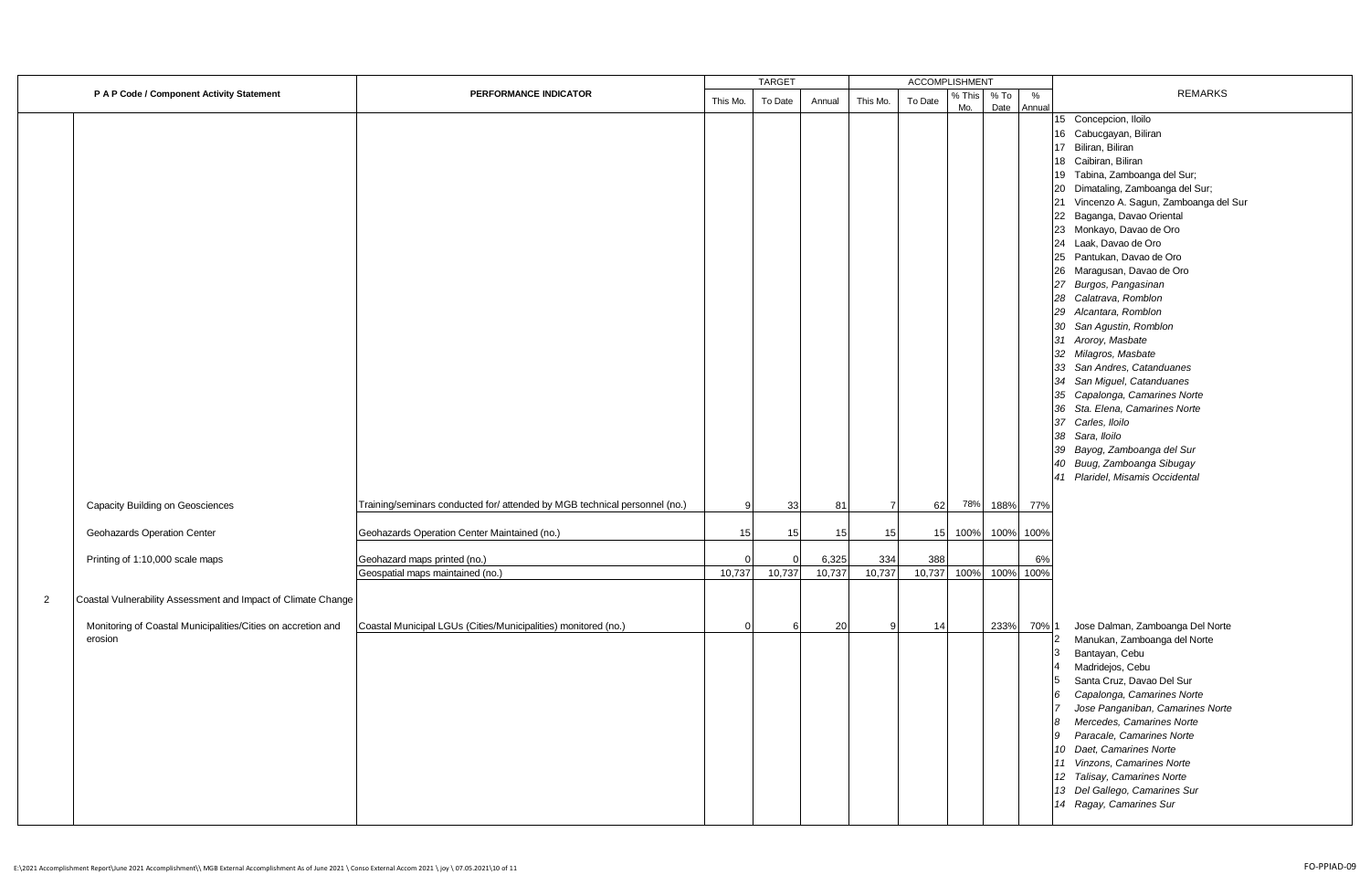|                |                                                                         |                                                                            |          | <b>TARGET</b> |                 |                | <b>ACCOMPLISHMENT</b> |               |              |             |                                                                                                                                                                                                                                                                                                                                                                                                                                                                                                                                                                                                                                                                                                                                                                                          |
|----------------|-------------------------------------------------------------------------|----------------------------------------------------------------------------|----------|---------------|-----------------|----------------|-----------------------|---------------|--------------|-------------|------------------------------------------------------------------------------------------------------------------------------------------------------------------------------------------------------------------------------------------------------------------------------------------------------------------------------------------------------------------------------------------------------------------------------------------------------------------------------------------------------------------------------------------------------------------------------------------------------------------------------------------------------------------------------------------------------------------------------------------------------------------------------------------|
|                | P A P Code / Component Activity Statement                               | PERFORMANCE INDICATOR                                                      | This Mo. | To Date       | Annual          | This Mo.       | To Date               | % This<br>Mo. | % To<br>Date | %<br>Annual | <b>REMARKS</b>                                                                                                                                                                                                                                                                                                                                                                                                                                                                                                                                                                                                                                                                                                                                                                           |
|                |                                                                         |                                                                            |          |               |                 |                |                       |               |              |             | 15 Concepcion, Iloilo<br>16 Cabucgayan, Biliran<br>17 Biliran, Biliran<br>18 Caibiran, Biliran<br>19 Tabina, Zamboanga del Sur;<br>20 Dimataling, Zamboanga del Sur;<br>21 Vincenzo A. Sagun, Zamboanga del Sur<br>22 Baganga, Davao Oriental<br>23 Monkayo, Davao de Oro<br>24 Laak, Davao de Oro<br>25 Pantukan, Davao de Oro<br>26 Maragusan, Davao de Oro<br>27 Burgos, Pangasinan<br>28 Calatrava, Romblon<br>29 Alcantara, Romblon<br>30 San Agustin, Romblon<br>31 Aroroy, Masbate<br>32 Milagros, Masbate<br>33 San Andres, Catanduanes<br>34 San Miguel, Catanduanes<br>35 Capalonga, Camarines Norte<br>36 Sta. Elena, Camarines Norte<br>37 Carles, Iloilo<br>38 Sara, Iloilo<br>39 Bayog, Zamboanga del Sur<br>40 Buug, Zamboanga Sibugay<br>41 Plaridel, Misamis Occidental |
|                | Capacity Building on Geosciences                                        | Training/seminars conducted for/ attended by MGB technical personnel (no.) | 9        | 33            | 81              | $\overline{7}$ | 62                    | 78%           | 188%         | 77%         |                                                                                                                                                                                                                                                                                                                                                                                                                                                                                                                                                                                                                                                                                                                                                                                          |
|                | Geohazards Operation Center                                             | Geohazards Operation Center Maintained (no.)                               | 15       | 15            | 15              | 15             | 15                    | 100%          | 100%         | 100%        |                                                                                                                                                                                                                                                                                                                                                                                                                                                                                                                                                                                                                                                                                                                                                                                          |
|                | Printing of 1:10,000 scale maps                                         | Geohazard maps printed (no.)<br>Geospatial maps maintained (no.)           | 10,737   | 10,737        | 6,325<br>10,737 | 334<br>10,737  | 388<br>10,737         | 100%          | 100%         | 6%<br>100%  |                                                                                                                                                                                                                                                                                                                                                                                                                                                                                                                                                                                                                                                                                                                                                                                          |
| $\overline{2}$ | Coastal Vulnerability Assessment and Impact of Climate Change           |                                                                            |          |               |                 |                |                       |               |              |             |                                                                                                                                                                                                                                                                                                                                                                                                                                                                                                                                                                                                                                                                                                                                                                                          |
|                | Monitoring of Coastal Municipalities/Cities on accretion and<br>erosion | Coastal Municipal LGUs (Cities/Municipalities) monitored (no.)             | $\Omega$ | 6             | 20              | 9              | 14                    |               | 233%         | 70% 1       | Jose Dalman, Zamboanga Del Norte<br>Manukan, Zamboanga del Norte<br>2<br>Bantayan, Cebu<br>3<br>Madridejos, Cebu<br>$\overline{4}$<br>Santa Cruz, Davao Del Sur<br>5<br>Capalonga, Camarines Norte<br>6<br>Jose Panganiban, Camarines Norte<br>7<br>Mercedes, Camarines Norte<br>8<br>9<br>Paracale, Camarines Norte<br>10 Daet, Camarines Norte<br>11 Vinzons, Camarines Norte<br>12 Talisay, Camarines Norte<br>13 Del Gallego, Camarines Sur<br>14 Ragay, Camarines Sur                                                                                                                                                                                                                                                                                                               |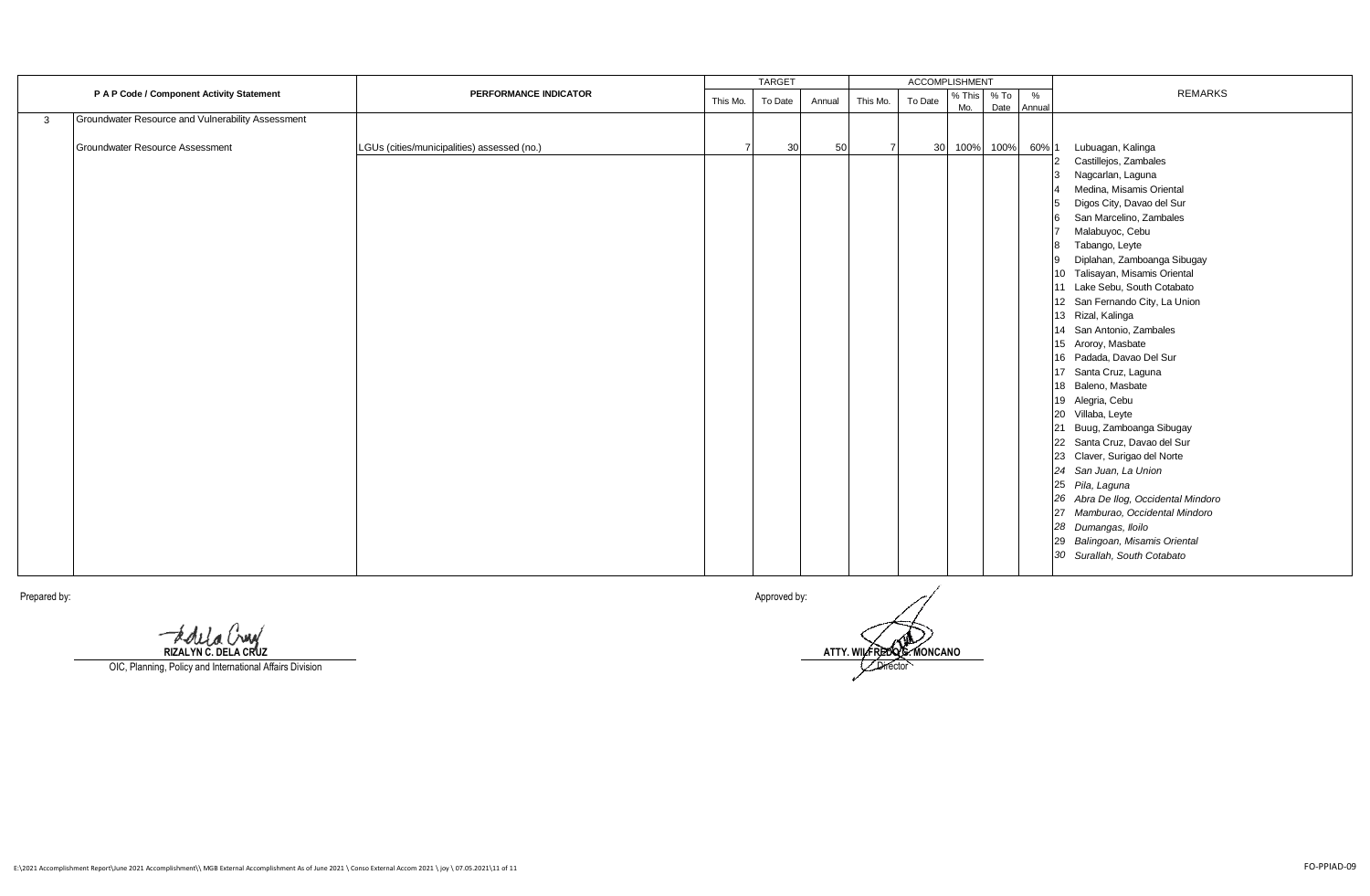|   |                                                   |                                             | <b>TARGET</b> |                 |        | <b>ACCOMPLISHMENT</b> |         |        |           |        |                                     |  |
|---|---------------------------------------------------|---------------------------------------------|---------------|-----------------|--------|-----------------------|---------|--------|-----------|--------|-------------------------------------|--|
|   | P A P Code / Component Activity Statement         | PERFORMANCE INDICATOR                       | This Mo.      | To Date         | Annual | This Mo.              | To Date | % This | $%$ To    | %      | <b>REMARKS</b>                      |  |
|   |                                                   |                                             |               |                 |        |                       |         | Mo.    | Date      | Annual |                                     |  |
| 3 | Groundwater Resource and Vulnerability Assessment |                                             |               |                 |        |                       |         |        |           |        |                                     |  |
|   | <b>Groundwater Resource Assessment</b>            | LGUs (cities/municipalities) assessed (no.) |               | 30 <sup>1</sup> | 50     |                       | 30      |        | 100% 100% | 60% 1  | Lubuagan, Kalinga                   |  |
|   |                                                   |                                             |               |                 |        |                       |         |        |           |        | Castillejos, Zambales               |  |
|   |                                                   |                                             |               |                 |        |                       |         |        |           |        | Nagcarlan, Laguna<br>3              |  |
|   |                                                   |                                             |               |                 |        |                       |         |        |           |        | Medina, Misamis Oriental            |  |
|   |                                                   |                                             |               |                 |        |                       |         |        |           |        | Digos City, Davao del Sur<br>5      |  |
|   |                                                   |                                             |               |                 |        |                       |         |        |           |        | 6 San Marcelino, Zambales           |  |
|   |                                                   |                                             |               |                 |        |                       |         |        |           |        | Malabuyoc, Cebu                     |  |
|   |                                                   |                                             |               |                 |        |                       |         |        |           |        | 8 Tabango, Leyte                    |  |
|   |                                                   |                                             |               |                 |        |                       |         |        |           |        | Diplahan, Zamboanga Sibugay         |  |
|   |                                                   |                                             |               |                 |        |                       |         |        |           |        | 10 Talisayan, Misamis Oriental      |  |
|   |                                                   |                                             |               |                 |        |                       |         |        |           |        | 11 Lake Sebu, South Cotabato        |  |
|   |                                                   |                                             |               |                 |        |                       |         |        |           |        | 12 San Fernando City, La Union      |  |
|   |                                                   |                                             |               |                 |        |                       |         |        |           |        | 13 Rizal, Kalinga                   |  |
|   |                                                   |                                             |               |                 |        |                       |         |        |           |        | 14 San Antonio, Zambales            |  |
|   |                                                   |                                             |               |                 |        |                       |         |        |           |        | 15 Aroroy, Masbate                  |  |
|   |                                                   |                                             |               |                 |        |                       |         |        |           |        | 16 Padada, Davao Del Sur            |  |
|   |                                                   |                                             |               |                 |        |                       |         |        |           |        | 17 Santa Cruz, Laguna               |  |
|   |                                                   |                                             |               |                 |        |                       |         |        |           |        | 18 Baleno, Masbate                  |  |
|   |                                                   |                                             |               |                 |        |                       |         |        |           |        | 19 Alegria, Cebu                    |  |
|   |                                                   |                                             |               |                 |        |                       |         |        |           |        | 20 Villaba, Leyte                   |  |
|   |                                                   |                                             |               |                 |        |                       |         |        |           |        | 21 Buug, Zamboanga Sibugay          |  |
|   |                                                   |                                             |               |                 |        |                       |         |        |           |        | 22 Santa Cruz, Davao del Sur        |  |
|   |                                                   |                                             |               |                 |        |                       |         |        |           |        | 23 Claver, Surigao del Norte        |  |
|   |                                                   |                                             |               |                 |        |                       |         |        |           |        | 24 San Juan, La Union               |  |
|   |                                                   |                                             |               |                 |        |                       |         |        |           |        | 25 Pila, Laguna                     |  |
|   |                                                   |                                             |               |                 |        |                       |         |        |           |        | 26 Abra De Ilog, Occidental Mindoro |  |
|   |                                                   |                                             |               |                 |        |                       |         |        |           |        | 27 Mamburao, Occidental Mindoro     |  |
|   |                                                   |                                             |               |                 |        |                       |         |        |           |        | 28 Dumangas, Iloilo                 |  |
|   |                                                   |                                             |               |                 |        |                       |         |        |           |        | 29 Balingoan, Misamis Oriental      |  |
|   |                                                   |                                             |               |                 |        |                       |         |        |           |        | 30 Surallah, South Cotabato         |  |
|   |                                                   |                                             |               |                 |        |                       |         |        |           |        |                                     |  |

**RIZALYN C. DELA CRUZ**

OIC, Planning, Policy and International Affairs Division

Prepared by: Approved by:

**ATTY. WILFREDO G. MONCANO Director**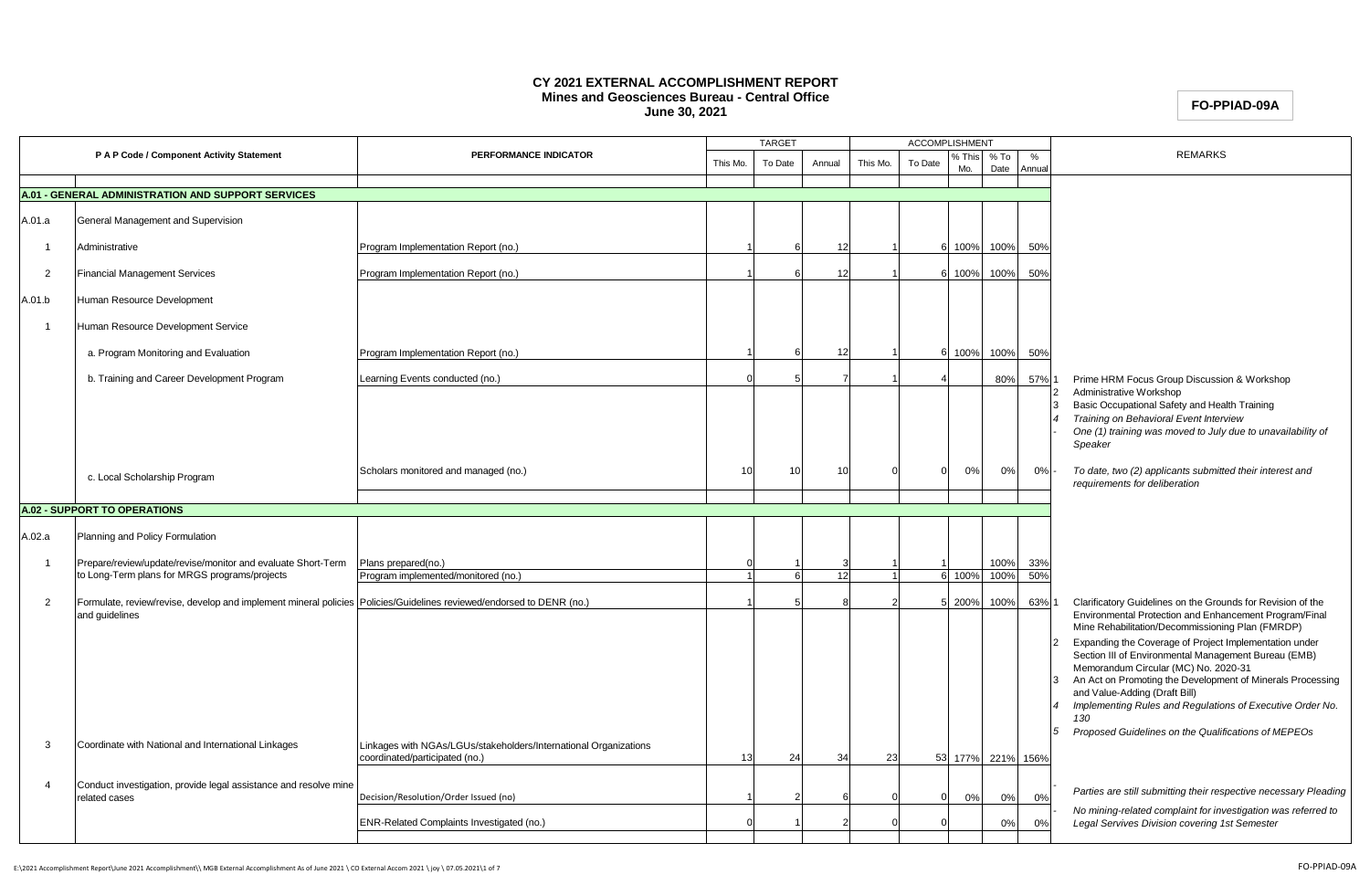#### **CY 2021 EXTERNAL ACCOMPLISHMENT REPORT Mines and Geosciences Bureau - Central Office June 30, 2021**

# **FO-PPIAD-09A**

|                |                                                                                                                      |                                                                                                    | <b>TARGET</b> |         | <b>ACCOMPLISHMENT</b> |          |         |              |                   |             |                                                                                                                                                                                                                                                                                                                                                                                                                                                                                                     |
|----------------|----------------------------------------------------------------------------------------------------------------------|----------------------------------------------------------------------------------------------------|---------------|---------|-----------------------|----------|---------|--------------|-------------------|-------------|-----------------------------------------------------------------------------------------------------------------------------------------------------------------------------------------------------------------------------------------------------------------------------------------------------------------------------------------------------------------------------------------------------------------------------------------------------------------------------------------------------|
|                | P A P Code / Component Activity Statement                                                                            | PERFORMANCE INDICATOR                                                                              | This Mo.      | To Date | Annual                | This Mo. | To Date | ,This<br>Mo. | $%$ To<br>Date    | %<br>Annual | <b>REMARKS</b>                                                                                                                                                                                                                                                                                                                                                                                                                                                                                      |
|                | <b>A.01 - GENERAL ADMINISTRATION AND SUPPORT SERVICES</b>                                                            |                                                                                                    |               |         |                       |          |         |              |                   |             |                                                                                                                                                                                                                                                                                                                                                                                                                                                                                                     |
|                |                                                                                                                      |                                                                                                    |               |         |                       |          |         |              |                   |             |                                                                                                                                                                                                                                                                                                                                                                                                                                                                                                     |
| A.01.a         | General Management and Supervision                                                                                   |                                                                                                    |               |         |                       |          |         |              |                   |             |                                                                                                                                                                                                                                                                                                                                                                                                                                                                                                     |
| $\overline{1}$ | Administrative                                                                                                       | Program Implementation Report (no.)                                                                |               |         | 12                    |          |         | 100%         | 100%              | 50%         |                                                                                                                                                                                                                                                                                                                                                                                                                                                                                                     |
| $\overline{2}$ | <b>Financial Management Services</b>                                                                                 | Program Implementation Report (no.)                                                                |               |         | 12                    |          |         | 100%         | 100%              | 50%         |                                                                                                                                                                                                                                                                                                                                                                                                                                                                                                     |
| A.01.b         | Human Resource Development                                                                                           |                                                                                                    |               |         |                       |          |         |              |                   |             |                                                                                                                                                                                                                                                                                                                                                                                                                                                                                                     |
| $\overline{1}$ | Human Resource Development Service                                                                                   |                                                                                                    |               |         |                       |          |         |              |                   |             |                                                                                                                                                                                                                                                                                                                                                                                                                                                                                                     |
|                | a. Program Monitoring and Evaluation                                                                                 | Program Implementation Report (no.)                                                                |               |         | 12                    |          |         | 100%         | 100%              | 50%         |                                                                                                                                                                                                                                                                                                                                                                                                                                                                                                     |
|                | b. Training and Career Development Program                                                                           | Learning Events conducted (no.)                                                                    |               |         |                       |          |         |              | 80%               | 57%         | Prime HRM Focus Group Discussion & Workshop                                                                                                                                                                                                                                                                                                                                                                                                                                                         |
|                |                                                                                                                      |                                                                                                    |               |         |                       |          |         |              |                   |             | Administrative Workshop<br>Basic Occupational Safety and Health Training<br>Training on Behavioral Event Interview<br>One (1) training was moved to July due to unavailability of<br>Speaker                                                                                                                                                                                                                                                                                                        |
|                | c. Local Scholarship Program                                                                                         | Scholars monitored and managed (no.)                                                               | 10            | 10      | 10                    |          |         | 0%           | 0%                | 0%          | To date, two (2) applicants submitted their interest and<br>requirements for deliberation                                                                                                                                                                                                                                                                                                                                                                                                           |
|                | <b>A.02 - SUPPORT TO OPERATIONS</b>                                                                                  |                                                                                                    |               |         |                       |          |         |              |                   |             |                                                                                                                                                                                                                                                                                                                                                                                                                                                                                                     |
|                |                                                                                                                      |                                                                                                    |               |         |                       |          |         |              |                   |             |                                                                                                                                                                                                                                                                                                                                                                                                                                                                                                     |
| A.02.a         | Planning and Policy Formulation                                                                                      |                                                                                                    |               |         |                       |          |         |              |                   |             |                                                                                                                                                                                                                                                                                                                                                                                                                                                                                                     |
|                | Prepare/review/update/revise/monitor and evaluate Short-Term                                                         | Plans prepared(no.)                                                                                |               |         |                       |          |         |              | 100%              | 33%         |                                                                                                                                                                                                                                                                                                                                                                                                                                                                                                     |
|                | to Long-Term plans for MRGS programs/projects                                                                        | Program implemented/monitored (no.)                                                                |               |         | 12                    |          | 6       | 100%         | 100%              | 50%         |                                                                                                                                                                                                                                                                                                                                                                                                                                                                                                     |
| $\overline{2}$ | Formulate, review/revise, develop and implement mineral policies Policies/Guidelines reviewed/endorsed to DENR (no.) |                                                                                                    |               |         |                       |          |         | 200%         | 100%              | 63%         | Clarificatory Guidelines on the Grounds for Revision of the                                                                                                                                                                                                                                                                                                                                                                                                                                         |
|                | and guidelines                                                                                                       |                                                                                                    |               |         |                       |          |         |              |                   |             | Environmental Protection and Enhancement Program/Final<br>Mine Rehabilitation/Decommissioning Plan (FMRDP)<br>Expanding the Coverage of Project Implementation under<br>Section III of Environmental Management Bureau (EMB)<br>Memorandum Circular (MC) No. 2020-31<br>An Act on Promoting the Development of Minerals Processing<br>and Value-Adding (Draft Bill)<br>Implementing Rules and Regulations of Executive Order No.<br>130<br>Proposed Guidelines on the Qualifications of MEPEOs<br>5 |
| -3             | Coordinate with National and International Linkages                                                                  | Linkages with NGAs/LGUs/stakeholders/International Organizations<br>coordinated/participated (no.) | 13            | 24      | 34                    | 23       |         |              | 53 177% 221% 156% |             |                                                                                                                                                                                                                                                                                                                                                                                                                                                                                                     |
| $\overline{4}$ | Conduct investigation, provide legal assistance and resolve mine<br>related cases                                    | Decision/Resolution/Order Issued (no)                                                              |               |         |                       |          |         | 0%           | 0%                | 0%          | Parties are still submitting their respective necessary Pleading                                                                                                                                                                                                                                                                                                                                                                                                                                    |
|                |                                                                                                                      | ENR-Related Complaints Investigated (no.)                                                          |               |         |                       |          |         |              | 0%                | 0%          | No mining-related complaint for investigation was referred to<br>Legal Servives Division covering 1st Semester                                                                                                                                                                                                                                                                                                                                                                                      |
|                |                                                                                                                      |                                                                                                    |               |         |                       |          |         |              |                   |             |                                                                                                                                                                                                                                                                                                                                                                                                                                                                                                     |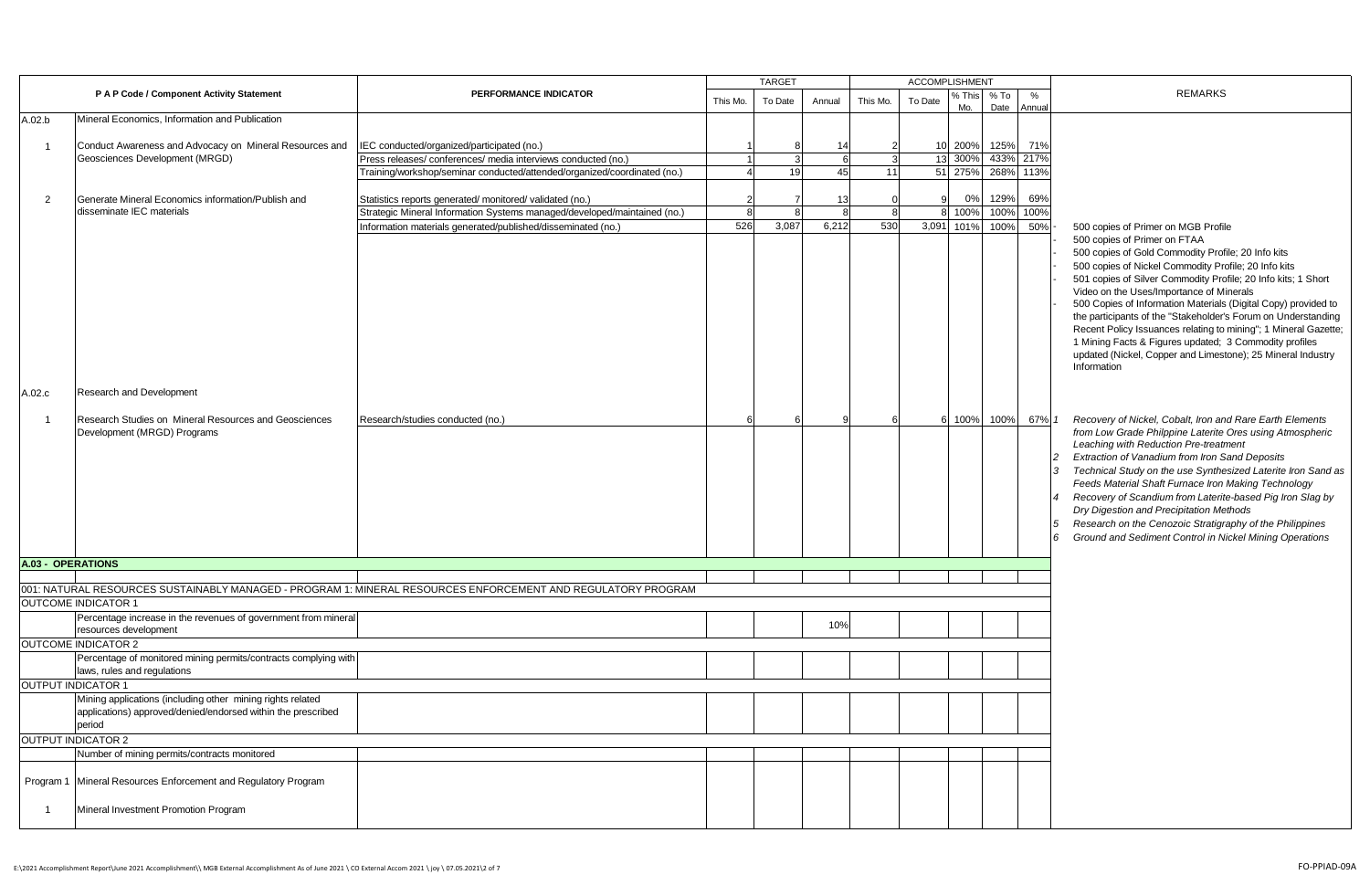|                          |                                                                                                                  |                                                                                                              | <b>TARGET</b> |         |        |          |         | <b>ACCOMPLISHMENT</b> |              |            |                                                                                                                                                                                                                                                                                                                                                                                                                                                                                                                                                                                                                                                                                                                                                                                                                                                                                                                                                                                                                                                                                                                                                                                     |
|--------------------------|------------------------------------------------------------------------------------------------------------------|--------------------------------------------------------------------------------------------------------------|---------------|---------|--------|----------|---------|-----------------------|--------------|------------|-------------------------------------------------------------------------------------------------------------------------------------------------------------------------------------------------------------------------------------------------------------------------------------------------------------------------------------------------------------------------------------------------------------------------------------------------------------------------------------------------------------------------------------------------------------------------------------------------------------------------------------------------------------------------------------------------------------------------------------------------------------------------------------------------------------------------------------------------------------------------------------------------------------------------------------------------------------------------------------------------------------------------------------------------------------------------------------------------------------------------------------------------------------------------------------|
|                          | P A P Code / Component Activity Statement                                                                        | PERFORMANCE INDICATOR                                                                                        | This Mo.      | To Date | Annual | This Mo. | To Date | % This<br>Mo.         | % To<br>Date | %<br>Annua | <b>REMARKS</b>                                                                                                                                                                                                                                                                                                                                                                                                                                                                                                                                                                                                                                                                                                                                                                                                                                                                                                                                                                                                                                                                                                                                                                      |
| A.02.b                   | Mineral Economics, Information and Publication                                                                   |                                                                                                              |               |         |        |          |         |                       |              |            |                                                                                                                                                                                                                                                                                                                                                                                                                                                                                                                                                                                                                                                                                                                                                                                                                                                                                                                                                                                                                                                                                                                                                                                     |
| $\overline{1}$           | Conduct Awareness and Advocacy on Mineral Resources and                                                          |                                                                                                              |               |         | 14     |          |         | 10 200%               | 125%         | 71%        |                                                                                                                                                                                                                                                                                                                                                                                                                                                                                                                                                                                                                                                                                                                                                                                                                                                                                                                                                                                                                                                                                                                                                                                     |
|                          | Geosciences Development (MRGD)                                                                                   | IEC conducted/organized/participated (no.)<br>Press releases/ conferences/ media interviews conducted (no.)  |               |         | 6      |          | 13      | 300%                  | 433% 217%    |            |                                                                                                                                                                                                                                                                                                                                                                                                                                                                                                                                                                                                                                                                                                                                                                                                                                                                                                                                                                                                                                                                                                                                                                                     |
|                          |                                                                                                                  | Training/workshop/seminar conducted/attended/organized/coordinated (no.)                                     |               | 19      | 45     | 11       | 51      | 275%                  | 268%         | 113%       |                                                                                                                                                                                                                                                                                                                                                                                                                                                                                                                                                                                                                                                                                                                                                                                                                                                                                                                                                                                                                                                                                                                                                                                     |
|                          |                                                                                                                  |                                                                                                              |               |         |        |          |         |                       |              |            |                                                                                                                                                                                                                                                                                                                                                                                                                                                                                                                                                                                                                                                                                                                                                                                                                                                                                                                                                                                                                                                                                                                                                                                     |
| $\overline{2}$           | Generate Mineral Economics information/Publish and                                                               | Statistics reports generated/monitored/validated (no.)                                                       |               |         | 13     |          |         | 0%                    | 129%         | 69%        |                                                                                                                                                                                                                                                                                                                                                                                                                                                                                                                                                                                                                                                                                                                                                                                                                                                                                                                                                                                                                                                                                                                                                                                     |
|                          | disseminate IEC materials                                                                                        | Strategic Mineral Information Systems managed/developed/maintained (no.)                                     |               |         |        |          |         | 100%                  | 100%         | 100%       |                                                                                                                                                                                                                                                                                                                                                                                                                                                                                                                                                                                                                                                                                                                                                                                                                                                                                                                                                                                                                                                                                                                                                                                     |
|                          |                                                                                                                  | Information materials generated/published/disseminated (no.)                                                 | 526           | 3.087   | 6,212  | 530      | 3,091   | 101%                  | 100%         | 50%        | 500 copies of Primer on MGB Profile                                                                                                                                                                                                                                                                                                                                                                                                                                                                                                                                                                                                                                                                                                                                                                                                                                                                                                                                                                                                                                                                                                                                                 |
| A.02.c<br>$\overline{1}$ | Research and Development<br>Research Studies on Mineral Resources and Geosciences<br>Development (MRGD) Programs | Research/studies conducted (no.)                                                                             |               |         |        |          |         | 6 100%                | 100%         | 67% 1      | 500 copies of Primer on FTAA<br>500 copies of Gold Commodity Profile; 20 Info kits<br>500 copies of Nickel Commodity Profile; 20 Info kits<br>501 copies of Silver Commodity Profile; 20 Info kits; 1 Short<br>Video on the Uses/Importance of Minerals<br>500 Copies of Information Materials (Digital Copy) provided to<br>the participants of the "Stakeholder's Forum on Understanding<br>Recent Policy Issuances relating to mining"; 1 Mineral Gazette;<br>1 Mining Facts & Figures updated; 3 Commodity profiles<br>updated (Nickel, Copper and Limestone); 25 Mineral Industry<br>Information<br>Recovery of Nickel, Cobalt, Iron and Rare Earth Elements<br>from Low Grade Philppine Laterite Ores using Atmospheric<br>Leaching with Reduction Pre-treatment<br>Extraction of Vanadium from Iron Sand Deposits<br>Technical Study on the use Synthesized Laterite Iron Sand as<br>3<br>Feeds Material Shaft Furnace Iron Making Technology<br>Recovery of Scandium from Laterite-based Pig Iron Slag by<br>Dry Digestion and Precipitation Methods<br>Research on the Cenozoic Stratigraphy of the Philippines<br>Ground and Sediment Control in Nickel Mining Operations |
|                          |                                                                                                                  |                                                                                                              |               |         |        |          |         |                       |              |            |                                                                                                                                                                                                                                                                                                                                                                                                                                                                                                                                                                                                                                                                                                                                                                                                                                                                                                                                                                                                                                                                                                                                                                                     |
| <b>A.03 - OPERATIONS</b> |                                                                                                                  |                                                                                                              |               |         |        |          |         |                       |              |            |                                                                                                                                                                                                                                                                                                                                                                                                                                                                                                                                                                                                                                                                                                                                                                                                                                                                                                                                                                                                                                                                                                                                                                                     |
|                          |                                                                                                                  | 001: NATURAL RESOURCES SUSTAINABLY MANAGED - PROGRAM 1: MINERAL RESOURCES ENFORCEMENT AND REGULATORY PROGRAM |               |         |        |          |         |                       |              |            |                                                                                                                                                                                                                                                                                                                                                                                                                                                                                                                                                                                                                                                                                                                                                                                                                                                                                                                                                                                                                                                                                                                                                                                     |
|                          | <b>OUTCOME INDICATOR 1</b>                                                                                       |                                                                                                              |               |         |        |          |         |                       |              |            |                                                                                                                                                                                                                                                                                                                                                                                                                                                                                                                                                                                                                                                                                                                                                                                                                                                                                                                                                                                                                                                                                                                                                                                     |
|                          | Percentage increase in the revenues of government from mineral<br>resources development                          |                                                                                                              |               |         | 10%    |          |         |                       |              |            |                                                                                                                                                                                                                                                                                                                                                                                                                                                                                                                                                                                                                                                                                                                                                                                                                                                                                                                                                                                                                                                                                                                                                                                     |
|                          | <b>OUTCOME INDICATOR 2</b>                                                                                       |                                                                                                              |               |         |        |          |         |                       |              |            |                                                                                                                                                                                                                                                                                                                                                                                                                                                                                                                                                                                                                                                                                                                                                                                                                                                                                                                                                                                                                                                                                                                                                                                     |
|                          | Percentage of monitored mining permits/contracts complying with<br>laws, rules and regulations                   |                                                                                                              |               |         |        |          |         |                       |              |            |                                                                                                                                                                                                                                                                                                                                                                                                                                                                                                                                                                                                                                                                                                                                                                                                                                                                                                                                                                                                                                                                                                                                                                                     |
|                          | <b>OUTPUT INDICATOR 1</b>                                                                                        |                                                                                                              |               |         |        |          |         |                       |              |            |                                                                                                                                                                                                                                                                                                                                                                                                                                                                                                                                                                                                                                                                                                                                                                                                                                                                                                                                                                                                                                                                                                                                                                                     |
|                          | Mining applications (including other mining rights related                                                       |                                                                                                              |               |         |        |          |         |                       |              |            |                                                                                                                                                                                                                                                                                                                                                                                                                                                                                                                                                                                                                                                                                                                                                                                                                                                                                                                                                                                                                                                                                                                                                                                     |
|                          | applications) approved/denied/endorsed within the prescribed                                                     |                                                                                                              |               |         |        |          |         |                       |              |            |                                                                                                                                                                                                                                                                                                                                                                                                                                                                                                                                                                                                                                                                                                                                                                                                                                                                                                                                                                                                                                                                                                                                                                                     |
|                          | period                                                                                                           |                                                                                                              |               |         |        |          |         |                       |              |            |                                                                                                                                                                                                                                                                                                                                                                                                                                                                                                                                                                                                                                                                                                                                                                                                                                                                                                                                                                                                                                                                                                                                                                                     |
|                          | <b>OUTPUT INDICATOR 2</b>                                                                                        |                                                                                                              |               |         |        |          |         |                       |              |            |                                                                                                                                                                                                                                                                                                                                                                                                                                                                                                                                                                                                                                                                                                                                                                                                                                                                                                                                                                                                                                                                                                                                                                                     |
|                          | Number of mining permits/contracts monitored                                                                     |                                                                                                              |               |         |        |          |         |                       |              |            |                                                                                                                                                                                                                                                                                                                                                                                                                                                                                                                                                                                                                                                                                                                                                                                                                                                                                                                                                                                                                                                                                                                                                                                     |
|                          | Program 1 Mineral Resources Enforcement and Regulatory Program                                                   |                                                                                                              |               |         |        |          |         |                       |              |            |                                                                                                                                                                                                                                                                                                                                                                                                                                                                                                                                                                                                                                                                                                                                                                                                                                                                                                                                                                                                                                                                                                                                                                                     |
|                          | Mineral Investment Promotion Program                                                                             |                                                                                                              |               |         |        |          |         |                       |              |            |                                                                                                                                                                                                                                                                                                                                                                                                                                                                                                                                                                                                                                                                                                                                                                                                                                                                                                                                                                                                                                                                                                                                                                                     |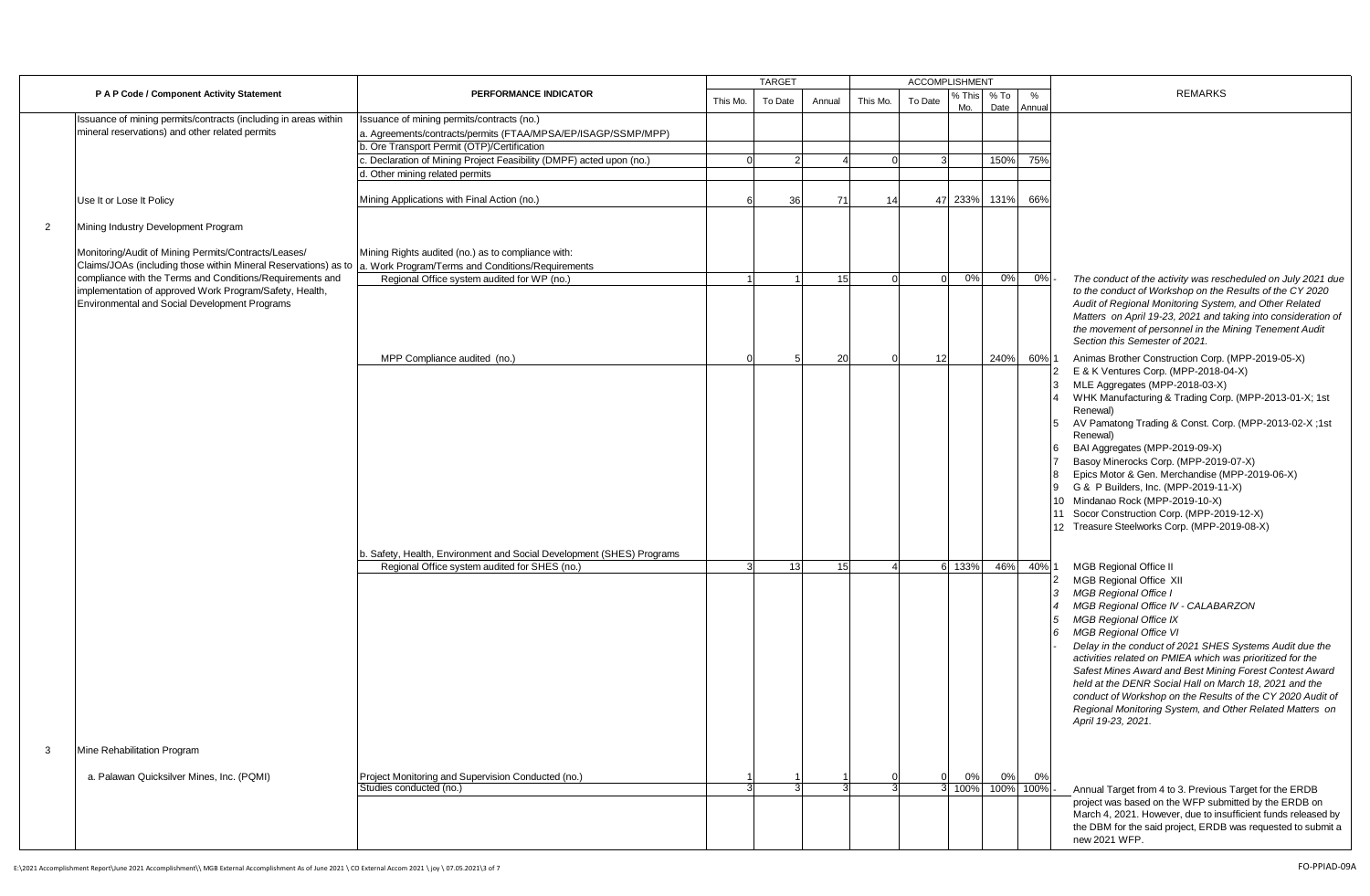|                |                                                                                                                         |                                                                                                                                                                                                                                 |          | <b>TARGET</b> |                 |          | <b>ACCOMPLISHMENT</b> |               |                        |            |                                                                                                                                                                                                                                                                                                                                                                                                                                                                                                                                                                                                       |
|----------------|-------------------------------------------------------------------------------------------------------------------------|---------------------------------------------------------------------------------------------------------------------------------------------------------------------------------------------------------------------------------|----------|---------------|-----------------|----------|-----------------------|---------------|------------------------|------------|-------------------------------------------------------------------------------------------------------------------------------------------------------------------------------------------------------------------------------------------------------------------------------------------------------------------------------------------------------------------------------------------------------------------------------------------------------------------------------------------------------------------------------------------------------------------------------------------------------|
|                | P A P Code / Component Activity Statement                                                                               | PERFORMANCE INDICATOR                                                                                                                                                                                                           | This Mo. | To Date       | Annual          | This Mo. | To Date               | 6 This<br>Mo. | % To<br>Date           | %<br>Annua | <b>REMARKS</b>                                                                                                                                                                                                                                                                                                                                                                                                                                                                                                                                                                                        |
|                | Issuance of mining permits/contracts (including in areas within<br>mineral reservations) and other related permits      | Issuance of mining permits/contracts (no.)<br>a. Agreements/contracts/permits (FTAA/MPSA/EP/ISAGP/SSMP/MPP)<br>b. Ore Transport Permit (OTP)/Certification<br>Declaration of Mining Project Feasibility (DMPF) acted upon (no.) |          |               |                 |          |                       |               | 150%                   | 75%        |                                                                                                                                                                                                                                                                                                                                                                                                                                                                                                                                                                                                       |
|                |                                                                                                                         |                                                                                                                                                                                                                                 |          |               |                 |          |                       |               |                        |            |                                                                                                                                                                                                                                                                                                                                                                                                                                                                                                                                                                                                       |
|                |                                                                                                                         | Other mining related permits                                                                                                                                                                                                    |          | 36            | 71              | 14       |                       | 47 233%       | 131%                   | 66%        |                                                                                                                                                                                                                                                                                                                                                                                                                                                                                                                                                                                                       |
|                | Use It or Lose It Policy                                                                                                | Mining Applications with Final Action (no.)                                                                                                                                                                                     |          |               |                 |          |                       |               |                        |            |                                                                                                                                                                                                                                                                                                                                                                                                                                                                                                                                                                                                       |
| $\overline{2}$ | Mining Industry Development Program                                                                                     |                                                                                                                                                                                                                                 |          |               |                 |          |                       |               |                        |            |                                                                                                                                                                                                                                                                                                                                                                                                                                                                                                                                                                                                       |
|                | Monitoring/Audit of Mining Permits/Contracts/Leases/<br>Claims/JOAs (including those within Mineral Reservations) as to | Mining Rights audited (no.) as to compliance with:<br>a. Work Program/Terms and Conditions/Requirements                                                                                                                         |          |               |                 |          |                       |               |                        |            |                                                                                                                                                                                                                                                                                                                                                                                                                                                                                                                                                                                                       |
|                | compliance with the Terms and Conditions/Requirements and                                                               | Regional Office system audited for WP (no.)                                                                                                                                                                                     |          |               | 15              |          | $\Omega$              | 0%            | 0%                     | 0%         | The conduct of the activity was rescheduled on July 2021 due                                                                                                                                                                                                                                                                                                                                                                                                                                                                                                                                          |
|                | implementation of approved Work Program/Safety, Health,<br>Environmental and Social Development Programs                | MPP Compliance audited (no.)                                                                                                                                                                                                    |          |               | 20              |          | 12                    |               | 240%                   | 60% 1      | to the conduct of Workshop on the Results of the CY 2020<br>Audit of Regional Monitoring System, and Other Related<br>Matters on April 19-23, 2021 and taking into consideration of<br>the movement of personnel in the Mining Tenement Audit<br>Section this Semester of 2021.<br>Animas Brother Construction Corp. (MPP-2019-05-X)                                                                                                                                                                                                                                                                  |
|                |                                                                                                                         |                                                                                                                                                                                                                                 |          |               |                 |          |                       |               |                        |            | E & K Ventures Corp. (MPP-2018-04-X)                                                                                                                                                                                                                                                                                                                                                                                                                                                                                                                                                                  |
|                |                                                                                                                         |                                                                                                                                                                                                                                 |          |               |                 |          |                       |               |                        |            | MLE Aggregates (MPP-2018-03-X)<br>WHK Manufacturing & Trading Corp. (MPP-2013-01-X; 1st<br>Renewal)<br>AV Pamatong Trading & Const. Corp. (MPP-2013-02-X;1st<br>Renewal)<br>BAI Aggregates (MPP-2019-09-X)<br>Basoy Minerocks Corp. (MPP-2019-07-X)<br>Epics Motor & Gen. Merchandise (MPP-2019-06-X)<br>G & P Builders, Inc. (MPP-2019-11-X)<br>10 Mindanao Rock (MPP-2019-10-X)<br>11 Socor Construction Corp. (MPP-2019-12-X)<br>12 Treasure Steelworks Corp. (MPP-2019-08-X)                                                                                                                      |
|                |                                                                                                                         | b. Safety, Health, Environment and Social Development (SHES) Programs                                                                                                                                                           |          |               |                 |          |                       |               |                        |            |                                                                                                                                                                                                                                                                                                                                                                                                                                                                                                                                                                                                       |
|                |                                                                                                                         | Regional Office system audited for SHES (no.)                                                                                                                                                                                   |          | 13            | 15 <sup>1</sup> |          |                       | 6 133%        | 46%                    | 40%        | <b>MGB Regional Office II</b><br><b>MGB Regional Office XII</b><br><b>MGB Regional Office I</b><br>MGB Regional Office IV - CALABARZON<br><b>MGB Regional Office IX</b><br><b>MGB Regional Office VI</b><br>Delay in the conduct of 2021 SHES Systems Audit due the<br>activities related on PMIEA which was prioritized for the<br>Safest Mines Award and Best Mining Forest Contest Award<br>held at the DENR Social Hall on March 18, 2021 and the<br>conduct of Workshop on the Results of the CY 2020 Audit of<br>Regional Monitoring System, and Other Related Matters on<br>April 19-23, 2021. |
| 3              | Mine Rehabilitation Program                                                                                             |                                                                                                                                                                                                                                 |          |               |                 |          |                       |               |                        |            |                                                                                                                                                                                                                                                                                                                                                                                                                                                                                                                                                                                                       |
|                | a. Palawan Quicksilver Mines, Inc. (PQMI)                                                                               | Project Monitoring and Supervision Conducted (no.)<br>Studies conducted (no.)                                                                                                                                                   |          |               |                 |          | $\Omega$              | 0%            | 0%<br>3 100% 100% 100% | 0%         | Annual Target from 4 to 3. Previous Target for the ERDB<br>project was based on the WFP submitted by the ERDB on<br>March 4, 2021. However, due to insufficient funds released by<br>the DBM for the said project, ERDB was requested to submit a<br>new 2021 WFP.                                                                                                                                                                                                                                                                                                                                    |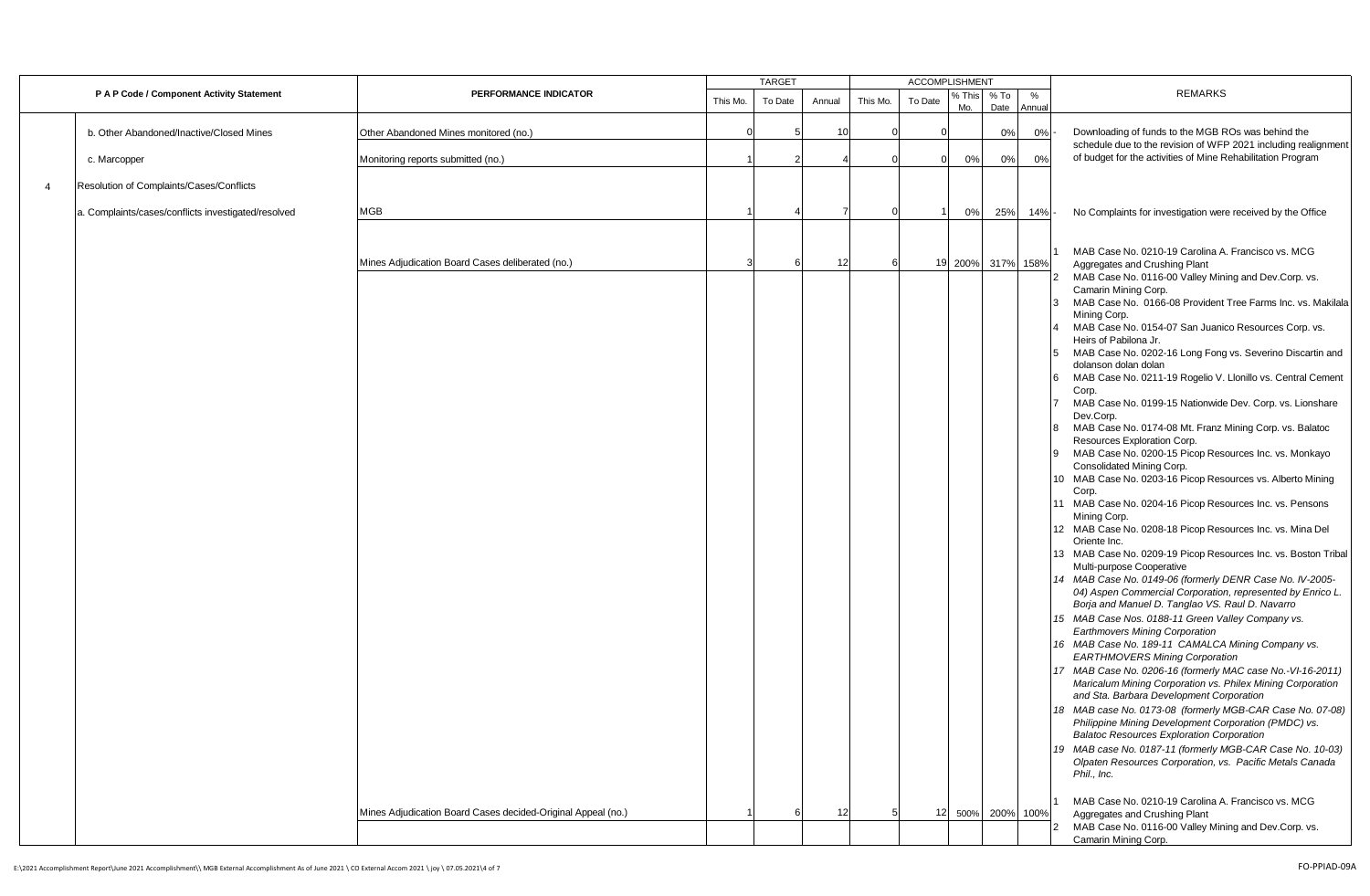|                |                                                     |                                                              |          | <b>TARGET</b> |        |          | <b>ACCOMPLISHMENT</b> |               |                   |             |                                                                                                                                      |
|----------------|-----------------------------------------------------|--------------------------------------------------------------|----------|---------------|--------|----------|-----------------------|---------------|-------------------|-------------|--------------------------------------------------------------------------------------------------------------------------------------|
|                | P A P Code / Component Activity Statement           | PERFORMANCE INDICATOR                                        | This Mo. | To Date       | Annual | This Mo. | To Date               | % This<br>Mo. | % To<br>Date      | %<br>Annual | <b>REMARKS</b>                                                                                                                       |
|                | b. Other Abandoned/Inactive/Closed Mines            | Other Abandoned Mines monitored (no.)                        |          |               | 10     |          |                       |               | 0%                | 0%          | Downloading of funds to the MGB ROs was behind the                                                                                   |
|                | c. Marcopper                                        | Monitoring reports submitted (no.)                           |          |               |        |          |                       | 0%            | 0%                | 0%          | schedule due to the revision of WFP 2021 including realignment<br>of budget for the activities of Mine Rehabilitation Program        |
| $\overline{4}$ | Resolution of Complaints/Cases/Conflicts            |                                                              |          |               |        |          |                       |               |                   |             |                                                                                                                                      |
|                | a. Complaints/cases/conflicts investigated/resolved | <b>MGB</b>                                                   |          |               |        |          |                       | 0%            | 25%               | 14%         | No Complaints for investigation were received by the Office                                                                          |
|                |                                                     |                                                              |          |               |        |          |                       |               |                   |             |                                                                                                                                      |
|                |                                                     | Mines Adjudication Board Cases deliberated (no.)             | 3        | 6             | 12     |          |                       |               | 19 200% 317% 158% |             | MAB Case No. 0210-19 Carolina A. Francisco vs. MCG<br>Aggregates and Crushing Plant                                                  |
|                |                                                     |                                                              |          |               |        |          |                       |               |                   |             | MAB Case No. 0116-00 Valley Mining and Dev.Corp. vs.<br>Camarin Mining Corp.                                                         |
|                |                                                     |                                                              |          |               |        |          |                       |               |                   |             | MAB Case No. 0166-08 Provident Tree Farms Inc. vs. Makilala<br>Mining Corp.                                                          |
|                |                                                     |                                                              |          |               |        |          |                       |               |                   |             | MAB Case No. 0154-07 San Juanico Resources Corp. vs.<br>Heirs of Pabilona Jr.                                                        |
|                |                                                     |                                                              |          |               |        |          |                       |               |                   |             | MAB Case No. 0202-16 Long Fong vs. Severino Discartin and<br>dolanson dolan dolan                                                    |
|                |                                                     |                                                              |          |               |        |          |                       |               |                   |             | MAB Case No. 0211-19 Rogelio V. Llonillo vs. Central Cement<br>Corp.<br>MAB Case No. 0199-15 Nationwide Dev. Corp. vs. Lionshare     |
|                |                                                     |                                                              |          |               |        |          |                       |               |                   |             | Dev.Corp.<br>MAB Case No. 0174-08 Mt. Franz Mining Corp. vs. Balatoc                                                                 |
|                |                                                     |                                                              |          |               |        |          |                       |               |                   |             | Resources Exploration Corp.<br>MAB Case No. 0200-15 Picop Resources Inc. vs. Monkayo                                                 |
|                |                                                     |                                                              |          |               |        |          |                       |               |                   |             | Consolidated Mining Corp.<br>10 MAB Case No. 0203-16 Picop Resources vs. Alberto Mining                                              |
|                |                                                     |                                                              |          |               |        |          |                       |               |                   |             | Corp.<br>11 MAB Case No. 0204-16 Picop Resources Inc. vs. Pensons                                                                    |
|                |                                                     |                                                              |          |               |        |          |                       |               |                   |             | Mining Corp.<br>12 MAB Case No. 0208-18 Picop Resources Inc. vs. Mina Del                                                            |
|                |                                                     |                                                              |          |               |        |          |                       |               |                   |             | Oriente Inc.<br>13 MAB Case No. 0209-19 Picop Resources Inc. vs. Boston Tribal                                                       |
|                |                                                     |                                                              |          |               |        |          |                       |               |                   |             | Multi-purpose Cooperative<br>14 MAB Case No. 0149-06 (formerly DENR Case No. IV-2005-                                                |
|                |                                                     |                                                              |          |               |        |          |                       |               |                   |             | 04) Aspen Commercial Corporation, represented by Enrico L.<br>Borja and Manuel D. Tanglao VS. Raul D. Navarro                        |
|                |                                                     |                                                              |          |               |        |          |                       |               |                   |             | 15 MAB Case Nos. 0188-11 Green Valley Company vs.<br><b>Earthmovers Mining Corporation</b>                                           |
|                |                                                     |                                                              |          |               |        |          |                       |               |                   |             | 16 MAB Case No. 189-11 CAMALCA Mining Company vs.<br><b>EARTHMOVERS Mining Corporation</b>                                           |
|                |                                                     |                                                              |          |               |        |          |                       |               |                   |             | 17 MAB Case No. 0206-16 (formerly MAC case No.-VI-16-2011)<br>Maricalum Mining Corporation vs. Philex Mining Corporation             |
|                |                                                     |                                                              |          |               |        |          |                       |               |                   |             | and Sta. Barbara Development Corporation<br>18 MAB case No. 0173-08 (formerly MGB-CAR Case No. 07-08)                                |
|                |                                                     |                                                              |          |               |        |          |                       |               |                   |             | Philippine Mining Development Corporation (PMDC) vs.<br><b>Balatoc Resources Exploration Corporation</b>                             |
|                |                                                     |                                                              |          |               |        |          |                       |               |                   |             | 19 MAB case No. 0187-11 (formerly MGB-CAR Case No. 10-03)<br>Olpaten Resources Corporation, vs. Pacific Metals Canada<br>Phil., Inc. |
|                |                                                     | Mines Adjudication Board Cases decided-Original Appeal (no.) |          |               | 12     |          |                       | 12 500%       | 200% 100%         |             | MAB Case No. 0210-19 Carolina A. Francisco vs. MCG<br>Aggregates and Crushing Plant                                                  |
|                |                                                     |                                                              |          |               |        |          |                       |               |                   |             | MAB Case No. 0116-00 Valley Mining and Dev.Corp. vs.<br>Camarin Mining Corp.                                                         |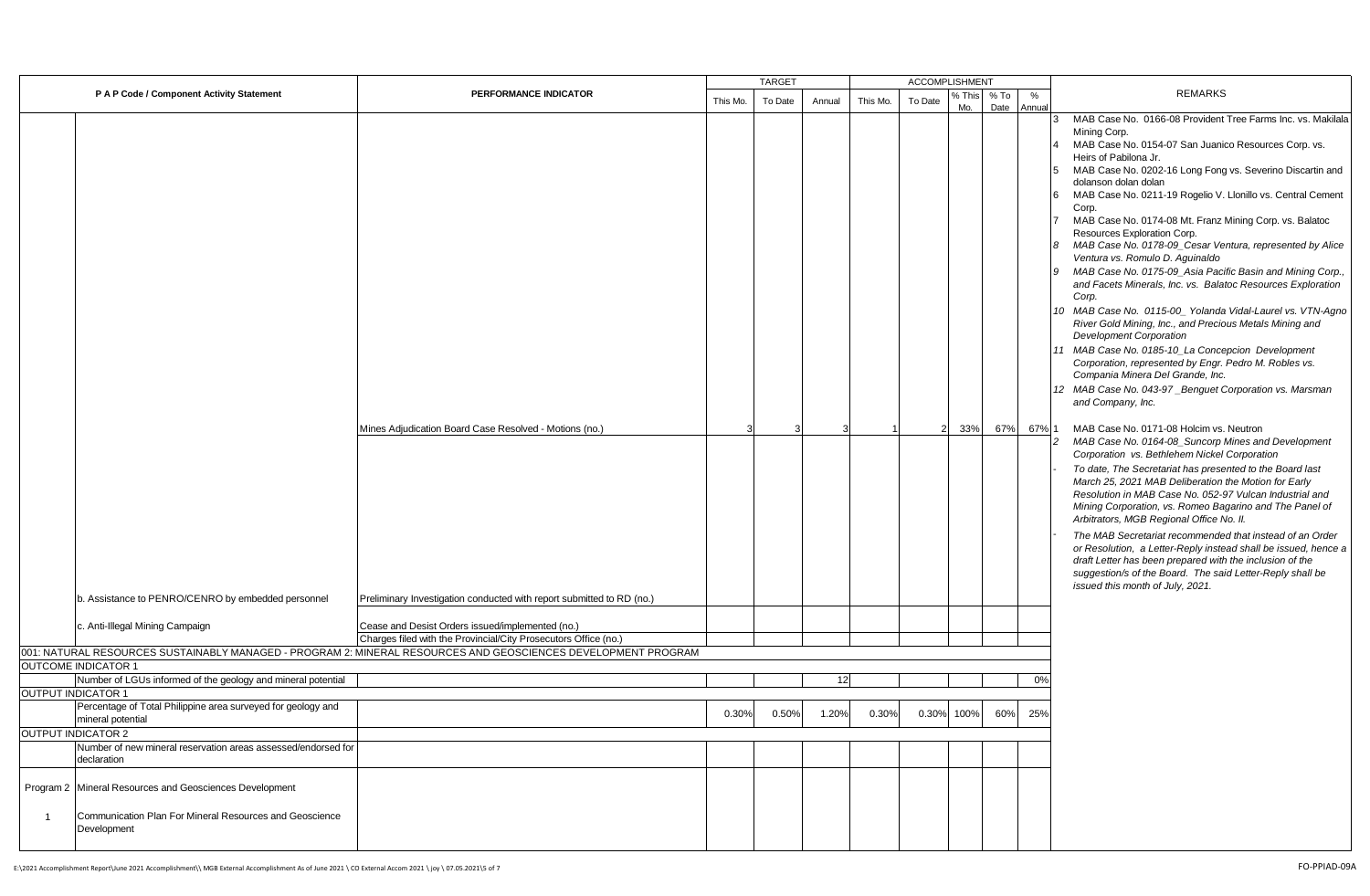|                                                                                   |                                                                                                                     |          | <b>TARGET</b> |        |          | ACCOMPLISHMENT |               |              |             |                                                                                                                                                                                                                                                                                                                                                                                                                                                                                                                                                                                                                                                                                                                                                                                                                                                                                                                                                                                                                                                                                                                                                                                                                                                                                                                                                                                                                                                                                                                 |
|-----------------------------------------------------------------------------------|---------------------------------------------------------------------------------------------------------------------|----------|---------------|--------|----------|----------------|---------------|--------------|-------------|-----------------------------------------------------------------------------------------------------------------------------------------------------------------------------------------------------------------------------------------------------------------------------------------------------------------------------------------------------------------------------------------------------------------------------------------------------------------------------------------------------------------------------------------------------------------------------------------------------------------------------------------------------------------------------------------------------------------------------------------------------------------------------------------------------------------------------------------------------------------------------------------------------------------------------------------------------------------------------------------------------------------------------------------------------------------------------------------------------------------------------------------------------------------------------------------------------------------------------------------------------------------------------------------------------------------------------------------------------------------------------------------------------------------------------------------------------------------------------------------------------------------|
| P A P Code / Component Activity Statement                                         | PERFORMANCE INDICATOR                                                                                               | This Mo. | To Date       | Annual | This Mo. | To Date        | % This<br>Mo. | % To<br>Date | %<br>Annual | <b>REMARKS</b>                                                                                                                                                                                                                                                                                                                                                                                                                                                                                                                                                                                                                                                                                                                                                                                                                                                                                                                                                                                                                                                                                                                                                                                                                                                                                                                                                                                                                                                                                                  |
|                                                                                   | Mines Adjudication Board Case Resolved - Motions (no.)                                                              |          |               |        |          |                | 33%           | 67%          | 67% 1       | MAB Case No. 0166-08 Provident Tree Farms Inc. vs. Makilala<br>Mining Corp.<br>MAB Case No. 0154-07 San Juanico Resources Corp. vs.<br>Heirs of Pabilona Jr.<br>MAB Case No. 0202-16 Long Fong vs. Severino Discartin and<br>5<br>dolanson dolan dolan<br>MAB Case No. 0211-19 Rogelio V. Llonillo vs. Central Cement<br><b>6</b><br>Corp.<br>MAB Case No. 0174-08 Mt. Franz Mining Corp. vs. Balatoc<br>Resources Exploration Corp.<br>8 MAB Case No. 0178-09_Cesar Ventura, represented by Alice<br>Ventura vs. Romulo D. Aguinaldo<br>9 MAB Case No. 0175-09_Asia Pacific Basin and Mining Corp.,<br>and Facets Minerals, Inc. vs. Balatoc Resources Exploration<br>Corp.<br>10 MAB Case No. 0115-00_ Yolanda Vidal-Laurel vs. VTN-Agno<br>River Gold Mining, Inc., and Precious Metals Mining and<br><b>Development Corporation</b><br>11 MAB Case No. 0185-10_La Concepcion Development<br>Corporation, represented by Engr. Pedro M. Robles vs.<br>Compania Minera Del Grande, Inc.<br>12 MAB Case No. 043-97_Benguet Corporation vs. Marsman<br>and Company, Inc.<br>MAB Case No. 0171-08 Holcim vs. Neutron<br>MAB Case No. 0164-08_Suncorp Mines and Development<br>Corporation vs. Bethlehem Nickel Corporation<br>To date, The Secretariat has presented to the Board last<br>March 25, 2021 MAB Deliberation the Motion for Early<br>Resolution in MAB Case No. 052-97 Vulcan Industrial and<br>Mining Corporation, vs. Romeo Bagarino and The Panel of<br>Arbitrators, MGB Regional Office No. II. |
|                                                                                   |                                                                                                                     |          |               |        |          |                |               |              |             | The MAB Secretariat recommended that instead of an Order<br>or Resolution, a Letter-Reply instead shall be issued, hence a<br>draft Letter has been prepared with the inclusion of the<br>suggestion/s of the Board. The said Letter-Reply shall be<br>issued this month of July, 2021.                                                                                                                                                                                                                                                                                                                                                                                                                                                                                                                                                                                                                                                                                                                                                                                                                                                                                                                                                                                                                                                                                                                                                                                                                         |
| b. Assistance to PENRO/CENRO by embedded personnel                                | Preliminary Investigation conducted with report submitted to RD (no.)                                               |          |               |        |          |                |               |              |             |                                                                                                                                                                                                                                                                                                                                                                                                                                                                                                                                                                                                                                                                                                                                                                                                                                                                                                                                                                                                                                                                                                                                                                                                                                                                                                                                                                                                                                                                                                                 |
| c. Anti-Illegal Mining Campaign                                                   | Cease and Desist Orders issued/implemented (no.)<br>Charges filed with the Provincial/City Prosecutors Office (no.) |          |               |        |          |                |               |              |             |                                                                                                                                                                                                                                                                                                                                                                                                                                                                                                                                                                                                                                                                                                                                                                                                                                                                                                                                                                                                                                                                                                                                                                                                                                                                                                                                                                                                                                                                                                                 |
|                                                                                   | 001: NATURAL RESOURCES SUSTAINABLY MANAGED - PROGRAM 2: MINERAL RESOURCES AND GEOSCIENCES DEVELOPMENT PROGRAM       |          |               |        |          |                |               |              |             |                                                                                                                                                                                                                                                                                                                                                                                                                                                                                                                                                                                                                                                                                                                                                                                                                                                                                                                                                                                                                                                                                                                                                                                                                                                                                                                                                                                                                                                                                                                 |
| <b>OUTCOME INDICATOR 1</b>                                                        |                                                                                                                     |          |               |        |          |                |               |              |             |                                                                                                                                                                                                                                                                                                                                                                                                                                                                                                                                                                                                                                                                                                                                                                                                                                                                                                                                                                                                                                                                                                                                                                                                                                                                                                                                                                                                                                                                                                                 |
| Number of LGUs informed of the geology and mineral potential                      |                                                                                                                     |          |               | 12     |          |                |               |              | 0%          |                                                                                                                                                                                                                                                                                                                                                                                                                                                                                                                                                                                                                                                                                                                                                                                                                                                                                                                                                                                                                                                                                                                                                                                                                                                                                                                                                                                                                                                                                                                 |
| <b>OUTPUT INDICATOR 1</b>                                                         |                                                                                                                     |          |               |        |          |                |               |              |             |                                                                                                                                                                                                                                                                                                                                                                                                                                                                                                                                                                                                                                                                                                                                                                                                                                                                                                                                                                                                                                                                                                                                                                                                                                                                                                                                                                                                                                                                                                                 |
| Percentage of Total Philippine area surveyed for geology and<br>mineral potential |                                                                                                                     | 0.30%    | 0.50%         | 1.20%  | 0.30%    | 0.30%          | 100%          | 60%          | 25%         |                                                                                                                                                                                                                                                                                                                                                                                                                                                                                                                                                                                                                                                                                                                                                                                                                                                                                                                                                                                                                                                                                                                                                                                                                                                                                                                                                                                                                                                                                                                 |
| <b>OUTPUT INDICATOR 2</b>                                                         |                                                                                                                     |          |               |        |          |                |               |              |             |                                                                                                                                                                                                                                                                                                                                                                                                                                                                                                                                                                                                                                                                                                                                                                                                                                                                                                                                                                                                                                                                                                                                                                                                                                                                                                                                                                                                                                                                                                                 |
| Number of new mineral reservation areas assessed/endorsed for<br>declaration      |                                                                                                                     |          |               |        |          |                |               |              |             |                                                                                                                                                                                                                                                                                                                                                                                                                                                                                                                                                                                                                                                                                                                                                                                                                                                                                                                                                                                                                                                                                                                                                                                                                                                                                                                                                                                                                                                                                                                 |
| Program 2 Mineral Resources and Geosciences Development                           |                                                                                                                     |          |               |        |          |                |               |              |             |                                                                                                                                                                                                                                                                                                                                                                                                                                                                                                                                                                                                                                                                                                                                                                                                                                                                                                                                                                                                                                                                                                                                                                                                                                                                                                                                                                                                                                                                                                                 |
| Communication Plan For Mineral Resources and Geoscience<br>Development            |                                                                                                                     |          |               |        |          |                |               |              |             |                                                                                                                                                                                                                                                                                                                                                                                                                                                                                                                                                                                                                                                                                                                                                                                                                                                                                                                                                                                                                                                                                                                                                                                                                                                                                                                                                                                                                                                                                                                 |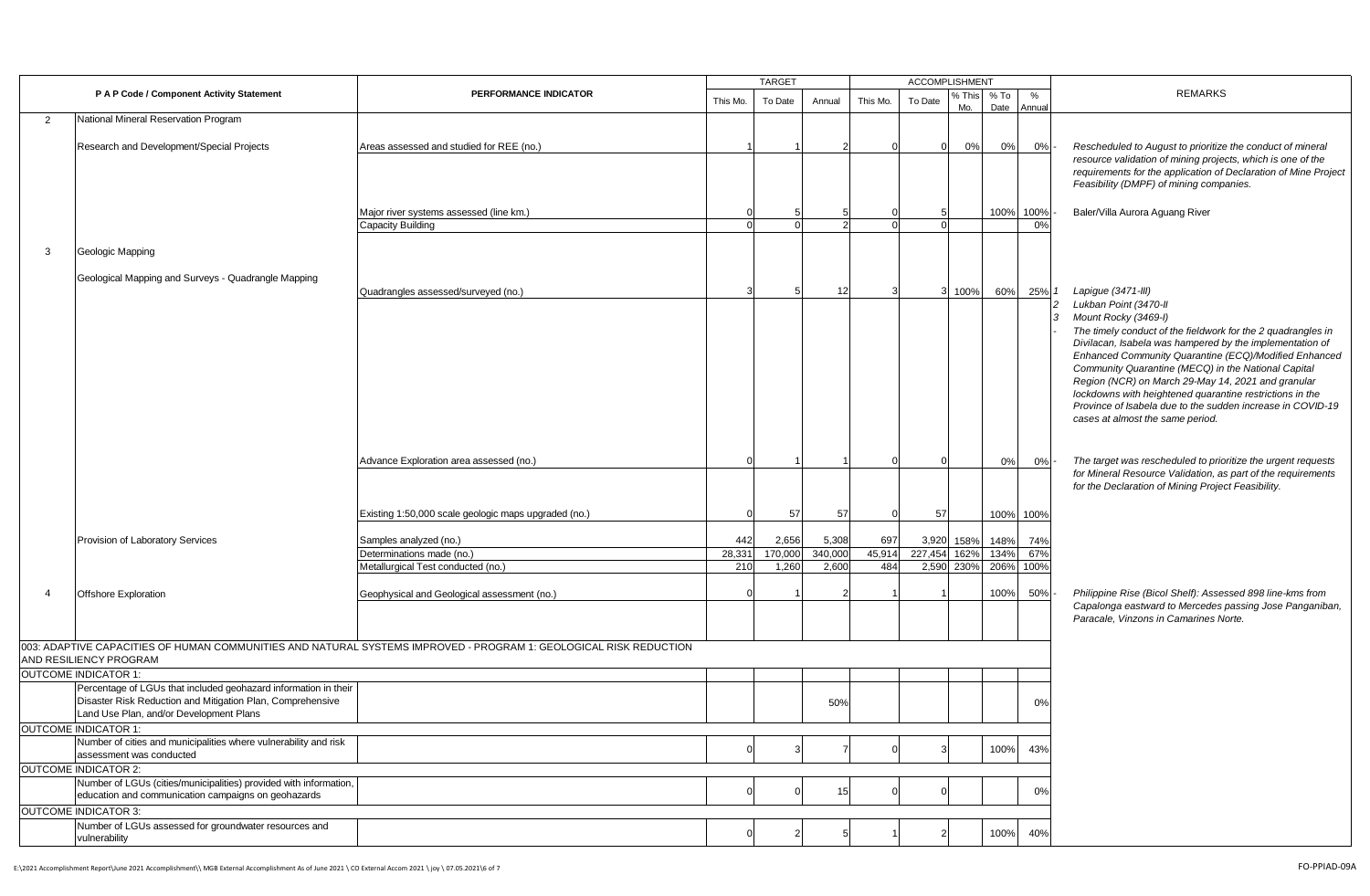|                |                                                                                              |                                                                                                                   |          | <b>TARGET</b> |         |                | <b>ACCOMPLISHMENT</b> |               |                |             |                                                                                                                                |
|----------------|----------------------------------------------------------------------------------------------|-------------------------------------------------------------------------------------------------------------------|----------|---------------|---------|----------------|-----------------------|---------------|----------------|-------------|--------------------------------------------------------------------------------------------------------------------------------|
|                | P A P Code / Component Activity Statement                                                    | PERFORMANCE INDICATOR                                                                                             | This Mo. | To Date       | Annual  | This Mo.       | To Date               | % This<br>Mo. | $%$ To<br>Date | %<br>Annual | <b>REMARKS</b>                                                                                                                 |
| $\overline{2}$ | National Mineral Reservation Program                                                         |                                                                                                                   |          |               |         |                |                       |               |                |             |                                                                                                                                |
|                |                                                                                              |                                                                                                                   |          |               |         |                |                       |               |                |             |                                                                                                                                |
|                | Research and Development/Special Projects                                                    | Areas assessed and studied for REE (no.)                                                                          |          |               |         |                | $\Omega$              | 0%            | 0%             | 0%          | Rescheduled to August to prioritize the conduct of mineral                                                                     |
|                |                                                                                              |                                                                                                                   |          |               |         |                |                       |               |                |             | resource validation of mining projects, which is one of the<br>requirements for the application of Declaration of Mine Project |
|                |                                                                                              |                                                                                                                   |          |               |         |                |                       |               |                |             | Feasibility (DMPF) of mining companies.                                                                                        |
|                |                                                                                              |                                                                                                                   |          |               |         |                |                       |               |                |             |                                                                                                                                |
|                |                                                                                              | Major river systems assessed (line km.)                                                                           |          |               |         |                |                       |               | 100%           | 100%        | Baler/Villa Aurora Aguang River                                                                                                |
|                |                                                                                              | Capacity Building                                                                                                 |          |               |         |                |                       |               |                | 0%          |                                                                                                                                |
|                |                                                                                              |                                                                                                                   |          |               |         |                |                       |               |                |             |                                                                                                                                |
| 3              | Geologic Mapping                                                                             |                                                                                                                   |          |               |         |                |                       |               |                |             |                                                                                                                                |
|                | Geological Mapping and Surveys - Quadrangle Mapping                                          |                                                                                                                   |          |               |         |                |                       |               |                |             |                                                                                                                                |
|                |                                                                                              | Quadrangles assessed/surveyed (no.)                                                                               |          | 5             | 12      |                |                       | 100%          | 60%            | 25%         | Lapigue (3471-III)                                                                                                             |
|                |                                                                                              |                                                                                                                   |          |               |         |                |                       |               |                |             | Lukban Point (3470-II                                                                                                          |
|                |                                                                                              |                                                                                                                   |          |               |         |                |                       |               |                |             | Mount Rocky (3469-I)                                                                                                           |
|                |                                                                                              |                                                                                                                   |          |               |         |                |                       |               |                |             | The timely conduct of the fieldwork for the 2 quadrangles in                                                                   |
|                |                                                                                              |                                                                                                                   |          |               |         |                |                       |               |                |             | Divilacan, Isabela was hampered by the implementation of                                                                       |
|                |                                                                                              |                                                                                                                   |          |               |         |                |                       |               |                |             | Enhanced Community Quarantine (ECQ)/Modified Enhanced<br>Community Quarantine (MECQ) in the National Capital                   |
|                |                                                                                              |                                                                                                                   |          |               |         |                |                       |               |                |             | Region (NCR) on March 29-May 14, 2021 and granular                                                                             |
|                |                                                                                              |                                                                                                                   |          |               |         |                |                       |               |                |             | lockdowns with heightened quarantine restrictions in the                                                                       |
|                |                                                                                              |                                                                                                                   |          |               |         |                |                       |               |                |             | Province of Isabela due to the sudden increase in COVID-19                                                                     |
|                |                                                                                              |                                                                                                                   |          |               |         |                |                       |               |                |             | cases at almost the same period.                                                                                               |
|                |                                                                                              |                                                                                                                   |          |               |         |                |                       |               |                |             |                                                                                                                                |
|                |                                                                                              |                                                                                                                   |          |               |         |                |                       |               |                |             |                                                                                                                                |
|                |                                                                                              | Advance Exploration area assessed (no.)                                                                           |          |               |         |                |                       |               | 0%             | 0%          | The target was rescheduled to prioritize the urgent requests<br>for Mineral Resource Validation, as part of the requirements   |
|                |                                                                                              |                                                                                                                   |          |               |         |                |                       |               |                |             | for the Declaration of Mining Project Feasibility.                                                                             |
|                |                                                                                              |                                                                                                                   |          |               |         |                |                       |               |                |             |                                                                                                                                |
|                |                                                                                              | Existing 1:50,000 scale geologic maps upgraded (no.)                                                              |          | 57            | 57      | $\Omega$       | 57                    |               |                | 100% 100%   |                                                                                                                                |
|                | Provision of Laboratory Services                                                             | Samples analyzed (no.)                                                                                            | 442      | 2,656         | 5,308   | 697            |                       | 3,920 158%    | 148%           | 74%         |                                                                                                                                |
|                |                                                                                              | Determinations made (no.)                                                                                         | 28,33'   | 170,000       | 340,000 | 45,914         | 227,454 162%          |               | 134%           | 67%         |                                                                                                                                |
|                |                                                                                              | Metallurgical Test conducted (no.)                                                                                | 210      | 1,260         | 2,600   | 484            |                       | 2,590 230%    | 206%           | 100%        |                                                                                                                                |
|                |                                                                                              |                                                                                                                   |          |               |         |                |                       |               |                |             |                                                                                                                                |
| 4              | <b>Offshore Exploration</b>                                                                  | Geophysical and Geological assessment (no.)                                                                       |          |               |         |                |                       |               | 100%           | 50%         | Philippine Rise (Bicol Shelf): Assessed 898 line-kms from                                                                      |
|                |                                                                                              |                                                                                                                   |          |               |         |                |                       |               |                |             | Capalonga eastward to Mercedes passing Jose Panganiban,<br>Paracale, Vinzons in Camarines Norte.                               |
|                |                                                                                              |                                                                                                                   |          |               |         |                |                       |               |                |             |                                                                                                                                |
|                |                                                                                              | 003: ADAPTIVE CAPACITIES OF HUMAN COMMUNITIES AND NATURAL SYSTEMS IMPROVED - PROGRAM 1: GEOLOGICAL RISK REDUCTION |          |               |         |                |                       |               |                |             |                                                                                                                                |
|                | AND RESILIENCY PROGRAM                                                                       |                                                                                                                   |          |               |         |                |                       |               |                |             |                                                                                                                                |
|                | <b>OUTCOME INDICATOR 1:</b>                                                                  |                                                                                                                   |          |               |         |                |                       |               |                |             |                                                                                                                                |
|                | Percentage of LGUs that included geohazard information in their                              |                                                                                                                   |          |               |         |                |                       |               |                |             |                                                                                                                                |
|                | Disaster Risk Reduction and Mitigation Plan, Comprehensive                                   |                                                                                                                   |          |               | 50%     |                |                       |               |                | 0%          |                                                                                                                                |
|                | Land Use Plan, and/or Development Plans                                                      |                                                                                                                   |          |               |         |                |                       |               |                |             |                                                                                                                                |
|                | <b>OUTCOME INDICATOR 1:</b>                                                                  |                                                                                                                   |          |               |         |                |                       |               |                |             |                                                                                                                                |
|                | Number of cities and municipalities where vulnerability and risk<br>assessment was conducted |                                                                                                                   |          |               |         |                |                       |               | 100%           | 43%         |                                                                                                                                |
|                | <b>OUTCOME INDICATOR 2:</b>                                                                  |                                                                                                                   |          |               |         |                |                       |               |                |             |                                                                                                                                |
|                | Number of LGUs (cities/municipalities) provided with information,                            |                                                                                                                   |          |               |         |                |                       |               |                |             |                                                                                                                                |
|                | education and communication campaigns on geohazards                                          |                                                                                                                   |          |               | 15      | $\overline{0}$ |                       |               |                | 0%          |                                                                                                                                |
|                | <b>OUTCOME INDICATOR 3:</b>                                                                  |                                                                                                                   |          |               |         |                |                       |               |                |             |                                                                                                                                |
|                | Number of LGUs assessed for groundwater resources and                                        |                                                                                                                   |          |               |         |                |                       |               |                |             |                                                                                                                                |
|                | vulnerability                                                                                |                                                                                                                   |          |               |         |                |                       |               | 100%           | 40%         |                                                                                                                                |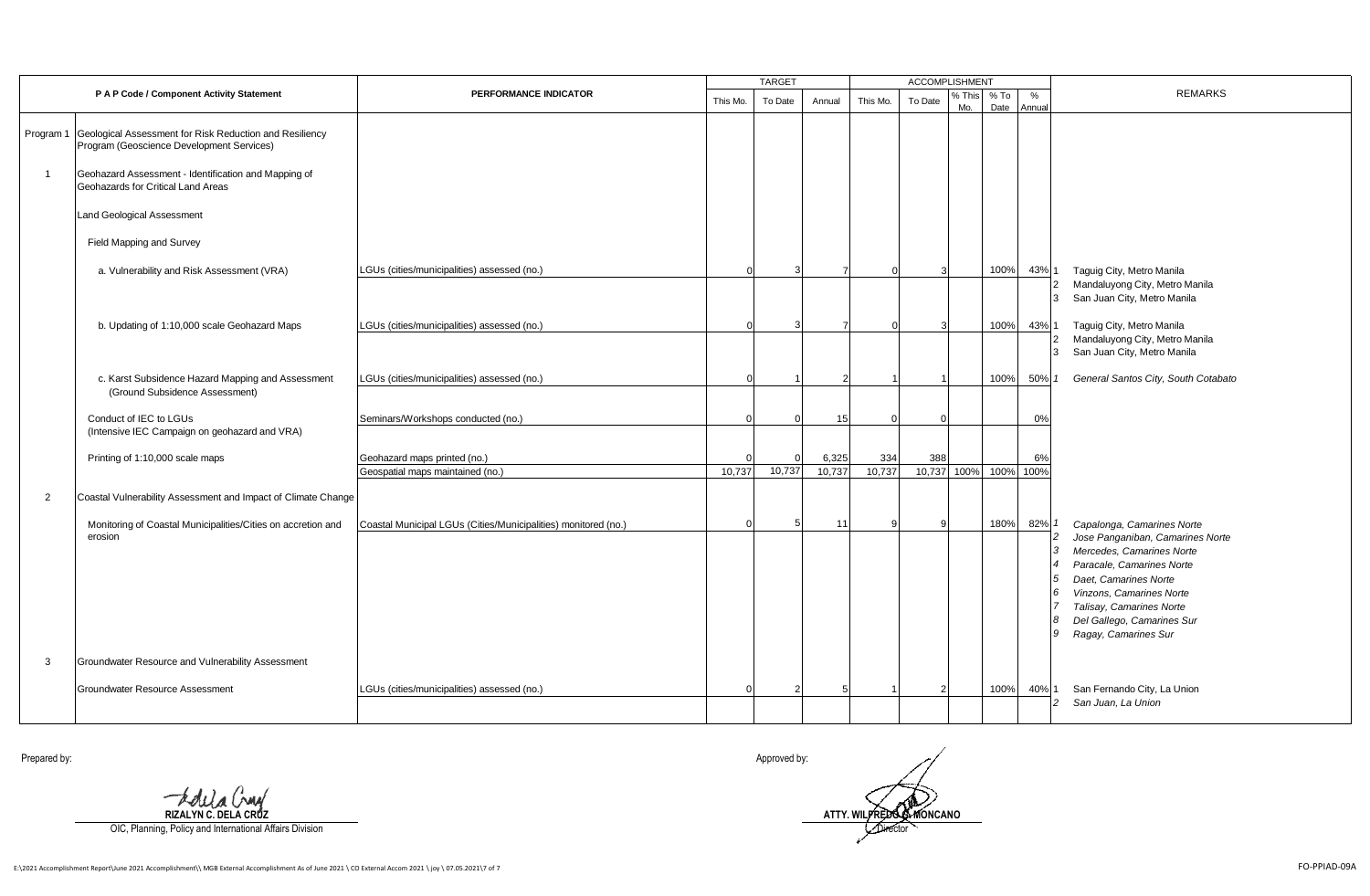|                |                                                                                                                              |                                                                  |          | <b>TARGET</b> |                 |               | ACCOMPLISHMENT     |               |                |                         |                                                                                                                                                                                                                                                                           |
|----------------|------------------------------------------------------------------------------------------------------------------------------|------------------------------------------------------------------|----------|---------------|-----------------|---------------|--------------------|---------------|----------------|-------------------------|---------------------------------------------------------------------------------------------------------------------------------------------------------------------------------------------------------------------------------------------------------------------------|
|                | P A P Code / Component Activity Statement                                                                                    | PERFORMANCE INDICATOR                                            | This Mo. | To Date       | Annual          | This Mo.      | To Date            | % This<br>Mo. | $%$ To<br>Date | %<br>Annual             | <b>REMARKS</b>                                                                                                                                                                                                                                                            |
| Program 1      | Geological Assessment for Risk Reduction and Resiliency<br>Program (Geoscience Development Services)                         |                                                                  |          |               |                 |               |                    |               |                |                         |                                                                                                                                                                                                                                                                           |
|                | Geohazard Assessment - Identification and Mapping of<br>Geohazards for Critical Land Areas                                   |                                                                  |          |               |                 |               |                    |               |                |                         |                                                                                                                                                                                                                                                                           |
|                | <b>Land Geological Assessment</b>                                                                                            |                                                                  |          |               |                 |               |                    |               |                |                         |                                                                                                                                                                                                                                                                           |
|                | Field Mapping and Survey                                                                                                     |                                                                  |          |               |                 |               |                    |               |                |                         |                                                                                                                                                                                                                                                                           |
|                | a. Vulnerability and Risk Assessment (VRA)                                                                                   | LGUs (cities/municipalities) assessed (no.)                      |          |               |                 |               |                    |               | 100%           | 43% 1<br>$\overline{2}$ | Taguig City, Metro Manila<br>Mandaluyong City, Metro Manila<br>3 San Juan City, Metro Manila                                                                                                                                                                              |
|                | b. Updating of 1:10,000 scale Geohazard Maps                                                                                 | LGUs (cities/municipalities) assessed (no.)                      |          |               |                 | ſ             |                    |               | 100%           | 43% 1                   | Taguig City, Metro Manila<br>Mandaluyong City, Metro Manila<br>$\overline{2}$<br>3 San Juan City, Metro Manila                                                                                                                                                            |
|                | c. Karst Subsidence Hazard Mapping and Assessment<br>(Ground Subsidence Assessment)                                          | LGUs (cities/municipalities) assessed (no.)                      |          |               |                 |               |                    |               | 100%           | 50%                     | General Santos City, South Cotabato                                                                                                                                                                                                                                       |
|                | Conduct of IEC to LGUs<br>(Intensive IEC Campaign on geohazard and VRA)                                                      | Seminars/Workshops conducted (no.)                               |          |               | 15              |               |                    |               |                | 0%                      |                                                                                                                                                                                                                                                                           |
|                | Printing of 1:10,000 scale maps                                                                                              | Geohazard maps printed (no.)<br>Geospatial maps maintained (no.) | 10,737   | 10.737        | 6,325<br>10,737 | 334<br>10,737 | 388<br>10,737 100% |               | 100%           | 6%<br>100%              |                                                                                                                                                                                                                                                                           |
| $\overline{2}$ | Coastal Vulnerability Assessment and Impact of Climate Change                                                                |                                                                  |          |               |                 |               |                    |               |                |                         |                                                                                                                                                                                                                                                                           |
| 3              | Monitoring of Coastal Municipalities/Cities on accretion and<br>erosion<br>Groundwater Resource and Vulnerability Assessment | Coastal Municipal LGUs (Cities/Municipalities) monitored (no.)   | $\Omega$ | 5             | 11              |               |                    |               | 180%           | 82%<br>3<br>8           | Capalonga, Camarines Norte<br>Jose Panganiban, Camarines Norte<br>Mercedes, Camarines Norte<br>Paracale, Camarines Norte<br>Daet. Camarines Norte<br>Vinzons, Camarines Norte<br>6<br>Talisay, Camarines Norte<br>Del Gallego, Camarines Sur<br>Ragay, Camarines Sur<br>9 |
|                |                                                                                                                              |                                                                  |          |               |                 |               |                    |               |                |                         | San Fernando City, La Union                                                                                                                                                                                                                                               |
|                | Groundwater Resource Assessment                                                                                              | LGUs (cities/municipalities) assessed (no.)                      |          |               |                 |               |                    |               | 100%           | 40%<br>$\overline{c}$   | San Juan, La Union                                                                                                                                                                                                                                                        |

**RIZALYN C. DELA CRUZ**

OIC, Planning, Policy and International Affairs Division

Prepared by: Approved by:

Director **ATTY. WILFREDO G. MONCANO**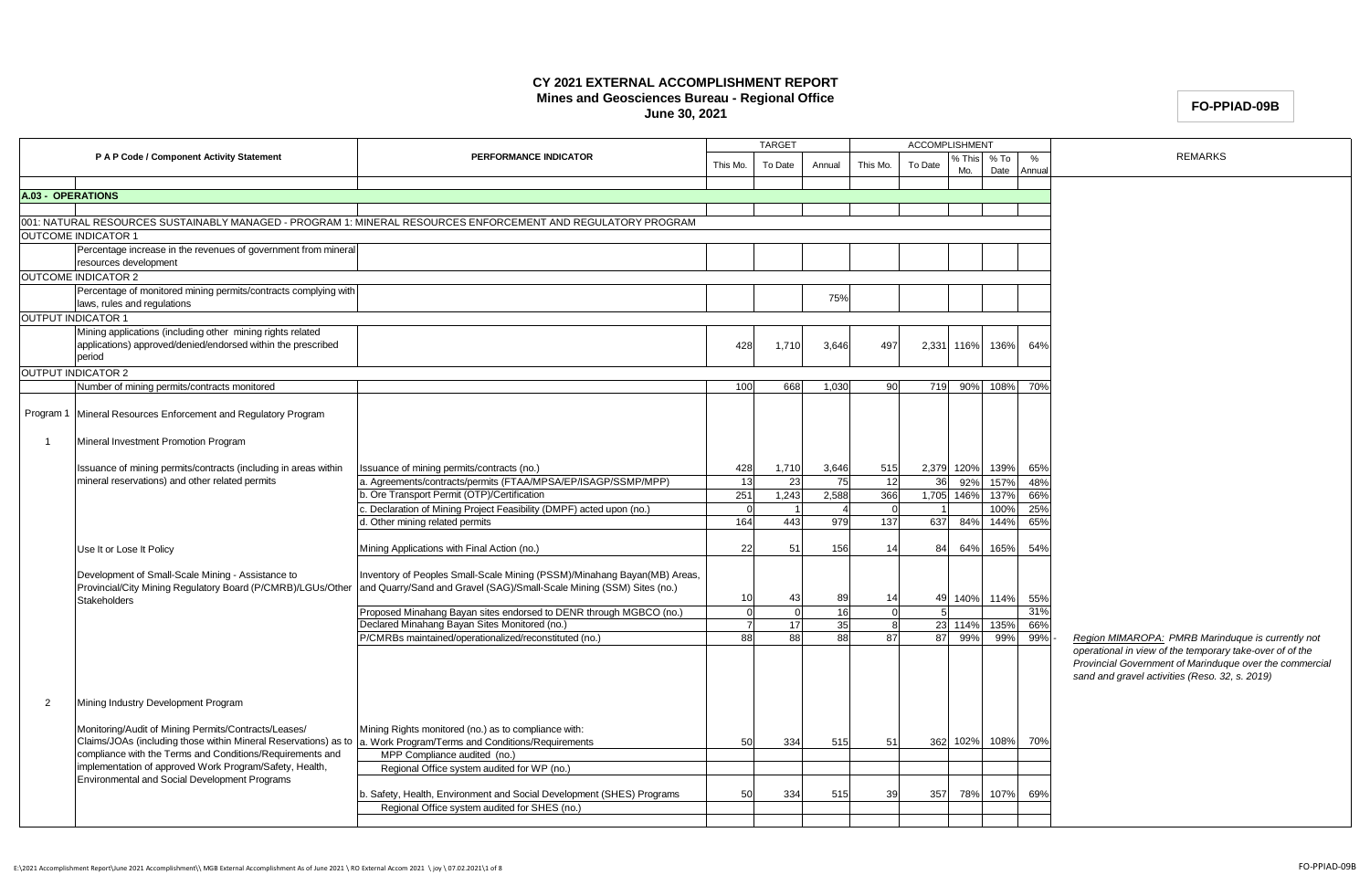## **CY 2021 EXTERNAL ACCOMPLISHMENT REPORT Mines and Geosciences Bureau - Regional Office June 30, 2021**

## **FO-PPIAD-09B**

|                   |                                                                                         |                                                                                                                     |                      | <b>TARGET</b> |                |                    | <b>ACCOMPLISHMENT</b> |                 |                |             |                                                                                                               |
|-------------------|-----------------------------------------------------------------------------------------|---------------------------------------------------------------------------------------------------------------------|----------------------|---------------|----------------|--------------------|-----------------------|-----------------|----------------|-------------|---------------------------------------------------------------------------------------------------------------|
|                   | P A P Code / Component Activity Statement                                               | PERFORMANCE INDICATOR                                                                                               | This Mo.             | To Date       | Annual         | This Mo.           | To Date               | $5$ This<br>Mo. | $%$ To<br>Date | %<br>Annual | <b>REMARKS</b>                                                                                                |
|                   |                                                                                         |                                                                                                                     |                      |               |                |                    |                       |                 |                |             |                                                                                                               |
| A.03 - OPERATIONS |                                                                                         |                                                                                                                     |                      |               |                |                    |                       |                 |                |             |                                                                                                               |
|                   |                                                                                         |                                                                                                                     |                      |               |                |                    |                       |                 |                |             |                                                                                                               |
|                   |                                                                                         | 001: NATURAL RESOURCES SUSTAINABLY MANAGED - PROGRAM 1: MINERAL RESOURCES ENFORCEMENT AND REGULATORY PROGRAM        |                      |               |                |                    |                       |                 |                |             |                                                                                                               |
|                   | <b>OUTCOME INDICATOR 1</b>                                                              |                                                                                                                     |                      |               |                |                    |                       |                 |                |             |                                                                                                               |
|                   | Percentage increase in the revenues of government from mineral<br>resources development |                                                                                                                     |                      |               |                |                    |                       |                 |                |             |                                                                                                               |
|                   | <b>OUTCOME INDICATOR 2</b>                                                              |                                                                                                                     |                      |               |                |                    |                       |                 |                |             |                                                                                                               |
|                   | Percentage of monitored mining permits/contracts complying with                         |                                                                                                                     |                      |               |                |                    |                       |                 |                |             |                                                                                                               |
|                   | laws, rules and regulations                                                             |                                                                                                                     |                      |               | 75%            |                    |                       |                 |                |             |                                                                                                               |
|                   | <b>OUTPUT INDICATOR 1</b>                                                               |                                                                                                                     |                      |               |                |                    |                       |                 |                |             |                                                                                                               |
|                   | Mining applications (including other mining rights related                              |                                                                                                                     |                      |               |                |                    |                       |                 |                |             |                                                                                                               |
|                   | applications) approved/denied/endorsed within the prescribed                            |                                                                                                                     | 428                  | 1,710         | 3,646          | 497                | 2,331                 | 116%            | 136%           | 64%         |                                                                                                               |
|                   | period                                                                                  |                                                                                                                     |                      |               |                |                    |                       |                 |                |             |                                                                                                               |
|                   | <b>OUTPUT INDICATOR 2</b>                                                               |                                                                                                                     |                      |               |                |                    |                       |                 |                |             |                                                                                                               |
|                   | Number of mining permits/contracts monitored                                            |                                                                                                                     | 100                  | 668           | 1.030          | 90                 | 719                   | 90%             | 108%           | 70%         |                                                                                                               |
|                   |                                                                                         |                                                                                                                     |                      |               |                |                    |                       |                 |                |             |                                                                                                               |
|                   | Program 1   Mineral Resources Enforcement and Regulatory Program                        |                                                                                                                     |                      |               |                |                    |                       |                 |                |             |                                                                                                               |
|                   |                                                                                         |                                                                                                                     |                      |               |                |                    |                       |                 |                |             |                                                                                                               |
| $\overline{1}$    | Mineral Investment Promotion Program                                                    |                                                                                                                     |                      |               |                |                    |                       |                 |                |             |                                                                                                               |
|                   |                                                                                         |                                                                                                                     |                      |               |                |                    |                       |                 |                |             |                                                                                                               |
|                   | Issuance of mining permits/contracts (including in areas within                         | Issuance of mining permits/contracts (no.)                                                                          | 428                  | 1,710         | 3,646          | 515                | 2,379                 | 120%            | 139%           | 65%         |                                                                                                               |
|                   | mineral reservations) and other related permits                                         | . Agreements/contracts/permits (FTAA/MPSA/EP/ISAGP/SSMP/MPP)                                                        | 13                   | 23            | 75             | 12                 | 36                    | 92%             | 157%           | 48%         |                                                                                                               |
|                   |                                                                                         | Ore Transport Permit (OTP)/Certification                                                                            | 251                  | 1,243         | 2,588          | 366                | 1,705                 | 146%            | 137%           | 66%         |                                                                                                               |
|                   |                                                                                         | Declaration of Mining Project Feasibility (DMPF) acted upon (no.)                                                   |                      |               | $\overline{4}$ | $\Omega$           |                       |                 | 100%           | 25%         |                                                                                                               |
|                   |                                                                                         | . Other mining related permits                                                                                      | 164                  | 443           | 979            | 137                | 637                   | 84%             | 144%           | 65%         |                                                                                                               |
|                   | Use It or Lose It Policy                                                                | Mining Applications with Final Action (no.)                                                                         | 22                   | 51            | 156            | 14                 | 84                    | 64%             | 165%           | 54%         |                                                                                                               |
|                   |                                                                                         |                                                                                                                     |                      |               |                |                    |                       |                 |                |             |                                                                                                               |
|                   | Development of Small-Scale Mining - Assistance to                                       | Inventory of Peoples Small-Scale Mining (PSSM)/Minahang Bayan(MB) Areas,                                            |                      |               |                |                    |                       |                 |                |             |                                                                                                               |
|                   | Provincial/City Mining Regulatory Board (P/CMRB)/LGUs/Other                             | and Quarry/Sand and Gravel (SAG)/Small-Scale Mining (SSM) Sites (no.)                                               |                      |               |                |                    |                       |                 |                |             |                                                                                                               |
|                   | <b>Stakeholders</b>                                                                     |                                                                                                                     | 10                   | 43            | 89             | 14                 | 49                    |                 | 140% 114%      | 55%         |                                                                                                               |
|                   |                                                                                         | Proposed Minahang Bayan sites endorsed to DENR through MGBCO (no.)<br>Declared Minahang Bayan Sites Monitored (no.) |                      |               | 16             | $\Omega$           |                       |                 |                | 31%         |                                                                                                               |
|                   |                                                                                         |                                                                                                                     | $\overline{7}$<br>88 | 17<br>88      | 35             | $\mathsf{R}$<br>87 |                       | 23 114%<br>99%  | 135%           | 66%<br>99%  |                                                                                                               |
|                   |                                                                                         | P/CMRBs maintained/operationalized/reconstituted (no.)                                                              |                      |               | 88             |                    | 87                    |                 | 99%            |             | Region MIMAROPA: PMRB Marinduque is currently not<br>operational in view of the temporary take-over of of the |
|                   |                                                                                         |                                                                                                                     |                      |               |                |                    |                       |                 |                |             | Provincial Government of Marinduque over the commercial                                                       |
|                   |                                                                                         |                                                                                                                     |                      |               |                |                    |                       |                 |                |             | sand and gravel activities (Reso. 32, s. 2019)                                                                |
|                   |                                                                                         |                                                                                                                     |                      |               |                |                    |                       |                 |                |             |                                                                                                               |
| $\overline{2}$    | Mining Industry Development Program                                                     |                                                                                                                     |                      |               |                |                    |                       |                 |                |             |                                                                                                               |
|                   |                                                                                         |                                                                                                                     |                      |               |                |                    |                       |                 |                |             |                                                                                                               |
|                   | Monitoring/Audit of Mining Permits/Contracts/Leases/                                    | Mining Rights monitored (no.) as to compliance with:                                                                |                      |               |                |                    |                       |                 |                |             |                                                                                                               |
|                   | Claims/JOAs (including those within Mineral Reservations) as to                         | a. Work Program/Terms and Conditions/Requirements                                                                   | 50                   | 334           | 515            | 51                 | 362                   | 102%            | 108%           | 70%         |                                                                                                               |
|                   | compliance with the Terms and Conditions/Requirements and                               | MPP Compliance audited (no.)                                                                                        |                      |               |                |                    |                       |                 |                |             |                                                                                                               |
|                   | implementation of approved Work Program/Safety, Health,                                 | Regional Office system audited for WP (no.)                                                                         |                      |               |                |                    |                       |                 |                |             |                                                                                                               |
|                   | Environmental and Social Development Programs                                           |                                                                                                                     |                      |               |                |                    |                       |                 |                |             |                                                                                                               |
|                   |                                                                                         | Safety, Health, Environment and Social Development (SHES) Programs                                                  | 50                   | 334           | 515            | 39                 | 357                   | 78%             | 107%           | 69%         |                                                                                                               |
|                   |                                                                                         | Regional Office system audited for SHES (no.)                                                                       |                      |               |                |                    |                       |                 |                |             |                                                                                                               |
|                   |                                                                                         |                                                                                                                     |                      |               |                |                    |                       |                 |                |             |                                                                                                               |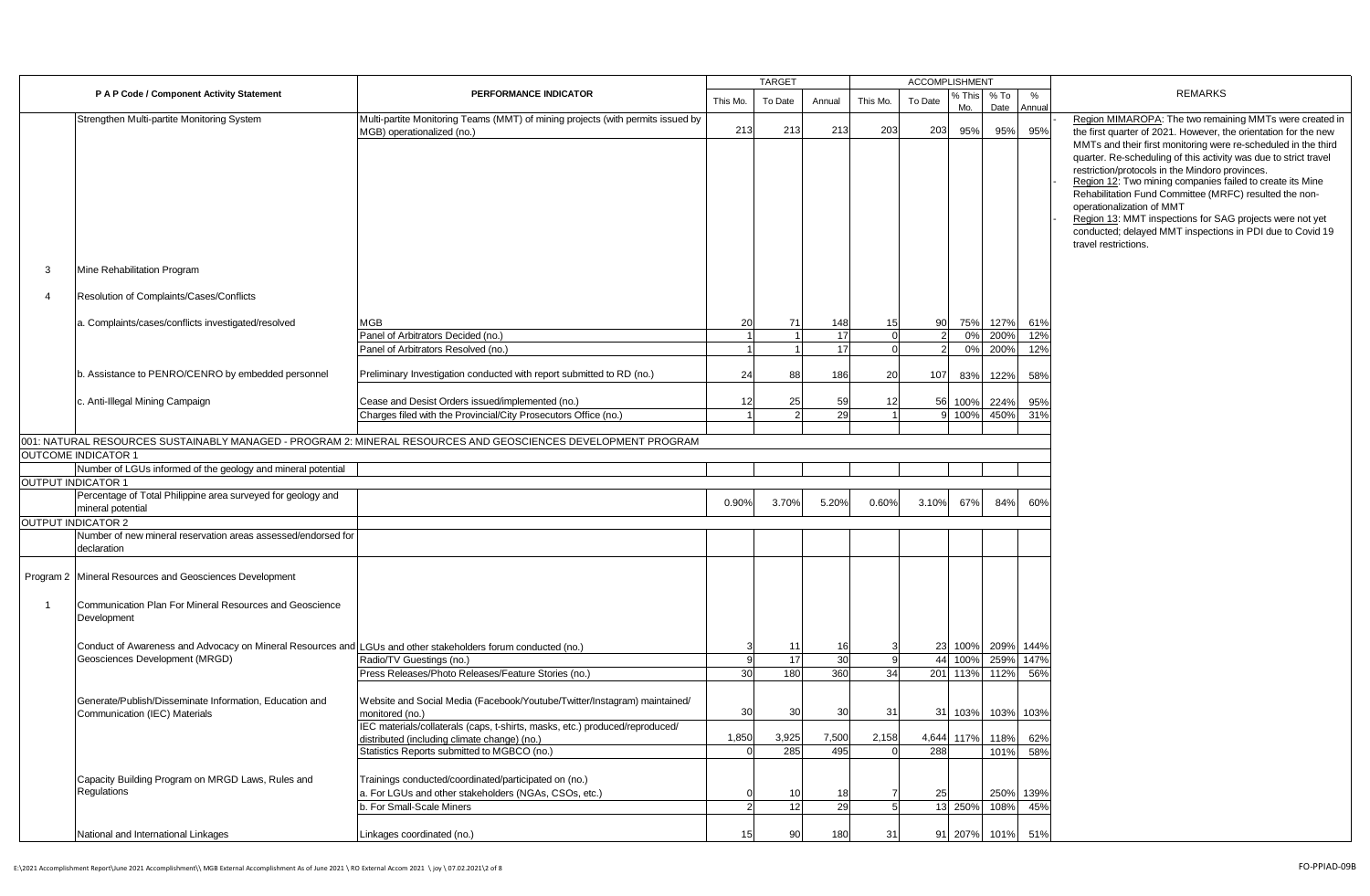|                |                                                                                                              |                                                                                                                              |          | <b>TARGET</b> |        |             |         | <b>ACCOMPLISHMENT</b> |                |             |                                                                                                                                                                                              |
|----------------|--------------------------------------------------------------------------------------------------------------|------------------------------------------------------------------------------------------------------------------------------|----------|---------------|--------|-------------|---------|-----------------------|----------------|-------------|----------------------------------------------------------------------------------------------------------------------------------------------------------------------------------------------|
|                | P A P Code / Component Activity Statement                                                                    | PERFORMANCE INDICATOR                                                                                                        | This Mo. | To Date       | Annual | This Mo.    | To Date | % This<br>Mo.         | $%$ To<br>Date | %<br>Annual | <b>REMARKS</b>                                                                                                                                                                               |
|                | Strengthen Multi-partite Monitoring System                                                                   | Multi-partite Monitoring Teams (MMT) of mining projects (with permits issued by<br>MGB) operationalized (no.)                | 213      | 213           | 213    | 203         | 203     | 95%                   | 95%            | 95%         | Region MIMAROPA: The two remaining MMTs were created in<br>the first quarter of 2021. However, the orientation for the new<br>MMTs and their first monitoring were re-scheduled in the third |
|                |                                                                                                              |                                                                                                                              |          |               |        |             |         |                       |                |             | quarter. Re-scheduling of this activity was due to strict travel                                                                                                                             |
|                |                                                                                                              |                                                                                                                              |          |               |        |             |         |                       |                |             | restriction/protocols in the Mindoro provinces.<br>Region 12: Two mining companies failed to create its Mine                                                                                 |
|                |                                                                                                              |                                                                                                                              |          |               |        |             |         |                       |                |             | Rehabilitation Fund Committee (MRFC) resulted the non-<br>operationalization of MMT                                                                                                          |
|                |                                                                                                              |                                                                                                                              |          |               |        |             |         |                       |                |             | Region 13: MMT inspections for SAG projects were not yet                                                                                                                                     |
|                |                                                                                                              |                                                                                                                              |          |               |        |             |         |                       |                |             | conducted; delayed MMT inspections in PDI due to Covid 19<br>travel restrictions.                                                                                                            |
| 3              | Mine Rehabilitation Program                                                                                  |                                                                                                                              |          |               |        |             |         |                       |                |             |                                                                                                                                                                                              |
| $\Delta$       | Resolution of Complaints/Cases/Conflicts                                                                     |                                                                                                                              |          |               |        |             |         |                       |                |             |                                                                                                                                                                                              |
|                | a. Complaints/cases/conflicts investigated/resolved                                                          | MGB                                                                                                                          | 20       | 71            | 148    | 15          | 90      | 75%                   | 127%           | 61%         |                                                                                                                                                                                              |
|                |                                                                                                              | Panel of Arbitrators Decided (no.)                                                                                           |          |               | 17     | $\mathbf 0$ |         | 0%                    | 200%           | 12%         |                                                                                                                                                                                              |
|                |                                                                                                              | Panel of Arbitrators Resolved (no.)                                                                                          |          |               | 17     |             |         | 0%                    | 200%           | 12%         |                                                                                                                                                                                              |
|                | b. Assistance to PENRO/CENRO by embedded personnel                                                           | Preliminary Investigation conducted with report submitted to RD (no.)                                                        | 24       | 88            | 186    | 20          | 107     | 83%                   | 122%           | 58%         |                                                                                                                                                                                              |
|                | c. Anti-Illegal Mining Campaign                                                                              | Cease and Desist Orders issued/implemented (no.)                                                                             | 12       | 25            | 59     | 12          | 56      | 100%                  | 224%           | 95%         |                                                                                                                                                                                              |
|                |                                                                                                              | Charges filed with the Provincial/City Prosecutors Office (no.)                                                              |          |               | 29     |             |         | 100%                  | 450%           | 31%         |                                                                                                                                                                                              |
|                |                                                                                                              | 001: NATURAL RESOURCES SUSTAINABLY MANAGED - PROGRAM 2: MINERAL RESOURCES AND GEOSCIENCES DEVELOPMENT PROGRAM                |          |               |        |             |         |                       |                |             |                                                                                                                                                                                              |
|                | <b>OUTCOME INDICATOR 1</b>                                                                                   |                                                                                                                              |          |               |        |             |         |                       |                |             |                                                                                                                                                                                              |
|                | Number of LGUs informed of the geology and mineral potential                                                 |                                                                                                                              |          |               |        |             |         |                       |                |             |                                                                                                                                                                                              |
|                | <b>OUTPUT INDICATOR 1</b>                                                                                    |                                                                                                                              |          |               |        |             |         |                       |                |             |                                                                                                                                                                                              |
|                | Percentage of Total Philippine area surveyed for geology and<br>mineral potential                            |                                                                                                                              | 0.90%    | 3.70%         | 5.20%  | 0.60%       | 3.10%   | 67%                   | 84%            | 60%         |                                                                                                                                                                                              |
|                | <b>OUTPUT INDICATOR 2</b>                                                                                    |                                                                                                                              |          |               |        |             |         |                       |                |             |                                                                                                                                                                                              |
|                | Number of new mineral reservation areas assessed/endorsed for<br>declaration                                 |                                                                                                                              |          |               |        |             |         |                       |                |             |                                                                                                                                                                                              |
|                | Program 2 Mineral Resources and Geosciences Development                                                      |                                                                                                                              |          |               |        |             |         |                       |                |             |                                                                                                                                                                                              |
| $\overline{1}$ | Communication Plan For Mineral Resources and Geoscience<br>Development                                       |                                                                                                                              |          |               |        |             |         |                       |                |             |                                                                                                                                                                                              |
|                | Conduct of Awareness and Advocacy on Mineral Resources and LGUs and other stakeholders forum conducted (no.) |                                                                                                                              |          | 11            | 16     |             | 23      | 100%                  | 209%           | 144%        |                                                                                                                                                                                              |
|                | Geosciences Development (MRGD)                                                                               | Radio/TV Guestings (no.)                                                                                                     |          | 17            | 30     | 9           | 44      | 100%                  | 259%           | 147%        |                                                                                                                                                                                              |
|                |                                                                                                              | Press Releases/Photo Releases/Feature Stories (no.)                                                                          | 30       | 180           | 360    | 34          | 201     | 113%                  | 112%           | 56%         |                                                                                                                                                                                              |
|                | Generate/Publish/Disseminate Information, Education and<br>Communication (IEC) Materials                     | Website and Social Media (Facebook/Youtube/Twitter/Instagram) maintained/<br>monitored (no.)                                 | 30       | 30            | 30     | 31          | 31      | 103%                  | 103%           | 103%        |                                                                                                                                                                                              |
|                |                                                                                                              | IEC materials/collaterals (caps, t-shirts, masks, etc.) produced/reproduced/<br>distributed (including climate change) (no.) | 1,850    | 3,925         | 7,500  | 2,158       | 4,644   | 117%                  | 118%           | 62%         |                                                                                                                                                                                              |
|                |                                                                                                              | Statistics Reports submitted to MGBCO (no.)                                                                                  |          | 285           | 495    |             | 288     |                       | 101%           | 58%         |                                                                                                                                                                                              |
|                | Capacity Building Program on MRGD Laws, Rules and                                                            | Trainings conducted/coordinated/participated on (no.)                                                                        |          |               |        |             |         |                       |                |             |                                                                                                                                                                                              |
|                | Regulations                                                                                                  | a. For LGUs and other stakeholders (NGAs, CSOs, etc.)                                                                        |          | 10            | 18     |             | 25      |                       | 250%           | 139%        |                                                                                                                                                                                              |
|                |                                                                                                              | b. For Small-Scale Miners                                                                                                    |          | 12            | 29     | 5           | 13      | 250%                  | 108%           | 45%         |                                                                                                                                                                                              |
|                | National and International Linkages                                                                          |                                                                                                                              | 15       | 90            | 180    | 31          | 91      |                       |                | 51%         |                                                                                                                                                                                              |
|                |                                                                                                              | Linkages coordinated (no.)                                                                                                   |          |               |        |             |         | 207%                  | 101%           |             |                                                                                                                                                                                              |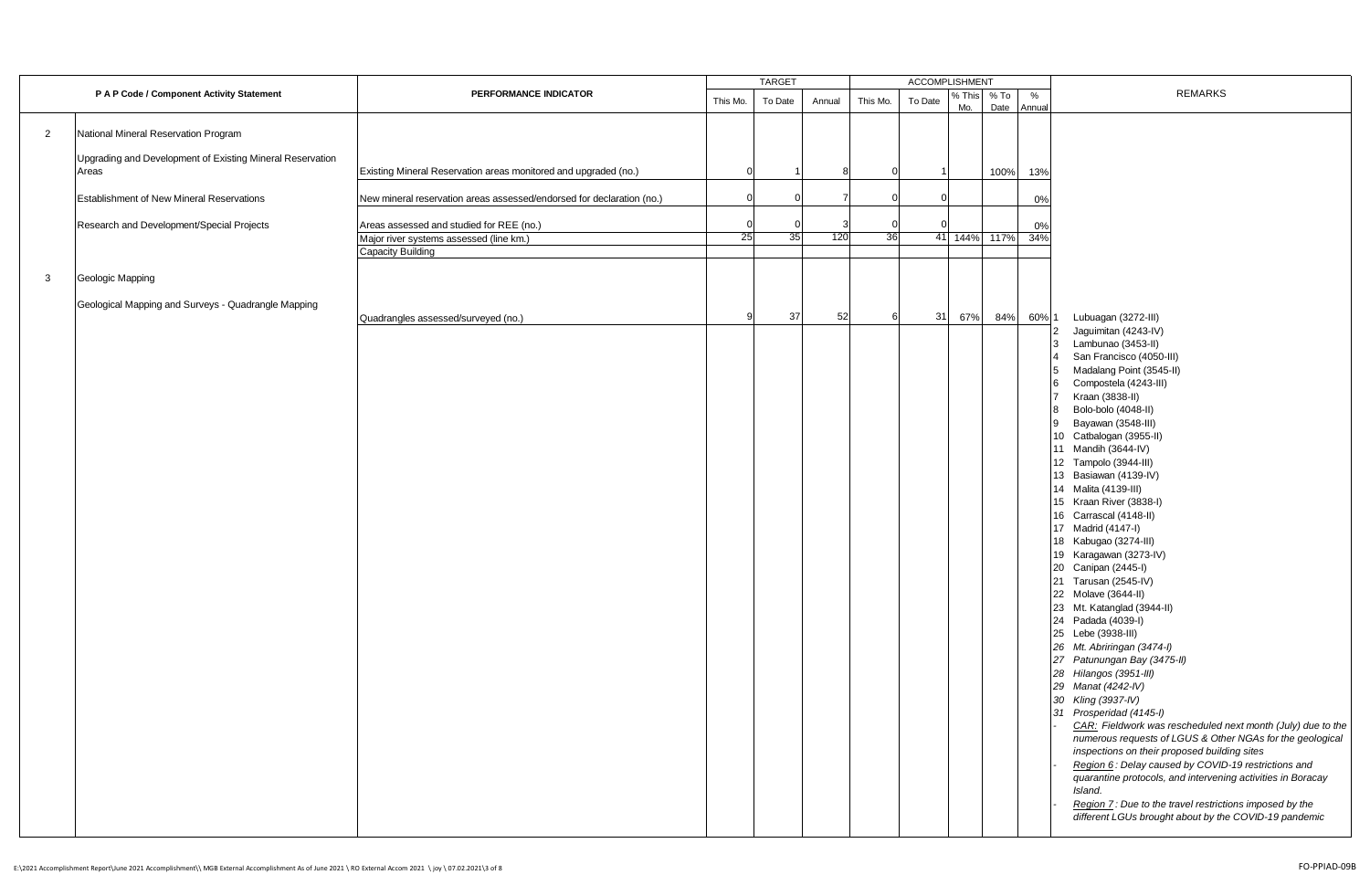|                |                                                                    |                                                                                     | <b>TARGET</b> |         |        |          | ACCOMPLISHMENT |               |                |             |                                                                                                                                                                                                                                                                                                                                                                                                                                                                                                                                                                                                                                                                                                                                                                                                                                                                                                                                                                                                                                                                                                                                                                                                                                      |
|----------------|--------------------------------------------------------------------|-------------------------------------------------------------------------------------|---------------|---------|--------|----------|----------------|---------------|----------------|-------------|--------------------------------------------------------------------------------------------------------------------------------------------------------------------------------------------------------------------------------------------------------------------------------------------------------------------------------------------------------------------------------------------------------------------------------------------------------------------------------------------------------------------------------------------------------------------------------------------------------------------------------------------------------------------------------------------------------------------------------------------------------------------------------------------------------------------------------------------------------------------------------------------------------------------------------------------------------------------------------------------------------------------------------------------------------------------------------------------------------------------------------------------------------------------------------------------------------------------------------------|
|                | P A P Code / Component Activity Statement                          | PERFORMANCE INDICATOR                                                               | This Mo.      | To Date | Annual | This Mo. | To Date        | % This<br>Mo. | $%$ To<br>Date | %<br>Annual | <b>REMARKS</b>                                                                                                                                                                                                                                                                                                                                                                                                                                                                                                                                                                                                                                                                                                                                                                                                                                                                                                                                                                                                                                                                                                                                                                                                                       |
| $\overline{2}$ | National Mineral Reservation Program                               |                                                                                     |               |         |        |          |                |               |                |             |                                                                                                                                                                                                                                                                                                                                                                                                                                                                                                                                                                                                                                                                                                                                                                                                                                                                                                                                                                                                                                                                                                                                                                                                                                      |
|                | Upgrading and Development of Existing Mineral Reservation<br>Areas | Existing Mineral Reservation areas monitored and upgraded (no.)                     |               |         |        |          |                |               | 100%           | 13%         |                                                                                                                                                                                                                                                                                                                                                                                                                                                                                                                                                                                                                                                                                                                                                                                                                                                                                                                                                                                                                                                                                                                                                                                                                                      |
|                | <b>Establishment of New Mineral Reservations</b>                   | New mineral reservation areas assessed/endorsed for declaration (no.)               |               |         |        |          | $\sqrt{ }$     |               |                | 0%          |                                                                                                                                                                                                                                                                                                                                                                                                                                                                                                                                                                                                                                                                                                                                                                                                                                                                                                                                                                                                                                                                                                                                                                                                                                      |
|                | Research and Development/Special Projects                          | Areas assessed and studied for REE (no.)<br>Major river systems assessed (line km.) | 25            | 35      | 120    | 36       |                |               | 41 144% 117%   | 0%<br>34%   |                                                                                                                                                                                                                                                                                                                                                                                                                                                                                                                                                                                                                                                                                                                                                                                                                                                                                                                                                                                                                                                                                                                                                                                                                                      |
|                |                                                                    | Capacity Building                                                                   |               |         |        |          |                |               |                |             |                                                                                                                                                                                                                                                                                                                                                                                                                                                                                                                                                                                                                                                                                                                                                                                                                                                                                                                                                                                                                                                                                                                                                                                                                                      |
| 3              | Geologic Mapping                                                   |                                                                                     |               |         |        |          |                |               |                |             |                                                                                                                                                                                                                                                                                                                                                                                                                                                                                                                                                                                                                                                                                                                                                                                                                                                                                                                                                                                                                                                                                                                                                                                                                                      |
|                | Geological Mapping and Surveys - Quadrangle Mapping                | Quadrangles assessed/surveyed (no.)                                                 | c             | 37      | 52     |          | 31             | 67%           | 84%            | 60% 1       | Lubuagan (3272-III)                                                                                                                                                                                                                                                                                                                                                                                                                                                                                                                                                                                                                                                                                                                                                                                                                                                                                                                                                                                                                                                                                                                                                                                                                  |
|                |                                                                    |                                                                                     |               |         |        |          |                |               |                |             | Jaguimitan (4243-IV)<br>2<br>Lambunao (3453-II)<br>3<br>San Francisco (4050-III)<br>Madalang Point (3545-II)<br>Compostela (4243-III)<br>6<br>Kraan (3838-II)<br>Bolo-bolo (4048-II)<br><b>R</b><br>Bayawan (3548-III)<br>9<br>10 Catbalogan (3955-II)<br>11 Mandih (3644-IV)<br>12 Tampolo (3944-III)<br>13 Basiawan (4139-IV)<br>14 Malita (4139-III)<br>15 Kraan River (3838-I)<br>16 Carrascal (4148-II)<br>17 Madrid (4147-I)<br>18 Kabugao (3274-III)<br>19 Karagawan (3273-IV)<br>20 Canipan (2445-I)<br>21 Tarusan (2545-IV)<br>22 Molave (3644-II)<br>23 Mt. Katanglad (3944-II)<br>24 Padada (4039-I)<br>25 Lebe (3938-III)<br>26 Mt. Abriringan (3474-I)<br>27 Patunungan Bay (3475-II)<br>28 Hilangos (3951-III)<br>29 Manat (4242-IV)<br>30 Kling (3937-IV)<br>31 Prosperidad (4145-I)<br>CAR: Fieldwork was rescheduled next month (July) due to the<br>numerous requests of LGUS & Other NGAs for the geological<br>inspections on their proposed building sites<br>Region 6: Delay caused by COVID-19 restrictions and<br>quarantine protocols, and intervening activities in Boracay<br>Island.<br>Region 7: Due to the travel restrictions imposed by the<br>different LGUs brought about by the COVID-19 pandemic |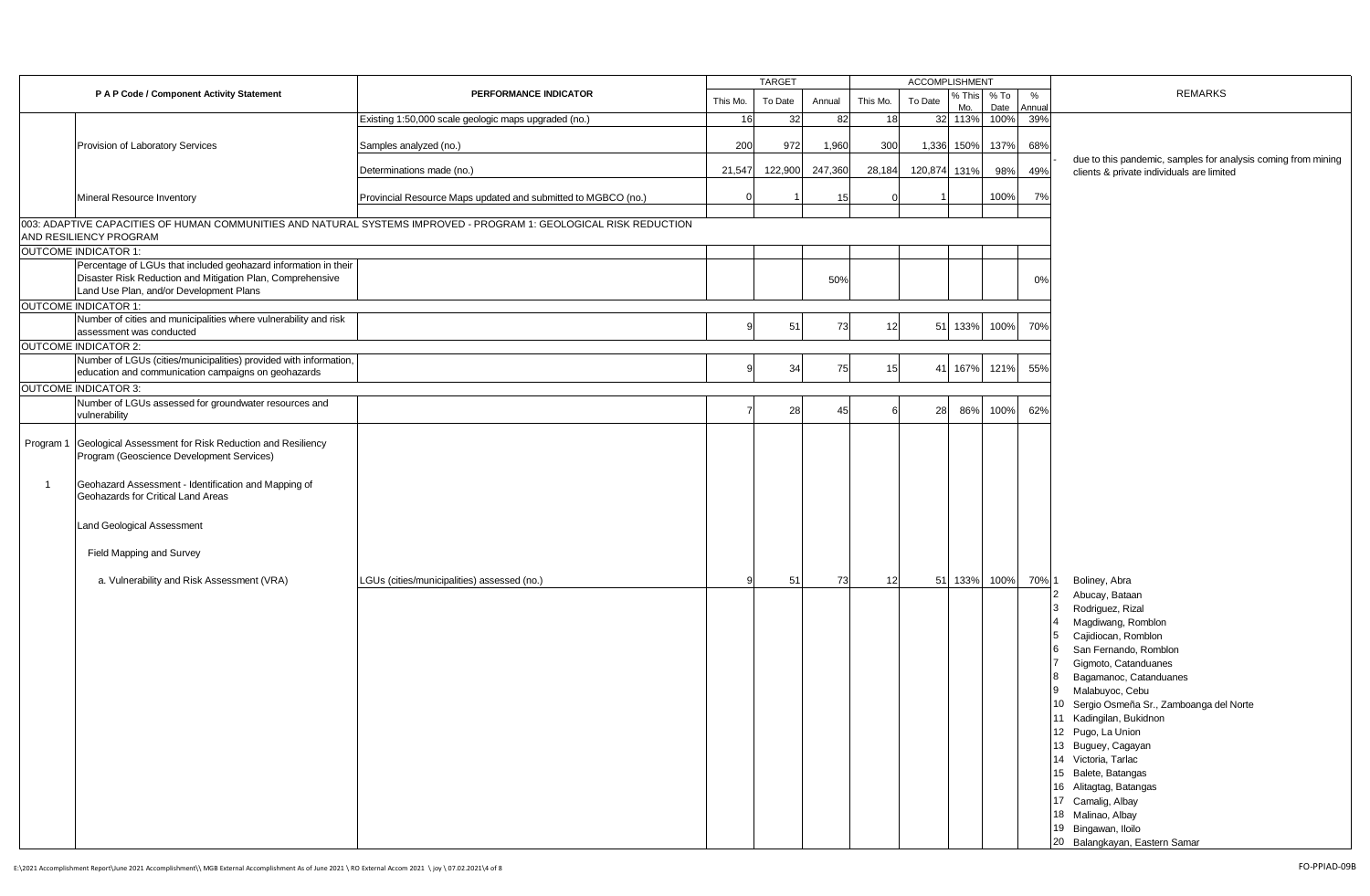|    |                                                                                                                |                                                                                                                   |          | <b>TARGET</b> |         |          | <b>ACCOMPLISHMENT</b> |               |                |             |                                                                                                            |
|----|----------------------------------------------------------------------------------------------------------------|-------------------------------------------------------------------------------------------------------------------|----------|---------------|---------|----------|-----------------------|---------------|----------------|-------------|------------------------------------------------------------------------------------------------------------|
|    | P A P Code / Component Activity Statement                                                                      | PERFORMANCE INDICATOR                                                                                             | This Mo. | To Date       | Annual  | This Mo. | To Date               | % This<br>Mo. | $%$ To<br>Date | %<br>Annual | <b>REMARKS</b>                                                                                             |
|    |                                                                                                                | Existing 1:50,000 scale geologic maps upgraded (no.)                                                              | 16       | 32            | 82      | 18       |                       | 32 113%       | 100%           | 39%         |                                                                                                            |
|    |                                                                                                                |                                                                                                                   |          |               |         |          |                       |               |                |             |                                                                                                            |
|    | Provision of Laboratory Services                                                                               | Samples analyzed (no.)                                                                                            | 200      | 972           | 1,960   | 300      | 1,336                 | 150%          | 137%           | 68%         |                                                                                                            |
|    |                                                                                                                | Determinations made (no.)                                                                                         | 21,547   | 122,900       | 247,360 | 28,184   | 120,874               | 131%          | 98%            | 49%         | due to this pandemic, samples for analysis coming from mining<br>clients & private individuals are limited |
|    | Mineral Resource Inventory                                                                                     | Provincial Resource Maps updated and submitted to MGBCO (no.)                                                     |          |               |         |          |                       |               | 100%           | 7%          |                                                                                                            |
|    |                                                                                                                | 003: ADAPTIVE CAPACITIES OF HUMAN COMMUNITIES AND NATURAL SYSTEMS IMPROVED - PROGRAM 1: GEOLOGICAL RISK REDUCTION |          |               |         |          |                       |               |                |             |                                                                                                            |
|    | AND RESILIENCY PROGRAM                                                                                         |                                                                                                                   |          |               |         |          |                       |               |                |             |                                                                                                            |
|    | <b>OUTCOME INDICATOR 1:</b>                                                                                    |                                                                                                                   |          |               |         |          |                       |               |                |             |                                                                                                            |
|    | Percentage of LGUs that included geohazard information in their                                                |                                                                                                                   |          |               |         |          |                       |               |                |             |                                                                                                            |
|    | Disaster Risk Reduction and Mitigation Plan, Comprehensive                                                     |                                                                                                                   |          |               | 50%     |          |                       |               |                | 0%          |                                                                                                            |
|    | Land Use Plan, and/or Development Plans                                                                        |                                                                                                                   |          |               |         |          |                       |               |                |             |                                                                                                            |
|    | <b>OUTCOME INDICATOR 1:</b>                                                                                    |                                                                                                                   |          |               |         |          |                       |               |                |             |                                                                                                            |
|    | Number of cities and municipalities where vulnerability and risk                                               |                                                                                                                   |          |               |         |          |                       |               |                |             |                                                                                                            |
|    | assessment was conducted                                                                                       |                                                                                                                   |          | 51            | 73      | 12       | 51                    | 133%          | 100%           | 70%         |                                                                                                            |
|    | <b>OUTCOME INDICATOR 2:</b>                                                                                    |                                                                                                                   |          |               |         |          |                       |               |                |             |                                                                                                            |
|    | Number of LGUs (cities/municipalities) provided with information,                                              |                                                                                                                   |          |               |         |          |                       |               |                |             |                                                                                                            |
|    | education and communication campaigns on geohazards                                                            |                                                                                                                   |          | 34            | 75      | 15       | 41                    | 167%          | 121%           | 55%         |                                                                                                            |
|    | <b>OUTCOME INDICATOR 3:</b>                                                                                    |                                                                                                                   |          |               |         |          |                       |               |                |             |                                                                                                            |
|    | Number of LGUs assessed for groundwater resources and                                                          |                                                                                                                   |          |               |         |          |                       |               |                |             |                                                                                                            |
|    | vulnerability                                                                                                  |                                                                                                                   |          | 28            | 45      |          | 28                    | 86%           | 100%           | 62%         |                                                                                                            |
|    | Program 1 Geological Assessment for Risk Reduction and Resiliency<br>Program (Geoscience Development Services) |                                                                                                                   |          |               |         |          |                       |               |                |             |                                                                                                            |
| -1 | Geohazard Assessment - Identification and Mapping of<br>Geohazards for Critical Land Areas                     |                                                                                                                   |          |               |         |          |                       |               |                |             |                                                                                                            |
|    | Land Geological Assessment                                                                                     |                                                                                                                   |          |               |         |          |                       |               |                |             |                                                                                                            |
|    | Field Mapping and Survey                                                                                       |                                                                                                                   |          |               |         |          |                       |               |                |             |                                                                                                            |
|    | a. Vulnerability and Risk Assessment (VRA)                                                                     | LGUs (cities/municipalities) assessed (no.)                                                                       |          | 51            | 73      | 12       |                       | 51 133%       | 100%           | 70% 1       | Boliney, Abra                                                                                              |
|    |                                                                                                                |                                                                                                                   |          |               |         |          |                       |               |                |             | Abucay, Bataan                                                                                             |
|    |                                                                                                                |                                                                                                                   |          |               |         |          |                       |               |                |             | Rodriguez, Rizal                                                                                           |
|    |                                                                                                                |                                                                                                                   |          |               |         |          |                       |               |                |             | Magdiwang, Romblon                                                                                         |
|    |                                                                                                                |                                                                                                                   |          |               |         |          |                       |               |                |             | Cajidiocan, Romblon                                                                                        |
|    |                                                                                                                |                                                                                                                   |          |               |         |          |                       |               |                |             | San Fernando, Romblon                                                                                      |
|    |                                                                                                                |                                                                                                                   |          |               |         |          |                       |               |                |             | Gigmoto, Catanduanes                                                                                       |
|    |                                                                                                                |                                                                                                                   |          |               |         |          |                       |               |                |             | Bagamanoc, Catanduanes                                                                                     |
|    |                                                                                                                |                                                                                                                   |          |               |         |          |                       |               |                |             | Malabuyoc, Cebu<br>19                                                                                      |
|    |                                                                                                                |                                                                                                                   |          |               |         |          |                       |               |                |             | 10 Sergio Osmeña Sr., Zamboanga del Norte                                                                  |
|    |                                                                                                                |                                                                                                                   |          |               |         |          |                       |               |                |             | 11 Kadingilan, Bukidnon                                                                                    |
|    |                                                                                                                |                                                                                                                   |          |               |         |          |                       |               |                |             | 12 Pugo, La Union                                                                                          |
|    |                                                                                                                |                                                                                                                   |          |               |         |          |                       |               |                |             | 13 Buguey, Cagayan                                                                                         |
|    |                                                                                                                |                                                                                                                   |          |               |         |          |                       |               |                |             | 14 Victoria, Tarlac                                                                                        |
|    |                                                                                                                |                                                                                                                   |          |               |         |          |                       |               |                |             | 15 Balete, Batangas                                                                                        |
|    |                                                                                                                |                                                                                                                   |          |               |         |          |                       |               |                |             | 16 Alitagtag, Batangas                                                                                     |
|    |                                                                                                                |                                                                                                                   |          |               |         |          |                       |               |                |             | 17 Camalig, Albay                                                                                          |
|    |                                                                                                                |                                                                                                                   |          |               |         |          |                       |               |                |             | 18 Malinao, Albay                                                                                          |
|    |                                                                                                                |                                                                                                                   |          |               |         |          |                       |               |                |             | 19 Bingawan, Iloilo                                                                                        |
|    |                                                                                                                |                                                                                                                   |          |               |         |          |                       |               |                |             | 20 Balangkayan, Eastern Samar                                                                              |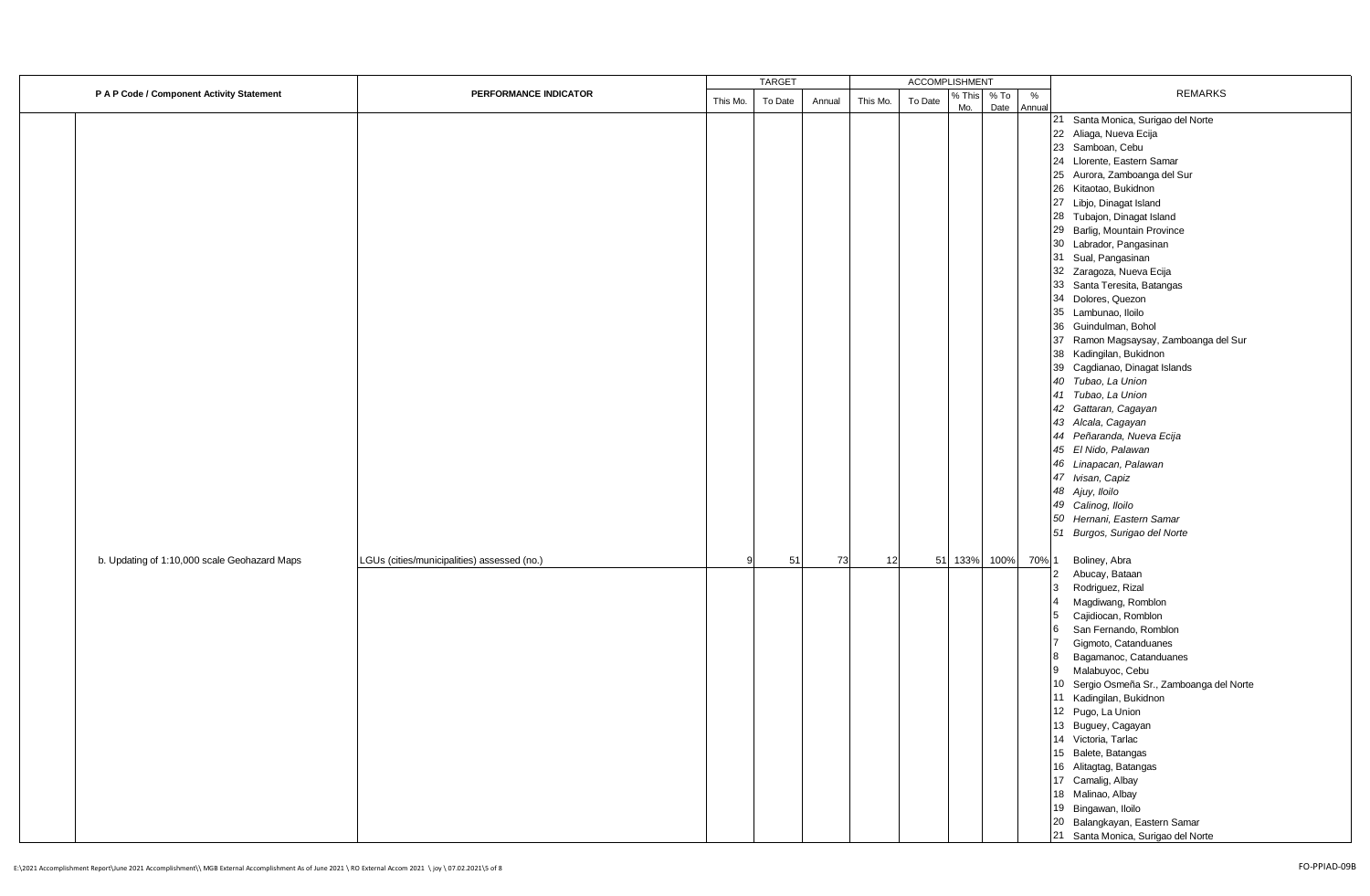|                                              |                                             |          | <b>TARGET</b> |        |          | <b>ACCOMPLISHMENT</b> |               |                |                |                                           |
|----------------------------------------------|---------------------------------------------|----------|---------------|--------|----------|-----------------------|---------------|----------------|----------------|-------------------------------------------|
| P A P Code / Component Activity Statement    | PERFORMANCE INDICATOR                       | This Mo. | To Date       | Annual | This Mo. | To Date               | % This<br>Mo. | $%$ To<br>Date | $\%$<br>Annual | <b>REMARKS</b>                            |
|                                              |                                             |          |               |        |          |                       |               |                |                | 21 Santa Monica, Surigao del Norte        |
|                                              |                                             |          |               |        |          |                       |               |                |                | 22 Aliaga, Nueva Ecija                    |
|                                              |                                             |          |               |        |          |                       |               |                |                | 23 Samboan, Cebu                          |
|                                              |                                             |          |               |        |          |                       |               |                |                | 24 Llorente, Eastern Samar                |
|                                              |                                             |          |               |        |          |                       |               |                |                | 25 Aurora, Zamboanga del Sur              |
|                                              |                                             |          |               |        |          |                       |               |                |                | 26 Kitaotao, Bukidnon                     |
|                                              |                                             |          |               |        |          |                       |               |                |                | 27 Libjo, Dinagat Island                  |
|                                              |                                             |          |               |        |          |                       |               |                |                | 28 Tubajon, Dinagat Island                |
|                                              |                                             |          |               |        |          |                       |               |                |                | 29 Barlig, Mountain Province              |
|                                              |                                             |          |               |        |          |                       |               |                |                | 30 Labrador, Pangasinan                   |
|                                              |                                             |          |               |        |          |                       |               |                |                | 31 Sual, Pangasinan                       |
|                                              |                                             |          |               |        |          |                       |               |                |                | 32 Zaragoza, Nueva Ecija                  |
|                                              |                                             |          |               |        |          |                       |               |                |                | 33 Santa Teresita, Batangas               |
|                                              |                                             |          |               |        |          |                       |               |                |                | 34 Dolores, Quezon                        |
|                                              |                                             |          |               |        |          |                       |               |                |                | 35 Lambunao, Iloilo                       |
|                                              |                                             |          |               |        |          |                       |               |                |                | 36 Guindulman, Bohol                      |
|                                              |                                             |          |               |        |          |                       |               |                |                | 37 Ramon Magsaysay, Zamboanga del Sur     |
|                                              |                                             |          |               |        |          |                       |               |                |                | 38 Kadingilan, Bukidnon                   |
|                                              |                                             |          |               |        |          |                       |               |                |                | 39 Cagdianao, Dinagat Islands             |
|                                              |                                             |          |               |        |          |                       |               |                |                | 40 Tubao, La Union                        |
|                                              |                                             |          |               |        |          |                       |               |                |                | 41 Tubao, La Union                        |
|                                              |                                             |          |               |        |          |                       |               |                |                | 42 Gattaran, Cagayan                      |
|                                              |                                             |          |               |        |          |                       |               |                |                | 43 Alcala, Cagayan                        |
|                                              |                                             |          |               |        |          |                       |               |                |                | 44 Peñaranda, Nueva Ecija                 |
|                                              |                                             |          |               |        |          |                       |               |                |                | 45 El Nido, Palawan                       |
|                                              |                                             |          |               |        |          |                       |               |                |                | 46 Linapacan, Palawan                     |
|                                              |                                             |          |               |        |          |                       |               |                |                | 47 Ivisan, Capiz                          |
|                                              |                                             |          |               |        |          |                       |               |                |                | 48 Ajuy, Iloilo                           |
|                                              |                                             |          |               |        |          |                       |               |                |                | 49 Calinog, Iloilo                        |
|                                              |                                             |          |               |        |          |                       |               |                |                | 50 Hernani, Eastern Samar                 |
|                                              |                                             |          |               |        |          |                       |               |                |                | 51 Burgos, Surigao del Norte              |
|                                              |                                             |          |               |        |          |                       |               |                |                |                                           |
| b. Updating of 1:10,000 scale Geohazard Maps | LGUs (cities/municipalities) assessed (no.) |          | 51            | 73     | 12       |                       | 51 133%       | 100%           | 70% 1          | Boliney, Abra                             |
|                                              |                                             |          |               |        |          |                       |               |                |                | Abucay, Bataan<br>12                      |
|                                              |                                             |          |               |        |          |                       |               |                |                | Rodriguez, Rizal<br>3                     |
|                                              |                                             |          |               |        |          |                       |               |                |                | Magdiwang, Romblon<br>$\vert 4 \vert$     |
|                                              |                                             |          |               |        |          |                       |               |                |                | 5<br>Cajidiocan, Romblon                  |
|                                              |                                             |          |               |        |          |                       |               |                |                | 6<br>San Fernando, Romblon                |
|                                              |                                             |          |               |        |          |                       |               |                |                | $\overline{7}$<br>Gigmoto, Catanduanes    |
|                                              |                                             |          |               |        |          |                       |               |                |                | Bagamanoc, Catanduanes<br>$\overline{8}$  |
|                                              |                                             |          |               |        |          |                       |               |                |                | 9 Malabuyoc, Cebu                         |
|                                              |                                             |          |               |        |          |                       |               |                |                | 10 Sergio Osmeña Sr., Zamboanga del Norte |
|                                              |                                             |          |               |        |          |                       |               |                |                | 11 Kadingilan, Bukidnon                   |
|                                              |                                             |          |               |        |          |                       |               |                |                | 12 Pugo, La Union                         |
|                                              |                                             |          |               |        |          |                       |               |                |                | 13 Buguey, Cagayan                        |
|                                              |                                             |          |               |        |          |                       |               |                |                | 14 Victoria, Tarlac                       |
|                                              |                                             |          |               |        |          |                       |               |                |                | 15 Balete, Batangas                       |
|                                              |                                             |          |               |        |          |                       |               |                |                | 16 Alitagtag, Batangas                    |
|                                              |                                             |          |               |        |          |                       |               |                |                | 17 Camalig, Albay                         |
|                                              |                                             |          |               |        |          |                       |               |                |                | 18 Malinao, Albay                         |
|                                              |                                             |          |               |        |          |                       |               |                |                | 19 Bingawan, Iloilo                       |
|                                              |                                             |          |               |        |          |                       |               |                |                | 20 Balangkayan, Eastern Samar             |
|                                              |                                             |          |               |        |          |                       |               |                |                | 21 Santa Monica, Surigao del Norte        |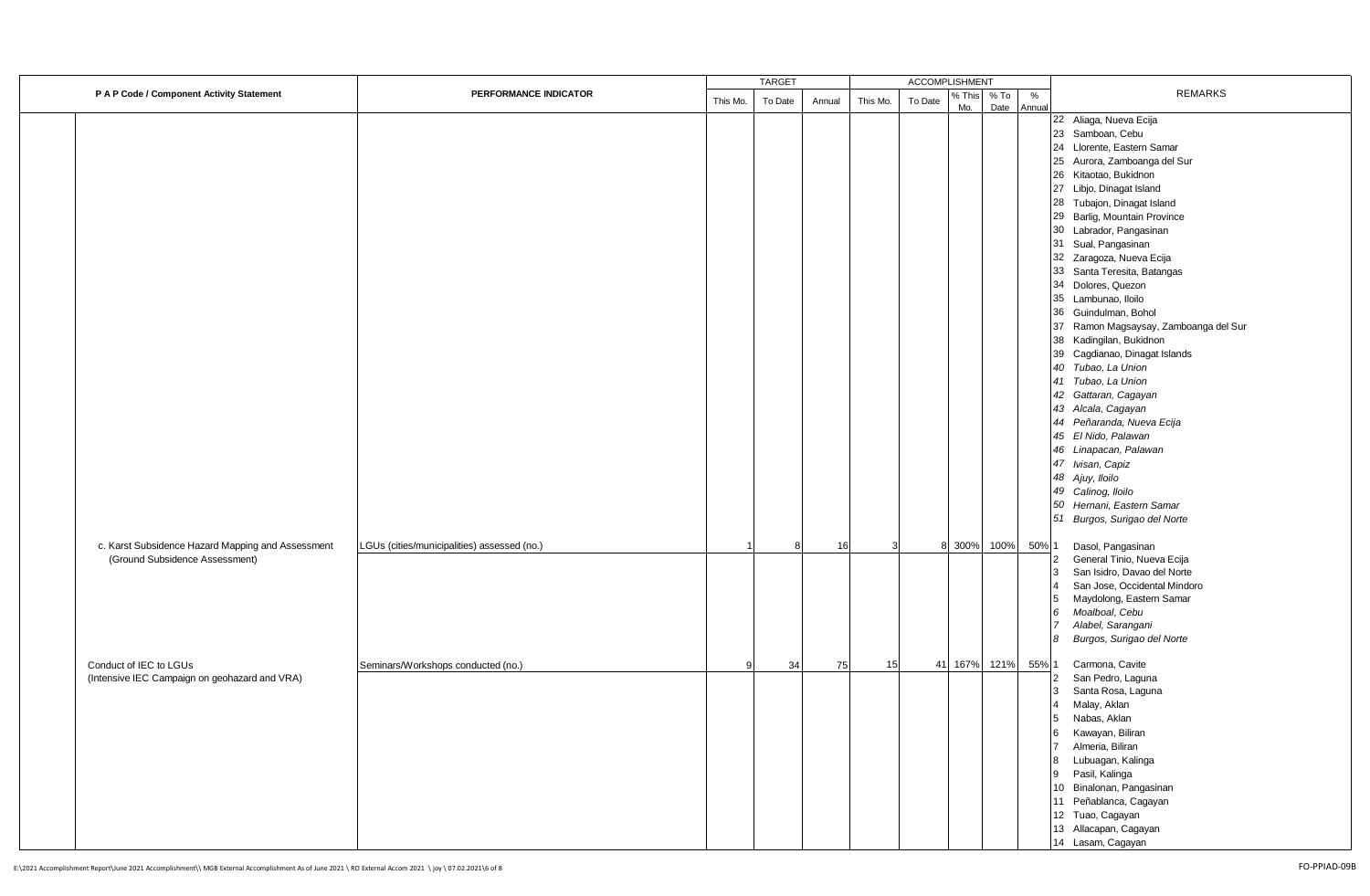|                                                   |                                             |          | <b>TARGET</b> |        |          | ACCOMPLISHMENT |               |              |                |                                       |
|---------------------------------------------------|---------------------------------------------|----------|---------------|--------|----------|----------------|---------------|--------------|----------------|---------------------------------------|
| P A P Code / Component Activity Statement         | PERFORMANCE INDICATOR                       | This Mo. | To Date       | Annual | This Mo. | To Date        | % This<br>Mo. | % To<br>Date | $\%$<br>Annual | <b>REMARKS</b>                        |
|                                                   |                                             |          |               |        |          |                |               |              |                | 22 Aliaga, Nueva Ecija                |
|                                                   |                                             |          |               |        |          |                |               |              |                | 23 Samboan, Cebu                      |
|                                                   |                                             |          |               |        |          |                |               |              |                | 24 Llorente, Eastern Samar            |
|                                                   |                                             |          |               |        |          |                |               |              |                | 25 Aurora, Zamboanga del Sur          |
|                                                   |                                             |          |               |        |          |                |               |              |                | 26 Kitaotao, Bukidnon                 |
|                                                   |                                             |          |               |        |          |                |               |              |                | 27 Libjo, Dinagat Island              |
|                                                   |                                             |          |               |        |          |                |               |              |                | 28 Tubajon, Dinagat Island            |
|                                                   |                                             |          |               |        |          |                |               |              |                | 29 Barlig, Mountain Province          |
|                                                   |                                             |          |               |        |          |                |               |              |                | 30 Labrador, Pangasinan               |
|                                                   |                                             |          |               |        |          |                |               |              |                | 31 Sual, Pangasinan                   |
|                                                   |                                             |          |               |        |          |                |               |              |                | 32 Zaragoza, Nueva Ecija              |
|                                                   |                                             |          |               |        |          |                |               |              |                |                                       |
|                                                   |                                             |          |               |        |          |                |               |              |                | 33 Santa Teresita, Batangas           |
|                                                   |                                             |          |               |        |          |                |               |              |                | 34<br>Dolores, Quezon                 |
|                                                   |                                             |          |               |        |          |                |               |              |                | 35 Lambunao, Iloilo                   |
|                                                   |                                             |          |               |        |          |                |               |              |                | 36 Guindulman, Bohol                  |
|                                                   |                                             |          |               |        |          |                |               |              |                | 37 Ramon Magsaysay, Zamboanga del Sur |
|                                                   |                                             |          |               |        |          |                |               |              |                | 38 Kadingilan, Bukidnon               |
|                                                   |                                             |          |               |        |          |                |               |              |                | 39 Cagdianao, Dinagat Islands         |
|                                                   |                                             |          |               |        |          |                |               |              |                | 40 Tubao, La Union                    |
|                                                   |                                             |          |               |        |          |                |               |              |                | 41 Tubao, La Union                    |
|                                                   |                                             |          |               |        |          |                |               |              |                | 42 Gattaran, Cagayan                  |
|                                                   |                                             |          |               |        |          |                |               |              |                | 43 Alcala, Cagayan                    |
|                                                   |                                             |          |               |        |          |                |               |              |                | 44 Peñaranda, Nueva Ecija             |
|                                                   |                                             |          |               |        |          |                |               |              |                | 45 El Nido, Palawan                   |
|                                                   |                                             |          |               |        |          |                |               |              |                | 46 Linapacan, Palawan                 |
|                                                   |                                             |          |               |        |          |                |               |              |                | 47 Ivisan, Capiz                      |
|                                                   |                                             |          |               |        |          |                |               |              |                | 48 Ajuy, Iloilo                       |
|                                                   |                                             |          |               |        |          |                |               |              |                | 49 Calinog, Iloilo                    |
|                                                   |                                             |          |               |        |          |                |               |              |                | 50 Hernani, Eastern Samar             |
|                                                   |                                             |          |               |        |          |                |               |              |                | 51 Burgos, Surigao del Norte          |
| c. Karst Subsidence Hazard Mapping and Assessment | LGUs (cities/municipalities) assessed (no.) |          |               | 16     |          |                | 8 300%        | 100%         | 50% 1          | Dasol, Pangasinan                     |
| (Ground Subsidence Assessment)                    |                                             |          |               |        |          |                |               |              |                | General Tinio, Nueva Ecija<br>2       |
|                                                   |                                             |          |               |        |          |                |               |              |                | San Isidro, Davao del Norte<br>3      |
|                                                   |                                             |          |               |        |          |                |               |              |                | San Jose, Occidental Mindoro          |
|                                                   |                                             |          |               |        |          |                |               |              |                | Maydolong, Eastern Samar<br>5         |
|                                                   |                                             |          |               |        |          |                |               |              |                | Moalboal, Cebu<br>6                   |
|                                                   |                                             |          |               |        |          |                |               |              |                | Alabel, Sarangani<br>$\overline{7}$   |
|                                                   |                                             |          |               |        |          |                |               |              |                | Burgos, Surigao del Norte<br>8        |
| Conduct of IEC to LGUs                            | Seminars/Workshops conducted (no.)          | q        | 34            | 75     | 15       |                | 41 167%       | 121%         | 55% 1          | Carmona, Cavite                       |
| (Intensive IEC Campaign on geohazard and VRA)     |                                             |          |               |        |          |                |               |              |                | San Pedro, Laguna<br>2                |
|                                                   |                                             |          |               |        |          |                |               |              |                | Santa Rosa, Laguna<br>3               |
|                                                   |                                             |          |               |        |          |                |               |              |                | Malay, Aklan                          |
|                                                   |                                             |          |               |        |          |                |               |              |                | 5<br>Nabas, Aklan                     |
|                                                   |                                             |          |               |        |          |                |               |              |                | Kawayan, Biliran                      |
|                                                   |                                             |          |               |        |          |                |               |              |                | Almeria, Biliran<br>$\overline{7}$    |
|                                                   |                                             |          |               |        |          |                |               |              |                | Lubuagan, Kalinga<br>8                |
|                                                   |                                             |          |               |        |          |                |               |              |                | Pasil, Kalinga<br>9                   |
|                                                   |                                             |          |               |        |          |                |               |              |                | 10 Binalonan, Pangasinan              |
|                                                   |                                             |          |               |        |          |                |               |              |                | 11 Peñablanca, Cagayan                |
|                                                   |                                             |          |               |        |          |                |               |              |                | 12 Tuao, Cagayan                      |
|                                                   |                                             |          |               |        |          |                |               |              |                | 13 Allacapan, Cagayan                 |
|                                                   |                                             |          |               |        |          |                |               |              |                | 14 Lasam, Cagayan                     |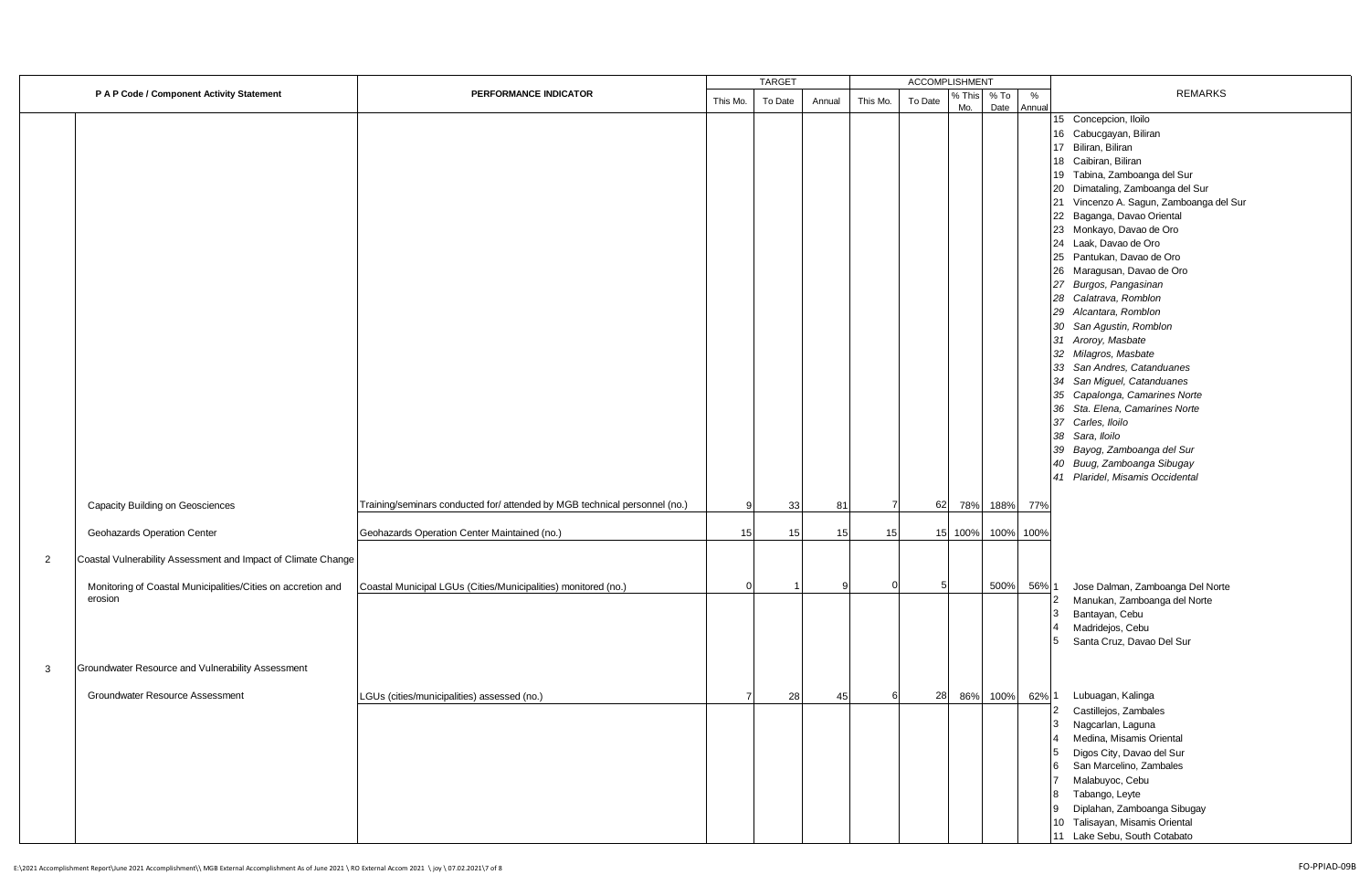| P A P Code / Component Activity Statement |                                                                                                                                                                                               | PERFORMANCE INDICATOR                                                      | <b>TARGET</b>  |         |              |          | <b>ACCOMPLISHMENT</b> |               |              |                                                                                                                                                                                                                                                                                                                                               |                                                                                                                                                                                                                                                                                                                                                                                                                                                                                                                                                                                                                                                                                                                                                                                        |
|-------------------------------------------|-----------------------------------------------------------------------------------------------------------------------------------------------------------------------------------------------|----------------------------------------------------------------------------|----------------|---------|--------------|----------|-----------------------|---------------|--------------|-----------------------------------------------------------------------------------------------------------------------------------------------------------------------------------------------------------------------------------------------------------------------------------------------------------------------------------------------|----------------------------------------------------------------------------------------------------------------------------------------------------------------------------------------------------------------------------------------------------------------------------------------------------------------------------------------------------------------------------------------------------------------------------------------------------------------------------------------------------------------------------------------------------------------------------------------------------------------------------------------------------------------------------------------------------------------------------------------------------------------------------------------|
|                                           |                                                                                                                                                                                               |                                                                            | This Mo.       | To Date | Annual       | This Mo. | To Date               | % This<br>Mo. | % To<br>Date | %<br>Annual                                                                                                                                                                                                                                                                                                                                   | <b>REMARKS</b>                                                                                                                                                                                                                                                                                                                                                                                                                                                                                                                                                                                                                                                                                                                                                                         |
|                                           |                                                                                                                                                                                               |                                                                            |                |         |              |          |                       |               |              |                                                                                                                                                                                                                                                                                                                                               | 15 Concepcion, Iloilo<br>16 Cabucgayan, Biliran<br>17 Biliran, Biliran<br>18 Caibiran, Biliran<br>19 Tabina, Zamboanga del Sur<br>20 Dimataling, Zamboanga del Sur<br>21 Vincenzo A. Sagun, Zamboanga del Sur<br>22 Baganga, Davao Oriental<br>23 Monkayo, Davao de Oro<br>24 Laak, Davao de Oro<br>25 Pantukan, Davao de Oro<br>26 Maragusan, Davao de Oro<br>27 Burgos, Pangasinan<br>28 Calatrava, Romblon<br>29 Alcantara, Romblon<br>30 San Agustin, Romblon<br>31 Aroroy, Masbate<br>32 Milagros, Masbate<br>33 San Andres, Catanduanes<br>34 San Miguel, Catanduanes<br>35 Capalonga, Camarines Norte<br>36 Sta. Elena, Camarines Norte<br>37 Carles, Iloilo<br>38 Sara, Iloilo<br>39 Bayog, Zamboanga del Sur<br>40 Buug, Zamboanga Sibugay<br>41 Plaridel, Misamis Occidental |
|                                           | Capacity Building on Geosciences                                                                                                                                                              | Training/seminars conducted for/ attended by MGB technical personnel (no.) |                | 33      | 81           |          | 62                    | 78%           | 188%         | 77%                                                                                                                                                                                                                                                                                                                                           |                                                                                                                                                                                                                                                                                                                                                                                                                                                                                                                                                                                                                                                                                                                                                                                        |
|                                           | Geohazards Operation Center                                                                                                                                                                   | Geohazards Operation Center Maintained (no.)                               | 15             | 15      | 15           | 15       |                       | 15 100%       | 100%         | 100%                                                                                                                                                                                                                                                                                                                                          |                                                                                                                                                                                                                                                                                                                                                                                                                                                                                                                                                                                                                                                                                                                                                                                        |
| $\overline{2}$<br>3                       | Coastal Vulnerability Assessment and Impact of Climate Change<br>Monitoring of Coastal Municipalities/Cities on accretion and<br>erosion<br>Groundwater Resource and Vulnerability Assessment | Coastal Municipal LGUs (Cities/Municipalities) monitored (no.)             | $\Omega$       |         | <sub>9</sub> |          |                       |               | 500%         | 56% 1                                                                                                                                                                                                                                                                                                                                         | Jose Dalman, Zamboanga Del Norte<br>Manukan, Zamboanga del Norte<br>$\overline{2}$<br>Bantayan, Cebu<br>3<br>Madridejos, Cebu<br>4<br>5 Santa Cruz, Davao Del Sur                                                                                                                                                                                                                                                                                                                                                                                                                                                                                                                                                                                                                      |
|                                           | Groundwater Resource Assessment                                                                                                                                                               | LGUs (cities/municipalities) assessed (no.)                                | $\overline{7}$ |         | 28<br>45     | 28       | 86%                   | 100%          | 62% 1        | Lubuagan, Kalinga<br>Castillejos, Zambales<br>$\mathbf{2}$<br>3 Nagcarlan, Laguna<br>Medina, Misamis Oriental<br>$\overline{4}$<br>5 Digos City, Davao del Sur<br>6<br>San Marcelino, Zambales<br>Malabuyoc, Cebu<br>7<br>8 Tabango, Leyte<br>9 Diplahan, Zamboanga Sibugay<br>10 Talisayan, Misamis Oriental<br>11 Lake Sebu, South Cotabato |                                                                                                                                                                                                                                                                                                                                                                                                                                                                                                                                                                                                                                                                                                                                                                                        |